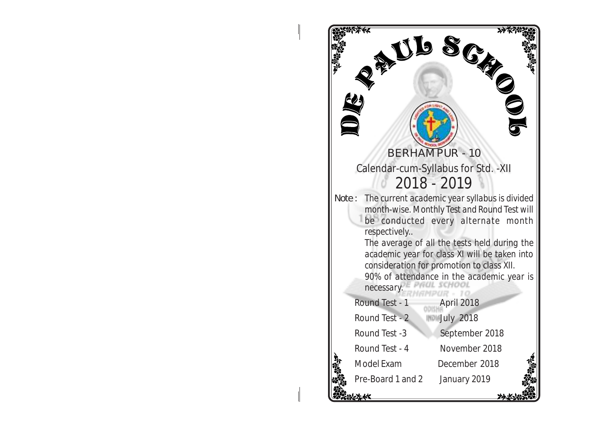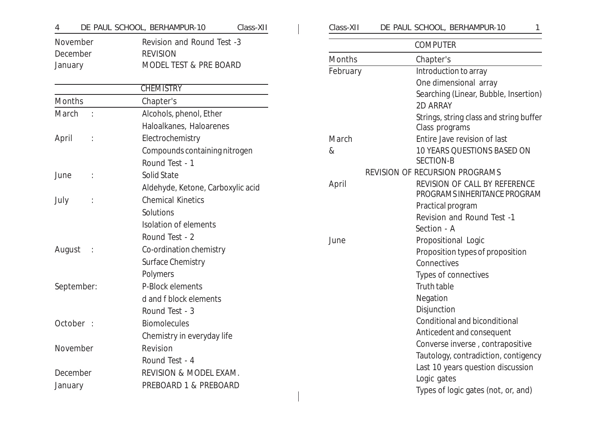| 4                       | DE PAUL SCHOOL, BERHAMPUR-10<br>Class-XII | Class-XII | DE PAUL SCHOOL, BERHAMPUR-10                    |
|-------------------------|-------------------------------------------|-----------|-------------------------------------------------|
| November                | Revision and Round Test -3                |           | <b>COMPUTER</b>                                 |
| December                | <b>REVISION</b>                           | Months    | Chapter's                                       |
| January                 | MODEL TEST & PRE BOARD                    | February  | Introduction to array                           |
|                         |                                           |           | One dimensional array                           |
|                         | <b>CHEMISTRY</b>                          |           | Searching (Linear, Bubble, Insertion            |
| Months                  | Chapter's                                 |           | 2D ARRAY                                        |
| March<br>$\ddot{\cdot}$ | Alcohols, phenol, Ether                   |           | Strings, string class and string buffe          |
|                         | Haloalkanes, Haloarenes                   |           | Class programs                                  |
| April                   | Electrochemistry                          | March     | Entire Jave revision of last                    |
|                         | Compounds containing nitrogen             | $\&$      | 10 YEARS QUESTIONS BASED ON                     |
|                         | Round Test - 1                            |           | <b>SECTION-B</b>                                |
| June                    | Solid State                               |           | REVISION OF RECURSION PROGRAMS                  |
|                         | Aldehyde, Ketone, Carboxylic acid         | April     | REVISION OF CALL BY REFERENCE                   |
| July                    | <b>Chemical Kinetics</b>                  |           | PROGRAMS INHERITANCE PROGRAN                    |
|                         | Solutions                                 |           | Practical program                               |
|                         | Isolation of elements                     |           | Revision and Round Test -1                      |
|                         | Round Test - 2                            |           | Section - A                                     |
| August                  | Co-ordination chemistry                   | June      | Propositional Logic                             |
|                         | Surface Chemistry                         |           | Proposition types of proposition<br>Connectives |
|                         | Polymers                                  |           | Types of connectives                            |
| September:              | P-Block elements                          |           | Truth table                                     |
|                         | d and f block elements                    |           | Negation                                        |
|                         | Round Test - 3                            |           | Disjunction                                     |
| October :               | <b>Biomolecules</b>                       |           | Conditional and biconditional                   |
|                         |                                           |           | Anticedent and consequent                       |
|                         | Chemistry in everyday life                |           | Converse inverse, contrapositive                |
| November                | Revision                                  |           | Tautology, contradiction, contigency            |
|                         | Round Test - 4                            |           | Last 10 years question discussion               |
| December                | REVISION & MODEL EXAM.                    |           | Logic gates                                     |
| January                 | PREBOARD 1 & PREBOARD                     |           | Types of logic gates (not, or, and)             |

| Class-XII. | DE PAUL SCHOOL, BERHAMPUR-10 |  |
|------------|------------------------------|--|
|            |                              |  |

|               | <b>COMPUTER</b>                                           |
|---------------|-----------------------------------------------------------|
| <b>Months</b> | Chapter's                                                 |
| February      | Introduction to array                                     |
|               | One dimensional array                                     |
|               | Searching (Linear, Bubble, Insertion)                     |
|               | 2D ARRAY                                                  |
|               | Strings, string class and string buffer<br>Class programs |
| March         | Entire Jave revision of last                              |
| &             | <b>10 YEARS QUESTIONS BASED ON</b><br><b>SECTION-B</b>    |
|               | <b>REVISION OF RECURSION PROGRAMS</b>                     |
| April         | REVISION OF CALL BY REFERENCE                             |
|               | PROGRAMS INHERITANCE PROGRAM                              |
|               | Practical program                                         |
|               | Revision and Round Test -1                                |
|               | Section - A                                               |
| June          | Propositional Logic                                       |
|               | Proposition types of proposition                          |
|               | Connectives                                               |
|               | Types of connectives                                      |
|               | Truth table                                               |
|               | Negation                                                  |
|               | Disjunction                                               |
|               | Conditional and biconditional                             |
|               | Anticedent and consequent                                 |
|               | Converse inverse, contrapositive                          |
|               | Tautology, contradiction, contigency                      |

Types of logic gates (not, or, and)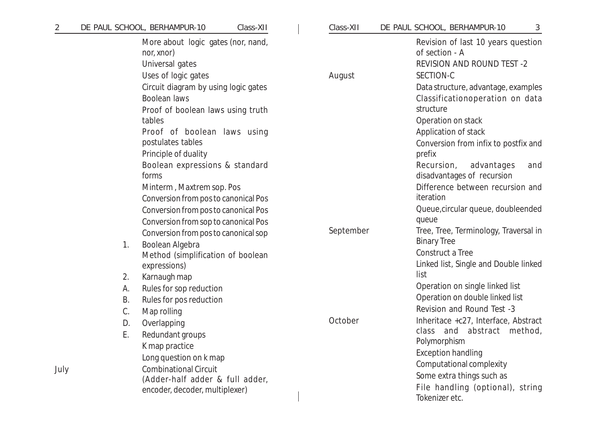| $\overline{2}$ |    | DE PAUL SCHOOL, BERHAMPUR-10<br>Class-XII                           | Class-XII | DE PAUL SCHOOL, BERHAMPUR-10<br>3                                                         |
|----------------|----|---------------------------------------------------------------------|-----------|-------------------------------------------------------------------------------------------|
|                |    | More about logic gates (nor, nand,<br>nor, xnor)<br>Universal gates |           | Revision of last 10 years question<br>of section - A<br><b>REVISION AND ROUND TEST -2</b> |
|                |    | Uses of logic gates                                                 | August    | SECTION-C                                                                                 |
|                |    | Circuit diagram by using logic gates                                |           | Data structure, advantage, examples                                                       |
|                |    | Boolean laws                                                        |           | Classificationoperation on data<br>structure                                              |
|                |    | Proof of boolean laws using truth<br>tables                         |           | Operation on stack                                                                        |
|                |    | Proof of boolean laws using                                         |           | Application of stack                                                                      |
|                |    | postulates tables                                                   |           | Conversion from infix to postfix and                                                      |
|                |    | Principle of duality                                                |           | prefix                                                                                    |
|                |    | Boolean expressions & standard<br>forms                             |           | Recursion,<br>advantages<br>and<br>disadvantages of recursion                             |
|                |    | Minterm, Maxtrem sop. Pos                                           |           | Difference between recursion and                                                          |
|                |    | Conversion from pos to canonical Pos                                |           | iteration                                                                                 |
|                |    | Conversion from pos to canonical Pos                                |           | Queue, circular queue, doubleended                                                        |
|                |    | Conversion from sop to canonical Pos                                |           | queue                                                                                     |
|                |    | Conversion from pos to canonical sop                                | September | Tree, Tree, Terminology, Traversal in<br><b>Binary Tree</b>                               |
|                | 1. | Boolean Algebra                                                     |           | Construct a Tree                                                                          |
|                |    | Method (simplification of boolean<br>expressions)                   |           | Linked list, Single and Double linked                                                     |
|                | 2. | Karnaugh map                                                        |           | list                                                                                      |
|                | А. | Rules for sop reduction                                             |           | Operation on single linked list                                                           |
|                | Β. | Rules for pos reduction                                             |           | Operation on double linked list                                                           |
|                | C. | Map rolling                                                         |           | Revision and Round Test -3                                                                |
|                | D. | Overlapping                                                         | October   | Inheritace +c27, Interface, Abstract                                                      |
|                | Ε. | Redundant groups                                                    |           | class and abstract<br>method,                                                             |
|                |    | K map practice                                                      |           | Polymorphism                                                                              |
|                |    | Long question on k map                                              |           | <b>Exception handling</b>                                                                 |
| July           |    | <b>Combinational Circuit</b>                                        |           | Computational complexity                                                                  |
|                |    | (Adder-half adder & full adder,                                     |           | Some extra things such as                                                                 |
|                |    | encoder, decoder, multiplexer)                                      |           | File handling (optional), string<br>Tokenizer etc.                                        |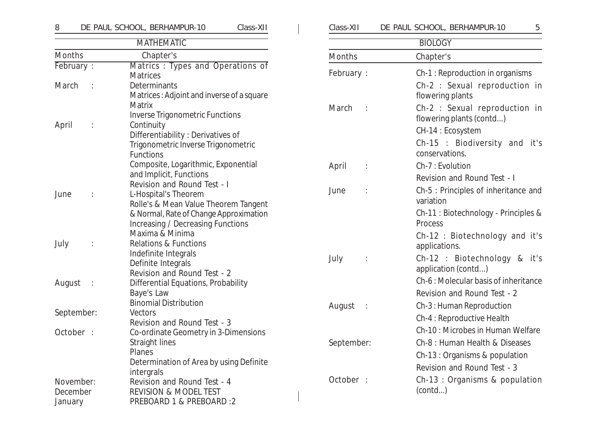# 8 DE PAUL SCHOOL, BERHAMPUR-10 Class-XII Class-XII DE PAUL SCHOOL, BERHAMPUR-10 5 MATHEMATIC

Months Chapter's February : Matrics : Types and Operations of **Matrices** March : Determinants Matrices : Adjoint and inverse of a square Matrix Inverse Trigonometric Functions April : Continuity Differentiability : Derivatives of Trigonometric Inverse Trigonometric Functions Composite, Logarithmic, Exponential and Implicit, Functions Revision and Round Test - I June : L-Hospital's Theorem Rolle's & Mean Value Theorem Tangent & Normal, Rate of Change Approximation Increasing / Decreasing Functions Maxima & Minima July : Relations & Functions Indefinite Integrals Definite Integrals Revision and Round Test - 2 August : Differential Equations, Probability Baye's Law Binomial Distribution September: Vectors Revision and Round Test - 3 October : Co-ordinate Geometry in 3-Dimensions Straight lines Planes Determination of Area by using Definite intergrals November: Revision and Round Test - 4 December REVISION & MODEL TEST January PREBOARD 1 & PREBOARD :2

| DE PAUL SCHOOL, BERHAMPUR-10<br>Class-XII |  |  |                                                           | 5 |
|-------------------------------------------|--|--|-----------------------------------------------------------|---|
|                                           |  |  | <b>BIOLOGY</b>                                            |   |
| <b>Months</b>                             |  |  | Chapter's                                                 |   |
| February:                                 |  |  | Ch-1: Reproduction in organisms                           |   |
|                                           |  |  | Ch-2 : Sexual reproduction in<br>flowering plants         |   |
| March                                     |  |  | Ch-2 : Sexual reproduction in<br>flowering plants (contd) |   |
|                                           |  |  | CH-14 : Ecosystem                                         |   |
|                                           |  |  | Ch-15 : Biodiversity and it's<br>conservations.           |   |
| April                                     |  |  | Ch-7: Evolution                                           |   |
| Revision and Round Test - I               |  |  |                                                           |   |
| June                                      |  |  | Ch-5 : Principles of inheritance and<br>variation         |   |
|                                           |  |  | Ch-11 : Biotechnology - Principles &<br>Process           |   |
|                                           |  |  | Ch-12 : Biotechnology and it's<br>applications.           |   |
| July                                      |  |  | Ch-12 : Biotechnology & it's<br>application (contd)       |   |
|                                           |  |  | Ch-6: Molecular basis of inheritance                      |   |
|                                           |  |  | Revision and Round Test - 2                               |   |
| August                                    |  |  | Ch-3: Human Reproduction                                  |   |
|                                           |  |  | Ch-4 : Reproductive Health                                |   |
|                                           |  |  | Ch-10: Microbes in Human Welfare                          |   |
| September:                                |  |  | Ch-8 : Human Health & Diseases                            |   |
|                                           |  |  | Ch-13 : Organisms & population                            |   |
|                                           |  |  | Revision and Round Test - 3                               |   |
| October                                   |  |  | Ch-13 : Organisms & population                            |   |

(contd...)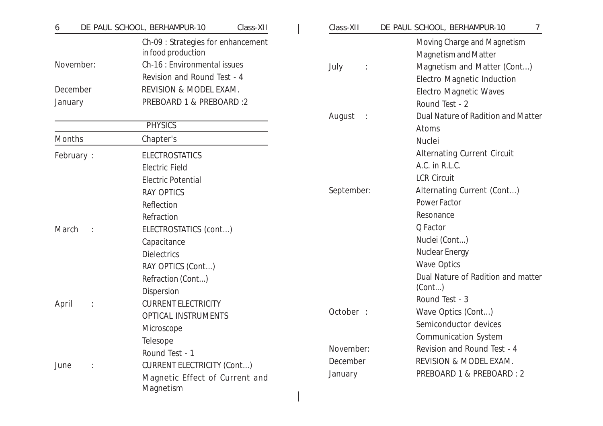| 6         | Class-XII<br>DE PAUL SCHOOL, BERHAMPUR-10                | Class-XII                | DE PAUL SCHOOL, BERHAMPUR-10<br>7                          |
|-----------|----------------------------------------------------------|--------------------------|------------------------------------------------------------|
|           | Ch-09 : Strategies for enhancement<br>in food production |                          | Moving Charge and Magnetism<br><b>Magnetism and Matter</b> |
| November: | Ch-16 : Environmental issues                             | July<br>$\ddot{\cdot}$   | Magnetism and Matter (Cont)                                |
|           | Revision and Round Test - 4                              |                          | <b>Electro Magnetic Induction</b>                          |
| December  | REVISION & MODEL EXAM.                                   |                          | <b>Electro Magnetic Waves</b>                              |
| January   | PREBOARD 1 & PREBOARD :2                                 |                          | Round Test - 2                                             |
|           |                                                          | August<br>$\mathbb{R}^2$ | <b>Dual Nature of Radition and Matter</b>                  |
|           | <b>PHYSICS</b>                                           |                          | Atoms                                                      |
| Months    | Chapter's                                                |                          | Nuclei                                                     |
| February: | <b>ELECTROSTATICS</b>                                    |                          | <b>Alternating Current Circuit</b>                         |
|           | <b>Electric Field</b>                                    |                          | A.C. in R.L.C.                                             |
|           | <b>Electric Potential</b>                                |                          | <b>LCR Circuit</b>                                         |
|           | <b>RAY OPTICS</b>                                        | September:               | Alternating Current (Cont)                                 |
|           | Reflection                                               |                          | Power Factor                                               |
|           | Refraction                                               |                          | Resonance                                                  |
| March     | ELECTROSTATICS (cont)                                    |                          | Q Factor                                                   |
|           | Capacitance                                              |                          | Nuclei (Cont)                                              |
|           | <b>Dielectrics</b>                                       |                          | <b>Nuclear Energy</b>                                      |
|           | RAY OPTICS (Cont)                                        |                          | <b>Wave Optics</b>                                         |
|           | Refraction (Cont)                                        |                          | Dual Nature of Radition and matter                         |
|           | Dispersion                                               |                          | (Cont)                                                     |
| April     | <b>CURRENT ELECTRICITY</b>                               |                          | Round Test - 3                                             |
|           | <b>OPTICAL INSTRUMENTS</b>                               | October :                | Wave Optics (Cont)                                         |
|           | Microscope                                               |                          | Semiconductor devices                                      |
|           | Telesope                                                 |                          | <b>Communication System</b>                                |
|           | Round Test - 1                                           | November:                | Revision and Round Test - 4                                |
| June      | <b>CURRENT ELECTRICITY (Cont)</b>                        | December                 | REVISION & MODEL EXAM.                                     |
|           | Magnetic Effect of Current and<br><b>Magnetism</b>       | January                  | PREBOARD 1 & PREBOARD : 2                                  |
|           |                                                          |                          |                                                            |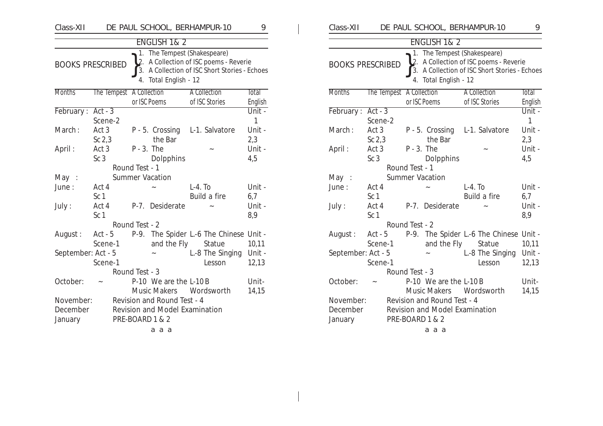| Class-XII               |                          |                | DE PAUL SCHOOL, BERHAMPUR-10                                                                                                            |                                       |                 | 9                       |
|-------------------------|--------------------------|----------------|-----------------------------------------------------------------------------------------------------------------------------------------|---------------------------------------|-----------------|-------------------------|
|                         |                          |                | <b>ENGLISH 1&amp;2</b>                                                                                                                  |                                       |                 |                         |
| <b>BOOKS PRESCRIBED</b> |                          | 2.<br>3.<br>4. | 1. The Tempest (Shakespeare)<br>A Collection of ISC poems - Reverie<br>A Collection of ISC Short Stories - Echoes<br>Total English - 12 |                                       |                 |                         |
| <b>Months</b>           | The Tempest A Collection |                | or ISC Poems                                                                                                                            | <b>A</b> Collection<br>of ISC Stories |                 | <b>Total</b><br>English |
| February:               | $Act - 3$                |                |                                                                                                                                         |                                       |                 | $\overline{Unit}$ -     |
|                         | Scene-2                  |                |                                                                                                                                         |                                       |                 | 1                       |
| March:                  | Act 3                    |                | P - 5. Crossing L-1. Salvatore                                                                                                          |                                       |                 | Unit -                  |
|                         | Sc $2,3$                 |                | the Bar                                                                                                                                 |                                       |                 | 2,3                     |
| April:                  | Act 3                    | $P - 3$ . The  |                                                                                                                                         |                                       |                 | Unit -                  |
|                         | Sc <sub>3</sub>          |                | <b>Dolpphins</b>                                                                                                                        |                                       |                 | 4,5                     |
|                         |                          | Round Test - 1 |                                                                                                                                         |                                       |                 |                         |
| May:                    |                          |                | <b>Summer Vacation</b>                                                                                                                  |                                       |                 |                         |
| June:                   | Act 4                    |                |                                                                                                                                         | $L-4.$ To                             |                 | Unit -                  |
|                         | Sc <sub>1</sub>          |                |                                                                                                                                         | Build a fire                          |                 | 6,7                     |
| July:                   | Act 4<br>Sc <sub>1</sub> |                | P-7. Desiderate                                                                                                                         |                                       |                 | Unit -<br>8,9           |
|                         |                          | Round Test - 2 |                                                                                                                                         |                                       |                 |                         |
| August:                 | Act - 5                  |                | P-9. The Spider L.-6 The Chinese Unit -                                                                                                 |                                       |                 |                         |
|                         | Scene-1                  |                | and the Fly                                                                                                                             |                                       | Statue          | 10,11                   |
| September: Act - 5      |                          |                |                                                                                                                                         |                                       | L-8 The Singing | Unit -                  |
|                         | Scene-1                  |                |                                                                                                                                         |                                       | Lesson          | 12,13                   |
|                         |                          | Round Test - 3 |                                                                                                                                         |                                       |                 |                         |
| October:                |                          |                | P-10 We are the L-10B                                                                                                                   |                                       |                 | Unit-                   |
|                         |                          |                | <b>Music Makers</b>                                                                                                                     |                                       | Wordsworth      | 14,15                   |
| November:               |                          |                | Revision and Round Test - 4                                                                                                             |                                       |                 |                         |
| December                |                          |                | <b>Revision and Model Examination</b>                                                                                                   |                                       |                 |                         |
| January                 |                          |                | PRE-BOARD 1 & 2                                                                                                                         |                                       |                 |                         |
|                         |                          |                | a a a                                                                                                                                   |                                       |                 |                         |

| Class-XII          |                          |                | DE PAUL SCHOOL, BERHAMPUR-10                       |           |                                                                                      | 9                 |
|--------------------|--------------------------|----------------|----------------------------------------------------|-----------|--------------------------------------------------------------------------------------|-------------------|
|                    |                          |                | ENGLISH 1& 2                                       |           |                                                                                      |                   |
|                    | <b>BOOKS PRESCRIBED</b>  | 3.<br>4.       | 1. The Tempest (Shakespeare)<br>Total English - 12 |           | 2. A Collection of ISC poems - Reverie<br>A Collection of ISC Short Stories - Echoes |                   |
| <b>Months</b>      | The Tempest A Collection |                |                                                    |           | <b>A Collection</b>                                                                  | Total             |
|                    | $Act - 3$                | or ISC Poems   |                                                    |           | of ISC Stories                                                                       | English<br>Unit - |
| <b>February:</b>   | Scene-2                  |                |                                                    |           |                                                                                      | 1                 |
| March:             | Act 3                    |                | P - 5. Crossing L-1. Salvatore                     |           |                                                                                      | Unit -            |
|                    | Sc <sub>2,3</sub>        |                | the Bar                                            |           |                                                                                      | 2,3               |
| April:             | Act 3                    | $P - 3$ . The  |                                                    |           |                                                                                      | Unit -            |
|                    | Sc <sub>3</sub>          |                | Dolpphins                                          |           |                                                                                      | 4,5               |
|                    |                          | Round Test - 1 |                                                    |           |                                                                                      |                   |
| May:               |                          |                | <b>Summer Vacation</b>                             |           |                                                                                      |                   |
| June:              | Act 4                    |                |                                                    | $L-4.$ To |                                                                                      | Unit -            |
|                    | Sc <sub>1</sub>          |                |                                                    |           | Build a fire                                                                         | 6,7               |
| July:              | Act 4                    | $P-7.$         | Desiderate                                         |           |                                                                                      | Unit -            |
|                    | Sc <sub>1</sub>          |                |                                                    |           |                                                                                      | 8,9               |
|                    |                          | Round Test - 2 |                                                    |           |                                                                                      |                   |
| August:            | Act - 5                  |                |                                                    |           | P-9. The Spider L.-6 The Chinese Unit -                                              |                   |
|                    | Scene-1                  |                | and the Fly                                        |           | Statue                                                                               | 10,11             |
| September: Act - 5 |                          |                |                                                    |           | L-8 The Singing                                                                      | Unit -            |
|                    | Scene-1                  |                |                                                    |           | Lesson                                                                               | 12,13             |
|                    |                          | Round Test - 3 |                                                    |           |                                                                                      |                   |
| October:           |                          |                | P-10 We are the L-10B<br>Music Makers Wordsworth   |           |                                                                                      | Unit-<br>14,15    |
| November:          |                          |                | Revision and Round Test - 4                        |           |                                                                                      |                   |
| December           |                          |                | <b>Revision and Model Examination</b>              |           |                                                                                      |                   |
|                    |                          |                | PRE-BOARD 1 & 2                                    |           |                                                                                      |                   |
|                    |                          |                | ааа                                                |           |                                                                                      |                   |
| January            |                          |                |                                                    |           |                                                                                      |                   |

 $\mathbf{1}$  and  $\mathbf{1}$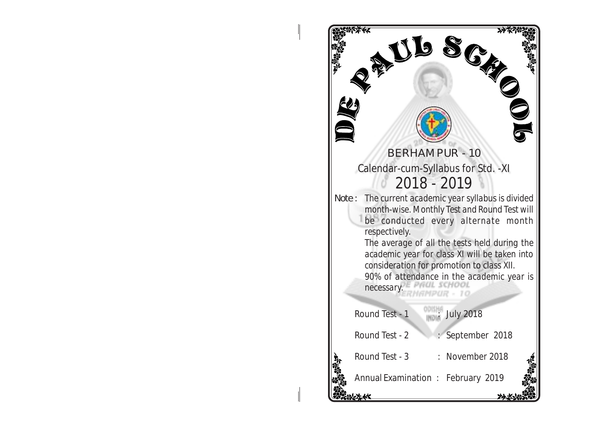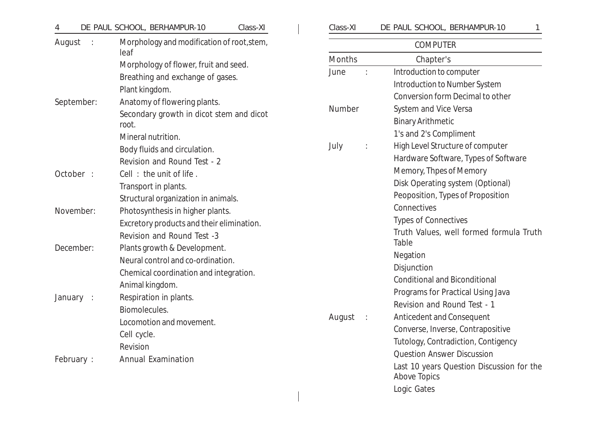| 4          | DE PAUL SCHOOL, BERHAMPUR-10<br>Class-XI                                  | Class-XI                       | DE PAUL SCHOOL, BERHAMPUR-10                                       |
|------------|---------------------------------------------------------------------------|--------------------------------|--------------------------------------------------------------------|
| August     | Morphology and modification of root, stem,<br>leaf                        |                                | <b>COMPUTER</b>                                                    |
|            |                                                                           | Months                         | Chapter's                                                          |
|            | Morphology of flower, fruit and seed.<br>Breathing and exchange of gases. | June                           | Introduction to computer                                           |
|            | Plant kingdom.                                                            |                                | Introduction to Number System                                      |
| September: | Anatomy of flowering plants.                                              |                                | Conversion form Decimal to other                                   |
|            | Secondary growth in dicot stem and dicot                                  | <b>Number</b>                  | System and Vice Versa                                              |
|            | root.                                                                     |                                | <b>Binary Arithmetic</b>                                           |
|            | Mineral nutrition.                                                        |                                | 1's and 2's Compliment                                             |
|            | Body fluids and circulation.                                              | July                           | High Level Structure of computer                                   |
|            | Revision and Round Test - 2                                               |                                | Hardware Software, Types of Software                               |
| October :  | Cell: the unit of life.                                                   |                                | Memory, Thpes of Memory                                            |
|            | Transport in plants.                                                      |                                | Disk Operating system (Optional)                                   |
|            | Structural organization in animals.                                       |                                | Peoposition, Types of Proposition                                  |
| November:  | Photosynthesis in higher plants.                                          |                                | Connectives                                                        |
|            | Excretory products and their elimination.                                 |                                | <b>Types of Connectives</b>                                        |
|            | Revision and Round Test -3                                                |                                | Truth Values, well formed formula Trutl                            |
| December:  | Plants growth & Development.                                              |                                | Table                                                              |
|            | Neural control and co-ordination.                                         |                                | Negation                                                           |
|            | Chemical coordination and integration.                                    |                                | Disjunction                                                        |
|            | Animal kingdom.                                                           |                                | <b>Conditional and Biconditional</b>                               |
| January :  | Respiration in plants.                                                    |                                | Programs for Practical Using Java                                  |
|            | Biomolecules.                                                             |                                | Revision and Round Test - 1                                        |
|            | Locomotion and movement.                                                  | August<br>$\ddot{\phantom{a}}$ | Anticedent and Consequent                                          |
|            | Cell cycle.                                                               |                                | Converse, Inverse, Contrapositive                                  |
|            | Revision                                                                  |                                | Tutology, Contradiction, Contigency                                |
| February:  | <b>Annual Examination</b>                                                 |                                | <b>Question Answer Discussion</b>                                  |
|            |                                                                           |                                | Last 10 years Question Discussion for the<br>$0 \times 2 \times 7$ |

| Class-XI | DE PAUL SCHOOL, BERHAMPUR-10 |  |
|----------|------------------------------|--|
|          |                              |  |

|        | <b>COMPUTER</b>                                                  |
|--------|------------------------------------------------------------------|
| Months | Chapter's                                                        |
| June   | Introduction to computer                                         |
|        | Introduction to Number System                                    |
|        | Conversion form Decimal to other                                 |
| Number | System and Vice Versa                                            |
|        | <b>Binary Arithmetic</b>                                         |
|        | 1's and 2's Compliment                                           |
| July   | High Level Structure of computer                                 |
|        | Hardware Software, Types of Software                             |
|        | Memory, Thpes of Memory                                          |
|        | Disk Operating system (Optional)                                 |
|        | Peoposition, Types of Proposition                                |
|        | Connectives                                                      |
|        | <b>Types of Connectives</b>                                      |
|        | Truth Values, well formed formula Truth<br>Table                 |
|        | Negation                                                         |
|        | Disjunction                                                      |
|        | <b>Conditional and Biconditional</b>                             |
|        | Programs for Practical Using Java                                |
|        | Revision and Round Test - 1                                      |
| August | <b>Anticedent and Consequent</b>                                 |
|        | Converse, Inverse, Contrapositive                                |
|        | Tutology, Contradiction, Contigency                              |
|        | <b>Question Answer Discussion</b>                                |
|        | Last 10 years Question Discussion for the<br><b>Above Topics</b> |
|        | Logic Gates                                                      |
|        |                                                                  |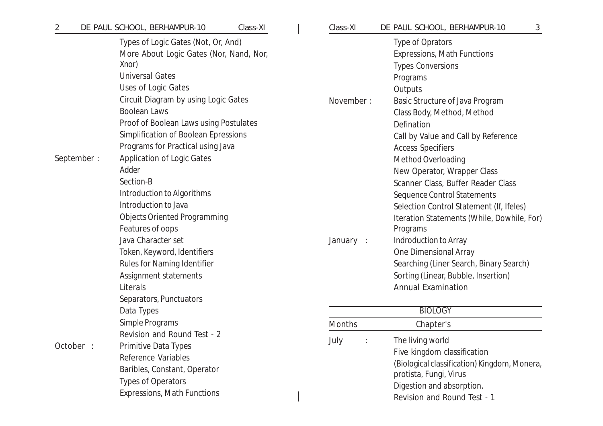| $\overline{2}$ | DE PAUL SCHOOL, BERHAMPUR-10<br>Class-XI                                                                                                                                                                                                                                                                                                                                                  | Class-XI  | DE PAUL SCHOOL, BERHAMPUR-10<br>3                                                                                                                                                                                                                                                                                                                      |
|----------------|-------------------------------------------------------------------------------------------------------------------------------------------------------------------------------------------------------------------------------------------------------------------------------------------------------------------------------------------------------------------------------------------|-----------|--------------------------------------------------------------------------------------------------------------------------------------------------------------------------------------------------------------------------------------------------------------------------------------------------------------------------------------------------------|
| September:     | Types of Logic Gates (Not, Or, And)<br>More About Logic Gates (Nor, Nand, Nor,<br>Xnor)<br><b>Universal Gates</b><br>Uses of Logic Gates<br>Circuit Diagram by using Logic Gates<br><b>Boolean Laws</b><br>Proof of Boolean Laws using Postulates<br>Simplification of Boolean Epressions<br>Programs for Practical using Java<br><b>Application of Logic Gates</b><br>Adder<br>Section-B | November: | Type of Oprators<br><b>Expressions, Math Functions</b><br><b>Types Conversions</b><br>Programs<br>Outputs<br>Basic Structure of Java Program<br>Class Body, Method, Method<br>Defination<br>Call by Value and Call by Reference<br><b>Access Specifiers</b><br>Method Overloading<br>New Operator, Wrapper Class<br>Scanner Class, Buffer Reader Class |
|                | Introduction to Algorithms<br>Introduction to Java<br><b>Objects Oriented Programming</b><br>Features of oops<br>Java Character set<br>Token, Keyword, Identifiers<br>Rules for Naming Identifier<br>Assignment statements<br>Literals<br>Separators, Punctuators<br>Data Types                                                                                                           | January : | Sequence Control Statements<br>Selection Control Statement (If, Ifeles)<br>Iteration Statements (While, Dowhile, For)<br>Programs<br>Indroduction to Array<br>One Dimensional Array<br>Searching (Liner Search, Binary Search)<br>Sorting (Linear, Bubble, Insertion)<br><b>Annual Examination</b><br><b>BIOLOGY</b>                                   |
|                | Simple Programs                                                                                                                                                                                                                                                                                                                                                                           | Months    | Chapter's                                                                                                                                                                                                                                                                                                                                              |
| October :      | Revision and Round Test - 2<br><b>Primitive Data Types</b><br>Reference Variables<br>Baribles, Constant, Operator<br><b>Types of Operators</b><br><b>Expressions, Math Functions</b>                                                                                                                                                                                                      | July      | The living world<br>Five kingdom classification<br>(Biological classification) Kingdom, Monera,<br>protista, Fungi, Virus<br>Digestion and absorption.<br>Revision and Round Test - 1                                                                                                                                                                  |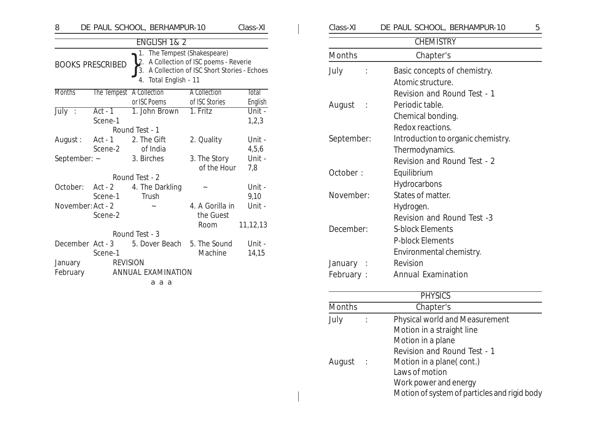| 8                               |                             | DE PAUL SCHOOL, BERHAMPUR-10 |                                                                                                                      | Class-XI        |
|---------------------------------|-----------------------------|------------------------------|----------------------------------------------------------------------------------------------------------------------|-----------------|
|                                 |                             | ENGLISH 1& 2                 |                                                                                                                      |                 |
|                                 | <b>BOOKS PRESCRIBED</b>     | 1.<br>4. Total English - 11  | The Tempest (Shakespeare)<br>2. A Collection of ISC poems - Reverie<br>3. A Collection of ISC Short Stories - Echoes |                 |
| <b>Months</b>                   |                             | The Tempest A Collection     | <b>A Collection</b>                                                                                                  | <b>Total</b>    |
|                                 |                             | or ISC Poems                 | of ISC Stories                                                                                                       | English         |
| $J \overline{u} \overline{J}$ : | $Act - 1$<br>Scene-1        | 1. John Brown                | 1. Fritz                                                                                                             | Unit -<br>1,2,3 |
|                                 |                             | Round Test - 1               |                                                                                                                      |                 |
| August:                         | Act - 1<br>Scene-2          | 2. The Gift<br>of India      | 2. Quality                                                                                                           | Unit -<br>4,5,6 |
| September: ~                    |                             | 3. Birches                   | 3. The Story<br>of the Hour                                                                                          | Unit -<br>7,8   |
|                                 |                             | Round Test - 2               |                                                                                                                      |                 |
| October:                        | Act - 2<br>Scene-1          | 4. The Darkling<br>Trush     |                                                                                                                      | Unit -<br>9,10  |
| November: Act - 2               | Scene-2                     |                              | 4. A Gorilla in<br>the Guest                                                                                         | Unit -          |
|                                 |                             |                              | Room                                                                                                                 | 11,12,13        |
|                                 |                             | Round Test - 3               |                                                                                                                      |                 |
|                                 | December Act - 3<br>Scene-1 | 5. Dover Beach               | 5. The Sound<br>Machine                                                                                              | Unit -<br>14,15 |
| January                         |                             | <b>REVISION</b>              |                                                                                                                      |                 |
| February                        |                             | <b>ANNUAL EXAMINATION</b>    |                                                                                                                      |                 |
|                                 |                             | a a a                        |                                                                                                                      |                 |

| Class-XI      | DE PAUL SCHOOL, BERHAMPUR-10       | 5 |
|---------------|------------------------------------|---|
|               | <b>CHEMISTRY</b>                   |   |
| <b>Months</b> | Chapter's                          |   |
| July          | Basic concepts of chemistry.       |   |
|               | Atomic structure.                  |   |
|               | Revision and Round Test - 1        |   |
| August        | Periodic table.                    |   |
|               | Chemical bonding.                  |   |
|               | Redox reactions.                   |   |
| September:    | Introduction to organic chemistry. |   |
|               | Thermodynamics.                    |   |
|               | Revision and Round Test - 2        |   |
| October:      | Equilibrium                        |   |
|               | Hydrocarbons                       |   |
| November:     | States of matter.                  |   |
|               | Hydrogen.                          |   |
|               | Revision and Round Test -3         |   |
| December:     | <b>S-block Elements</b>            |   |
|               | <b>P-block Elements</b>            |   |
|               | Environmental chemistry.           |   |
| January       | Revision                           |   |
| February:     | <b>Annual Examination</b>          |   |

### **PHYSICS**

| <b>Months</b> | Chapter's                                    |
|---------------|----------------------------------------------|
| July          | Physical world and Measurement               |
|               | Motion in a straight line                    |
|               | Motion in a plane                            |
|               | Revision and Round Test - 1                  |
| August        | Motion in a plane (cont.)                    |
|               | Laws of motion                               |
|               | Work power and energy                        |
|               | Motion of system of particles and rigid body |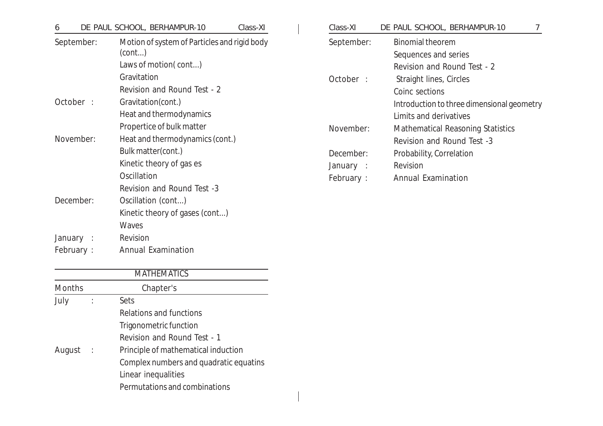| 6                | DE PAUL SCHOOL, BERHAMPUR-10<br>Class-XI                                       | Class-XI               | DE PAUL SCHOOL, BERHAMPUR-10<br>7                                              |
|------------------|--------------------------------------------------------------------------------|------------------------|--------------------------------------------------------------------------------|
| September:       | Motion of system of Particles and rigid body<br>(cont)<br>Laws of motion(cont) | September:             | <b>Binomial theorem</b><br>Sequences and series<br>Revision and Round Test - 2 |
|                  | Gravitation<br>Revision and Round Test - 2                                     | October :              | Straight lines, Circles<br>Coinc sections                                      |
| October :        | Gravitation(cont.)<br>Heat and thermodynamics                                  |                        | Introduction to three dimensional geometry<br>Limits and derivatives           |
| November:        | Propertice of bulk matter<br>Heat and thermodynamics (cont.)                   | November:              | Mathematical Reasoning Statistics<br>Revision and Round Test -3                |
|                  | Bulk matter(cont.)<br>Kinetic theory of gas es                                 | December:<br>January : | Probability, Correlation<br>Revision                                           |
|                  | Oscillation<br>Revision and Round Test -3                                      | February :             | <b>Annual Examination</b>                                                      |
| December:        | Oscillation (cont)<br>Kinetic theory of gases (cont)<br>Waves                  |                        |                                                                                |
| January :        | Revision                                                                       |                        |                                                                                |
| <b>February:</b> | <b>Annual Examination</b>                                                      |                        |                                                                                |

| <b>MATHEMATICS</b> |                |                                        |  |
|--------------------|----------------|----------------------------------------|--|
| <b>Months</b>      |                | Chapter's                              |  |
| July               |                | Sets                                   |  |
|                    |                | Relations and functions                |  |
|                    |                | Trigonometric function                 |  |
|                    |                | Revision and Round Test - 1            |  |
| August             | $\mathbb{R}^2$ | Principle of mathematical induction    |  |
|                    |                | Complex numbers and quadratic equatins |  |
|                    |                | Linear inequalities                    |  |
|                    |                | Permutations and combinations          |  |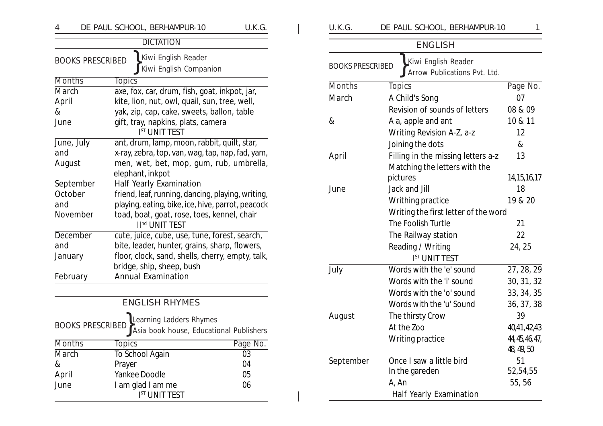| 4               |                         |                   | DE PAUL SCHOOL, BERHAMPUR-10                                              | U.K.G.   |
|-----------------|-------------------------|-------------------|---------------------------------------------------------------------------|----------|
|                 |                         |                   | <b>DICTATION</b>                                                          |          |
|                 | <b>BOOKS PRESCRIBED</b> |                   | Kiwi English Reader<br>Kiwi English Companion                             |          |
| <b>Months</b>   |                         | <b>Topics</b>     |                                                                           |          |
| March           |                         |                   | axe, fox, car, drum, fish, goat, inkpot, jar,                             |          |
| April           |                         |                   | kite, lion, nut, owl, quail, sun, tree, well,                             |          |
| &               |                         |                   | yak, zip, cap, cake, sweets, ballon, table                                |          |
| June            |                         |                   | gift, tray, napkins, plats, camera<br><b>IST UNIT TEST</b>                |          |
| June, July      |                         |                   | ant, drum, lamp, moon, rabbit, quilt, star,                               |          |
| and             |                         |                   | x-ray, zebra, top, van, wag, tap, nap, fad, yam,                          |          |
| August          |                         |                   | men, wet, bet, mop, gum, rub, umbrella,                                   |          |
|                 |                         | elephant, inkpot  |                                                                           |          |
| September       |                         |                   | Half Yearly Examination                                                   |          |
| October         |                         |                   | friend, leaf, running, dancing, playing, writing,                         |          |
| and             |                         |                   | playing, eating, bike, ice, hive, parrot, peacock                         |          |
| November        |                         |                   | toad, boat, goat, rose, toes, kennel, chair<br>II <sup>nd</sup> UNIT TEST |          |
| <b>December</b> |                         |                   | cute, juice, cube, use, tune, forest, search,                             |          |
| and             |                         |                   | bite, leader, hunter, grains, sharp, flowers,                             |          |
| January         |                         |                   | floor, clock, sand, shells, cherry, empty, talk,                          |          |
|                 |                         |                   | bridge, ship, sheep, bush                                                 |          |
| February        |                         |                   | <b>Annual Examination</b>                                                 |          |
|                 |                         |                   |                                                                           |          |
|                 |                         |                   | <b>ENGLISH RHYMES</b>                                                     |          |
|                 | <b>BOOKS PRESCRIBEI</b> |                   | Learning Ladders Rhymes<br>Asia book house, Educational Publishers        |          |
| Months          |                         | Topics            |                                                                           | Page No. |
| March           |                         | To School Again   |                                                                           | 03       |
| &               |                         | Prayer            |                                                                           | 04       |
| April           |                         | Yankee Doodle     |                                                                           | 05       |
| June            |                         | I am glad I am me |                                                                           | 06       |
|                 |                         |                   | <b>IST UNIT TEST</b>                                                      |          |

| U.K.G.                  | DE PAUL SCHOOL, BERHAMPUR-10                        | 1                             |
|-------------------------|-----------------------------------------------------|-------------------------------|
|                         | <b>ENGLISH</b>                                      |                               |
| <b>BOOKS PRESCRIBED</b> | Kiwi English Reader<br>Arrow Publications Pvt. Ltd. |                               |
| <b>Months</b>           | <b>Topics</b>                                       | Page No.                      |
| March                   | A Child's Song                                      | 07                            |
|                         | Revision of sounds of letters                       | 08 & 09                       |
| &                       | A a, apple and ant                                  | 10 & 11                       |
|                         | Writing Revision A-Z, a-z                           | 12                            |
|                         | Joining the dots                                    | &                             |
| April                   | Filling in the missing letters a-z                  | 13                            |
|                         | Matching the letters with the                       |                               |
|                         | pictures                                            | 14, 15, 16, 17                |
| June                    | Jack and Jill                                       | 18                            |
|                         | Writhing practice                                   | 19 & 20                       |
|                         | Writing the first letter of the word                |                               |
|                         | The Foolish Turtle                                  | 21                            |
|                         | The Railway station                                 | 22                            |
|                         | Reading / Writing                                   | 24, 25                        |
|                         | <b>IST UNIT TEST</b>                                |                               |
| July                    | Words with the 'e' sound                            | 27, 28, 29                    |
|                         | Words with the 'i' sound                            | 30, 31, 32                    |
|                         | Words with the 'o' sound                            | 33, 34, 35                    |
|                         | Words with the 'u' Sound                            | 36, 37, 38                    |
| August                  | The thirsty Crow                                    | 39                            |
|                         | At the Zoo                                          | 40,41,42,43                   |
|                         | Writing practice                                    | 44, 45, 46, 47,<br>48, 49, 50 |
| September               | Once I saw a little bird                            | 51                            |
|                         | In the gareden                                      | 52,54,55                      |
|                         | A, An                                               | 55,56                         |
|                         | Half Yearly Examination                             |                               |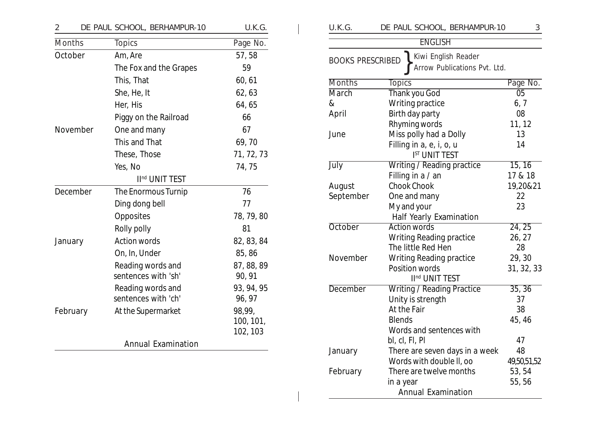| 2        | DE PAUL SCHOOL, BERHAMPUR-10             | U.K.G.                          |
|----------|------------------------------------------|---------------------------------|
| Months   | <b>Topics</b>                            | Page No.                        |
| October  | Am, Are                                  | 57,58                           |
|          | The Fox and the Grapes                   | 59                              |
|          | This, That                               | 60, 61                          |
|          | She, He, It                              | 62, 63                          |
|          | Her, His                                 | 64,65                           |
|          | Piggy on the Railroad                    | 66                              |
| November | One and many                             | 67                              |
|          | This and That                            | 69,70                           |
|          | These, Those                             | 71, 72, 73                      |
|          | Yes, No                                  | 74,75                           |
|          | II <sup>nd</sup> UNIT TEST               |                                 |
| December | The Enormous Turnip                      | 76                              |
|          | Ding dong bell                           | 77                              |
|          | Opposites                                | 78, 79, 80                      |
|          | Rolly polly                              | 81                              |
| January  | <b>Action words</b>                      | 82, 83, 84                      |
|          | On, In, Under                            | 85,86                           |
|          | Reading words and<br>sentences with 'sh' | 87, 88, 89<br>90, 91            |
|          | Reading words and<br>sentences with 'ch' | 93, 94, 95<br>96, 97            |
| February | At the Supermarket                       | 98,99,<br>100, 101,<br>102, 103 |
|          | <b>Annual Examination</b>                |                                 |

| U.K.G.                  | DE PAUL SCHOOL, BERHAMPUR-10                        | 3               |  |  |  |  |
|-------------------------|-----------------------------------------------------|-----------------|--|--|--|--|
|                         | <b>ENGLISH</b>                                      |                 |  |  |  |  |
| <b>BOOKS PRESCRIBED</b> | Kiwi English Reader<br>Arrow Publications Pvt. Ltd. |                 |  |  |  |  |
| <b>Months</b>           | <b>Topics</b>                                       | Page No.        |  |  |  |  |
| <b>March</b>            | Thank you God                                       | $\overline{05}$ |  |  |  |  |
| &                       | Writing practice                                    | 6, 7            |  |  |  |  |
| April                   | Birth day party                                     | 08              |  |  |  |  |
|                         | Rhyming words                                       | 11, 12          |  |  |  |  |
| June                    | Miss polly had a Dolly                              | 13              |  |  |  |  |
|                         | Filling in a, e, i, o, u                            | 14              |  |  |  |  |
|                         | <b>IST UNIT TEST</b>                                |                 |  |  |  |  |
| July                    | Writing / Reading practice                          | 15, 16          |  |  |  |  |
|                         | Filling in a / an                                   | 17 & 18         |  |  |  |  |
| August                  | <b>Chook Chook</b>                                  | 19,20&21        |  |  |  |  |
| September               | One and many                                        | 22              |  |  |  |  |
|                         | My and your                                         | 23              |  |  |  |  |
|                         | Half Yearly Examination                             |                 |  |  |  |  |
| <b>October</b>          | <b>Action words</b>                                 | 24, 25          |  |  |  |  |
|                         | Writing Reading practice                            | 26, 27          |  |  |  |  |
|                         | The little Red Hen                                  | 28              |  |  |  |  |
| November                | Writing Reading practice                            | 29,30           |  |  |  |  |
|                         | Position words                                      | 31, 32, 33      |  |  |  |  |
|                         | II <sup>nd</sup> UNIT TEST                          |                 |  |  |  |  |
| <b>December</b>         | Writing / Reading Practice                          | 35, 36          |  |  |  |  |
|                         | Unity is strength                                   | 37              |  |  |  |  |
|                         | At the Fair                                         | 38              |  |  |  |  |
|                         | <b>Blends</b>                                       | 45, 46          |  |  |  |  |
|                         | Words and sentences with                            |                 |  |  |  |  |
|                         | bl, cl, Fl, Pl                                      | 47              |  |  |  |  |
| January                 | There are seven days in a week                      | 48              |  |  |  |  |
|                         | Words with double II, oo                            | 49,50,51,52     |  |  |  |  |
| February                | There are twelve months                             | 53, 54          |  |  |  |  |
|                         | in a year                                           | 55, 56          |  |  |  |  |
|                         | <b>Annual Examination</b>                           |                 |  |  |  |  |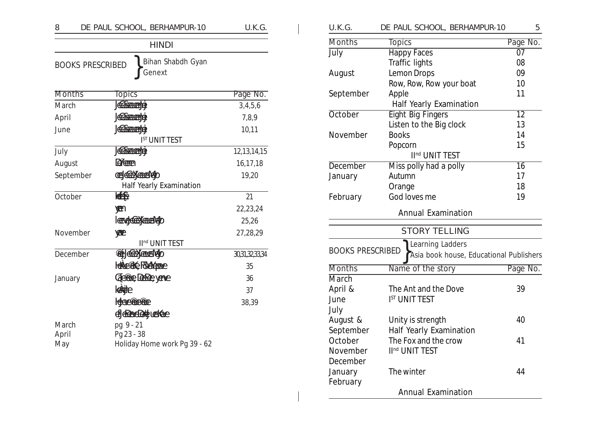| 8             | DE PAUL SCHOOL, BERHAMPUR-10                           | U.K.G.         |
|---------------|--------------------------------------------------------|----------------|
|               | <b>HINDI</b>                                           |                |
|               | Bihan Shabdh Gyan<br><b>BOOKS PRESCRIBED</b><br>Genext |                |
| <b>Months</b> | <b>Topics</b>                                          | Page No.       |
| March         | <b>Reference</b>                                       | 3,4,5,6        |
| April         | <b>ABROTTERY</b>                                       | 7,8,9          |
| June          | <b>ABRAHEDE</b>                                        | 10,11          |
|               | <b>IST UNIT TEST</b>                                   |                |
| July          | <b>Reference</b>                                       | 12, 13, 14, 15 |
| August        | <b>Drame</b>                                           | 16,17,18       |
| September     | <b>CES REEX ACCESSARY</b>                              | 19,20          |
|               | <b>Half Yearly Examination</b>                         |                |
| October       | (条件)                                                   | 21             |
|               | <b>WE</b>                                              | 22,23,24       |
|               | <b>I GENGLICO X ACTENTIADO</b>                         | 25,26          |
| November      | YERE                                                   | 27,28,29       |
|               | II <sup>nd</sup> UNIT TEST                             |                |
| December      | <b>Pet AGEX ACTES ADD</b>                              | 30,31,32,33,34 |
|               | HeAustric FANA Appro                                   | 35             |
| January       | GE POOR DEBREYENG                                      | 36             |
|               | kande                                                  | 37             |
|               | Hebberger en                                           | 38,39          |
|               | d Reddtjuske                                           |                |
| March         | pg 9 - 21                                              |                |
| April         | Pg 23 - 38                                             |                |
| May           | Holiday Home work Pg 39 - 62                           |                |

| U.K.G.                  | DE PAUL SCHOOL, BERHAMPUR-10            | 5               |
|-------------------------|-----------------------------------------|-----------------|
| <b>Months</b>           | <b>Topics</b>                           | Page No.        |
| July                    | <b>Happy Faces</b>                      | $\overline{07}$ |
|                         | Traffic lights                          | 08              |
| August                  | Lemon Drops                             | 09              |
|                         | Row, Row, Row your boat                 | 10              |
| September               | Apple                                   | 11              |
|                         | Half Yearly Examination                 |                 |
| <b>October</b>          | <b>Eight Big Fingers</b>                | $\overline{12}$ |
|                         | Listen to the Big clock                 | 13              |
| November                | <b>Books</b>                            | 14              |
|                         | Popcorn                                 | 15              |
|                         | II <sup>nd</sup> UNIT TEST              |                 |
| <b>December</b>         | Miss polly had a polly                  | $\overline{16}$ |
| January                 | Autumn                                  | 17              |
|                         | Orange                                  | 18              |
| February                | God loves me                            | 19              |
|                         | <b>Annual Examination</b>               |                 |
|                         | <b>STORY TELLING</b>                    |                 |
|                         | Learning Ladders                        |                 |
| <b>BOOKS PRESCRIBED</b> | Asia book house, Educational Publishers |                 |
| <b>Months</b>           | Name of the story                       | Page No.        |
| <b>March</b>            |                                         |                 |
| April &                 | The Ant and the Dove                    | 39              |
| June                    | <b>IST UNIT TEST</b>                    |                 |
| July                    |                                         |                 |
| August &                | Unity is strength                       | 40              |
| September               | Half Yearly Examination                 |                 |
| October                 | The Fox and the crow                    | 41              |
| November                | II <sup>nd</sup> UNIT TEST              |                 |
| December                |                                         |                 |
| January                 | The winter                              | 44              |
| February                |                                         |                 |
|                         | <b>Annual Examination</b>               |                 |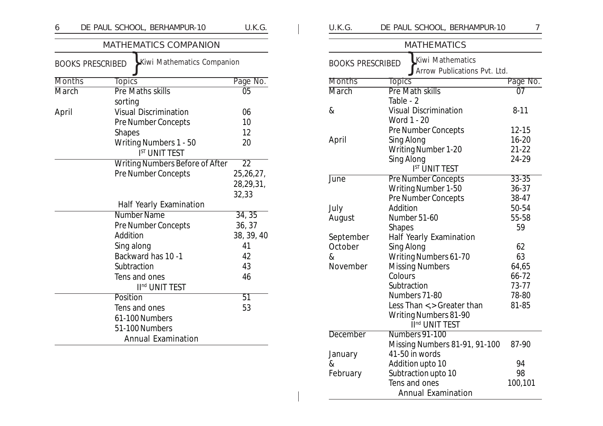| DE PAUL SCHOOL, BERHAMPUR-10           | U.K.G.                                                                       |
|----------------------------------------|------------------------------------------------------------------------------|
| <b>MATHEMATICS COMPANION</b>           |                                                                              |
| Kiwi Mathematics Companion             |                                                                              |
| <b>Topics</b>                          | Page No.                                                                     |
|                                        | $\overline{05}$                                                              |
| sorting                                |                                                                              |
| <b>Visual Discrimination</b>           | 06                                                                           |
| <b>Pre Number Concepts</b>             | 10                                                                           |
| <b>Shapes</b>                          | 12                                                                           |
| <b>Writing Numbers 1 - 50</b>          | 20                                                                           |
| <b>IST UNIT TEST</b>                   |                                                                              |
| <b>Writing Numbers Before of After</b> | $\overline{22}$                                                              |
| <b>Pre Number Concepts</b>             | 25,26,27,                                                                    |
|                                        | 28,29,31,                                                                    |
|                                        | 32,33                                                                        |
| Half Yearly Examination                |                                                                              |
| <b>Number Name</b>                     | 34, 35                                                                       |
| <b>Pre Number Concepts</b>             | 36, 37                                                                       |
| Addition                               | 38, 39, 40                                                                   |
| Sing along                             | 41                                                                           |
| Backward has 10 -1                     | 42                                                                           |
| Subtraction                            | 43                                                                           |
| Tens and ones                          | 46                                                                           |
| II <sup>nd</sup> UNIT TEST             |                                                                              |
| Position                               | 51                                                                           |
| Tens and ones                          | 53                                                                           |
| 61-100 Numbers                         |                                                                              |
| 51-100 Numbers                         |                                                                              |
| <b>Annual Examination</b>              |                                                                              |
|                                        | <b>BOOKS PRESCRIBED</b><br><b>Months</b><br>March<br><b>Pre Maths skills</b> |

| U.K.G.                  | DE PAUL SCHOOL, BERHAMPUR-10   | 7         |
|-------------------------|--------------------------------|-----------|
|                         | <b>MATHEMATICS</b>             |           |
| <b>BOOKS PRESCRIBED</b> | Kiwi Mathematics               |           |
|                         | Arrow Publications Pvt. Ltd.   |           |
| <b>Months</b>           | <b>Topics</b>                  | Page No.  |
| <b>March</b>            | <b>Pre Math skills</b>         | 07        |
|                         | Table - 2                      |           |
| &                       | <b>Visual Discrimination</b>   | $8 - 11$  |
|                         | Word 1 - 20                    |           |
|                         | Pre Number Concepts            | 12-15     |
| April                   | Sing Along                     | $16 - 20$ |
|                         | <b>Writing Number 1-20</b>     | $21 - 22$ |
|                         | Sing Along                     | 24-29     |
|                         | <b>IST UNIT TEST</b>           |           |
| <b>June</b>             | <b>Pre Number Concepts</b>     | $33 - 35$ |
|                         | Writing Number 1-50            | $36 - 37$ |
|                         | <b>Pre Number Concepts</b>     | 38-47     |
| July                    | Addition                       | 50-54     |
| August                  | Number 51-60                   | 55-58     |
|                         | <b>Shapes</b>                  | 59        |
| September               | <b>Half Yearly Examination</b> |           |
| October                 | Sing Along                     | 62        |
| &                       | Writing Numbers 61-70          | 63        |
| November                | <b>Missing Numbers</b>         | 64,65     |
|                         | Colours                        | 66-72     |
|                         | Subtraction                    | 73-77     |
|                         | Numbers 71-80                  | 78-80     |
|                         | Less Than <,> Greater than     | 81-85     |
|                         | <b>Writing Numbers 81-90</b>   |           |
|                         | II <sup>nd</sup> UNIT TEST     |           |
| <b>December</b>         | Numbers 91-100                 |           |
|                         | Missing Numbers 81-91, 91-100  | 87-90     |
| January                 | 41-50 in words                 |           |
| &                       | Addition upto 10               | 94        |
| February                | Subtraction upto 10            | 98        |
|                         | Tens and ones                  | 100,101   |
|                         | <b>Annual Examination</b>      |           |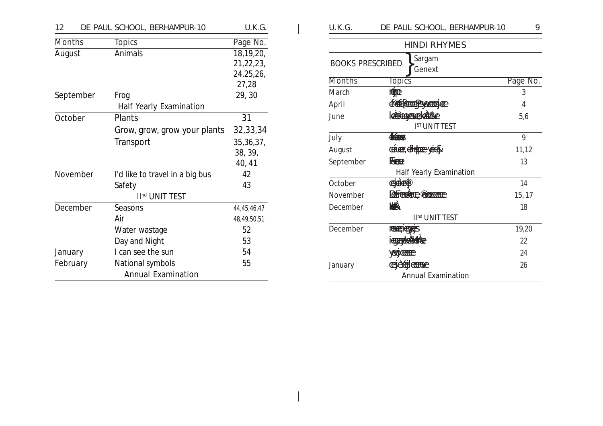| 12            | DE PAUL SCHOOL, BERHAMPUR-10    | U.K.G.      |
|---------------|---------------------------------|-------------|
| <b>Months</b> | <b>Topics</b>                   | Page No.    |
| August        | Animals                         | 18,19,20,   |
|               |                                 | 21,22,23,   |
|               |                                 | 24,25,26,   |
|               |                                 | 27,28       |
| September     | Frog                            | 29,30       |
|               | Half Yearly Examination         |             |
| October       | Plants                          | 31          |
|               | Grow, grow, grow your plants    | 32, 33, 34  |
|               | Transport                       | 35, 36, 37, |
|               |                                 | 38, 39,     |
|               |                                 | 40, 41      |
| November      | I'd like to travel in a big bus | 42          |
|               | Safety                          | 43          |
|               | II <sup>nd</sup> UNIT TEST      |             |
| December      | Seasons                         | 44,45,46,47 |
|               | Air                             | 48,49,50,51 |
|               | Water wastage                   | 52          |
|               | Day and Night                   | 53          |
| January       | I can see the sun               | 54          |
| February      | National symbols                | 55          |
|               | <b>Annual Examination</b>       |             |

| U.K.G.                  | DE PAUL SCHOOL, BERHAMPUR-10   | 9        |
|-------------------------|--------------------------------|----------|
|                         | <b>HINDI RHYMES</b>            |          |
| <b>BOOKS PRESCRIBED</b> | Sargam<br>Genext               |          |
| <b>Months</b>           | <b>Topics</b>                  | Page No. |
| March                   | retræ                          | 3        |
| April                   | Centempsycan                   | 4        |
| June                    | KABALARENEKARKE                | 5,6      |
|                         | <b>IST UNIT TEST</b>           |          |
| July                    | <b>CEODES</b>                  | 9        |
| August                  | CELLER, CFELTER YORK           | 11,12    |
| September               | <b>REEQ</b>                    | 13       |
|                         | <b>Half Yearly Examination</b> |          |
| October                 | CHICLE                         | 14       |
| November                | Refree to comme                | 15, 17   |
| December                | <b>KAN</b>                     | 18       |
|                         | II <sup>nd</sup> UNIT TEST     |          |
| December                | <b>RESERVED SERVED</b>         | 19,20    |
|                         | <b>icorrespondente</b>         | 22       |
|                         | <b>ADCHIE</b>                  | 24       |
| January                 | <b>CERCHGERAL</b>              | 26       |
|                         | <b>Annual Examination</b>      |          |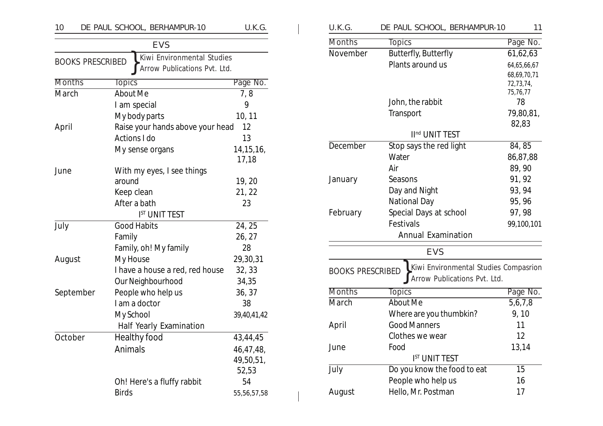| 10            | DE PAUL SCHOOL, BERHAMPUR-10                            | U.K.G.         | U.K.G.        | DE PAUL SCHOOL, BERHAMPUR-10                                     | 11                    |
|---------------|---------------------------------------------------------|----------------|---------------|------------------------------------------------------------------|-----------------------|
|               | <b>EVS</b>                                              |                | <b>Months</b> | <b>Topics</b>                                                    | Page No.              |
|               | Kiwi Environmental Studies                              |                | November      | Butterfly, Butterfly                                             | 61,62,63              |
|               | <b>BOOKS PRESCRIBED</b><br>Arrow Publications Pvt. Ltd. |                |               | Plants around us                                                 | 64,65,66,67           |
|               |                                                         |                |               |                                                                  | 68,69,70,71           |
| <b>Months</b> | <b>Topics</b>                                           | Page No.       |               |                                                                  | 72,73,74,<br>75,76,77 |
| March         | About Me                                                | 7,8            |               | John, the rabbit                                                 | 78                    |
|               | I am special                                            | 9              |               | Transport                                                        | 79,80,81,             |
|               | My body parts                                           | 10, 11         |               |                                                                  | 82,83                 |
| April         | Raise your hands above your head                        | 12             |               | II <sup>nd</sup> UNIT TEST                                       |                       |
|               | Actions I do                                            | 13             | December      | Stop says the red light                                          | 84, 85                |
|               | My sense organs                                         | 14, 15, 16,    |               | Water                                                            | 86,87,88              |
|               |                                                         | 17,18          |               | Air                                                              | 89,90                 |
| June          | With my eyes, I see things                              |                | January       | Seasons                                                          | 91, 92                |
|               | around                                                  | 19, 20         |               |                                                                  | 93, 94                |
|               | Keep clean                                              | 21, 22         |               | Day and Night<br>National Day                                    |                       |
|               | After a bath                                            | 23             |               |                                                                  | 95, 96                |
|               | <b>IST UNIT TEST</b>                                    |                | February      | Special Days at school                                           | 97, 98                |
| July          | <b>Good Habits</b>                                      | 24, 25         |               | Festivals                                                        | 99,100,101            |
|               | Family                                                  | 26, 27         |               | <b>Annual Examination</b>                                        |                       |
|               | Family, oh! My family                                   | 28             |               | <b>EVS</b>                                                       |                       |
| August        | My House                                                | 29,30,31       |               |                                                                  |                       |
|               | I have a house a red, red house                         | 32, 33         |               | Kiwi Environmental Studies Compasrion<br><b>BOOKS PRESCRIBED</b> |                       |
|               | Our Neighbourhood                                       | 34,35          |               | Arrow Publications Pvt. Ltd.                                     |                       |
| September     | People who help us                                      | 36, 37         | <b>Months</b> | <b>Topics</b>                                                    | Page No.              |
|               | I am a doctor                                           | 38             | March         | About Me                                                         | 5,6,7,8               |
|               | My School                                               | 39,40,41,42    |               | Where are you thumbkin?                                          | 9, 10                 |
|               | Half Yearly Examination                                 |                | April         | <b>Good Manners</b>                                              | 11                    |
| October       | Healthy food                                            | 43,44,45       |               | Clothes we wear                                                  | 12                    |
|               | Animals                                                 | 46,47,48,      | June          | Food                                                             | 13,14                 |
|               |                                                         | 49,50,51,      |               | <b>IST UNIT TEST</b>                                             |                       |
|               |                                                         | 52,53          | July          | Do you know the food to eat                                      | 15                    |
|               | Oh! Here's a fluffy rabbit                              | 54             |               | People who help us                                               | 16                    |
|               | <b>Birds</b>                                            | 55, 56, 57, 58 | August        | Hello, Mr. Postman                                               | 17                    |

| U.K.G.                  | DE PAUL SCHOOL, BERHAMPUR-10                                          | 11             |
|-------------------------|-----------------------------------------------------------------------|----------------|
| <b>Months</b>           | <b>Topics</b>                                                         | Page No.       |
| November                | Butterfly, Butterfly                                                  | 61,62,63       |
|                         | Plants around us                                                      | 64,65,66,67    |
|                         |                                                                       | 68,69,70,71    |
|                         |                                                                       | 72,73,74,      |
|                         | John, the rabbit                                                      | 75,76,77<br>78 |
|                         | Transport                                                             | 79,80,81,      |
|                         |                                                                       | 82,83          |
|                         | II <sup>nd</sup> UNIT TEST                                            |                |
| December                | Stop says the red light                                               | 84,85          |
|                         | Water                                                                 | 86,87,88       |
|                         | Air                                                                   | 89,90          |
| January                 | Seasons                                                               | 91, 92         |
|                         | Day and Night                                                         | 93, 94         |
|                         | National Day                                                          | 95, 96         |
| February                | Special Days at school                                                | 97, 98         |
|                         | Festivals                                                             | 99,100,101     |
|                         | <b>Annual Examination</b>                                             |                |
|                         | <b>EVS</b>                                                            |                |
| <b>BOOKS PRESCRIBED</b> | Kiwi Environmental Studies Compasrion<br>Arrow Publications Pvt. Ltd. |                |
| <b>Months</b>           | <b>Topics</b>                                                         | Page No.       |
| March                   | About Me                                                              | 5,6,7,8        |
|                         | Where are you thumbkin?                                               | 9, 10          |
| April                   | <b>Good Manners</b>                                                   | 11             |
|                         | Clothes we wear                                                       | 12             |
| June                    | Food                                                                  | 13,14          |
|                         | <b>IST UNIT TEST</b>                                                  |                |
| July                    | Do you know the food to eat                                           | 15             |
|                         | People who help us                                                    | 16             |
| August                  | Hello, Mr. Postman                                                    | 17             |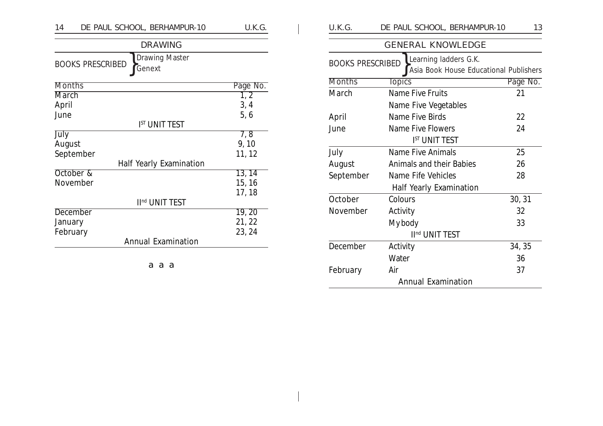| DE PAUL SCHOOL, BERHAMPUR-10<br>14                  | U.K.G.     | U.K.G.                  | DE PAUL SCHOOL, BERHAMPUR-10                                    | 13       |
|-----------------------------------------------------|------------|-------------------------|-----------------------------------------------------------------|----------|
| <b>DRAWING</b>                                      |            |                         | <b>GENERAL KNOWLEDGE</b>                                        |          |
| Drawing Master<br><b>BOOKS PRESCRIBED</b><br>Genext |            | <b>BOOKS PRESCRIBED</b> | Learning ladders G.K.<br>Asia Book House Educational Publishers |          |
| <b>Months</b>                                       | Page No.   | <b>Months</b>           | <b>Topics</b>                                                   | Page No. |
| <b>March</b>                                        | $\sqrt{2}$ | March                   | Name Five Fruits                                                | 21       |
| April                                               | 3, 4       |                         | Name Five Vegetables                                            |          |
| June                                                | 5, 6       | April                   | Name Five Birds                                                 | 22       |
| <b>IST UNIT TEST</b>                                |            | June                    | Name Five Flowers                                               | 24       |
| July                                                | 7, 8       |                         | <b>IST UNIT TEST</b>                                            |          |
| August                                              | 9, 10      | July                    | <b>Name Five Animals</b>                                        | 25       |
| September<br>Half Yearly Examination                | 11, 12     | August                  | Animals and their Babies                                        | 26       |
| October &                                           | 13, 14     | September               | Name Fife Vehicles                                              | 28       |
| November                                            | 15, 16     |                         | <b>Half Yearly Examination</b>                                  |          |
| II <sup>nd</sup> UNIT TEST                          | 17, 18     | October                 | Colours                                                         | 30, 31   |
| <b>December</b>                                     | 19, 20     | November                | Activity                                                        | 32       |
| January                                             | 21, 22     |                         | My body                                                         | 33       |
| February                                            | 23, 24     |                         | II <sup>nd</sup> UNIT TEST                                      |          |
| <b>Annual Examination</b>                           |            | December                | Activity                                                        | 34, 35   |
|                                                     |            |                         | Water                                                           | 36       |
|                                                     |            |                         |                                                                 |          |

aaa

February Air 37

Annual Examination

 $\overline{\phantom{0}}$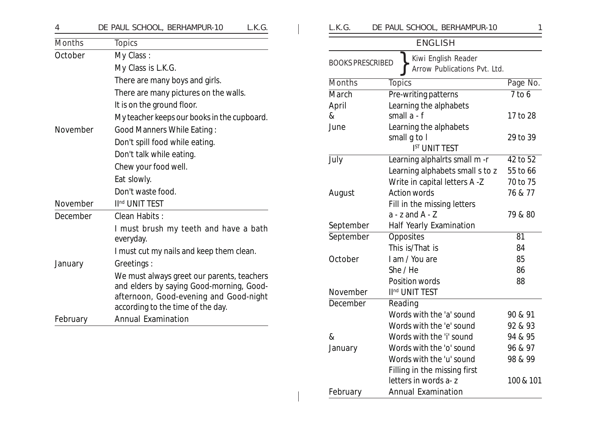|  | DE PAUL SCHOOL, BERHAMPUR-10 |  |
|--|------------------------------|--|
|  |                              |  |

| <b>Months</b> | <b>Topics</b>                                                                                                                                                         |
|---------------|-----------------------------------------------------------------------------------------------------------------------------------------------------------------------|
| October       | My Class:                                                                                                                                                             |
|               | My Class is L.K.G.                                                                                                                                                    |
|               | There are many boys and girls.                                                                                                                                        |
|               | There are many pictures on the walls.                                                                                                                                 |
|               | It is on the ground floor.                                                                                                                                            |
|               | My teacher keeps our books in the cupboard.                                                                                                                           |
| November      | <b>Good Manners While Eating:</b>                                                                                                                                     |
|               | Don't spill food while eating.                                                                                                                                        |
|               | Don't talk while eating.                                                                                                                                              |
|               | Chew your food well.                                                                                                                                                  |
|               | Eat slowly.                                                                                                                                                           |
|               | Don't waste food.                                                                                                                                                     |
| November      | II <sup>nd</sup> UNIT TEST                                                                                                                                            |
| December      | Clean Habits:                                                                                                                                                         |
|               | I must brush my teeth and have a bath<br>everyday.                                                                                                                    |
|               | I must cut my nails and keep them clean.                                                                                                                              |
| January       | Greetings:                                                                                                                                                            |
|               | We must always greet our parents, teachers<br>and elders by saying Good-morning, Good-<br>afternoon, Good-evening and Good-night<br>according to the time of the day. |
|               | <b>Annual Examination</b>                                                                                                                                             |

| L.K.G.                  | DE PAUL SCHOOL, BERHAMPUR-10                        | 1         |
|-------------------------|-----------------------------------------------------|-----------|
|                         | <b>ENGLISH</b>                                      |           |
| <b>BOOKS PRESCRIBED</b> | Kiwi English Reader<br>Arrow Publications Pvt. Ltd. |           |
| <b>Months</b>           | <b>Topics</b>                                       | Page No.  |
| March                   | Pre-writing patterns                                | $7$ to 6  |
| April                   | Learning the alphabets                              |           |
| &                       | small $a - f$                                       | 17 to 28  |
| June                    | Learning the alphabets                              |           |
|                         | small g to I                                        | 29 to 39  |
|                         | <b>IST UNIT TEST</b>                                |           |
| July                    | Learning alphalrts small m-r                        | 42 to 52  |
|                         | Learning alphabets small s to z                     | 55 to 66  |
|                         | Write in capital letters A -Z                       | 70 to 75  |
| August                  | <b>Action words</b>                                 | 76 & 77   |
|                         | Fill in the missing letters                         |           |
|                         | $a - z$ and $A - Z$                                 | 79 & 80   |
| September               | Half Yearly Examination                             |           |
| September               | Opposites                                           | 81        |
|                         | This is/That is                                     | 84        |
| October                 | I am / You are                                      | 85        |
|                         | She / He                                            | 86        |
|                         | Position words                                      | 88        |
| November                | II <sup>nd</sup> UNIT TEST                          |           |
| December                | Reading                                             |           |
|                         | Words with the 'a' sound                            | 90 & 91   |
|                         | Words with the 'e' sound                            | 92 & 93   |
| &                       | Words with the 'i' sound                            | 94 & 95   |
| January                 | Words with the 'o' sound                            | 96 & 97   |
|                         | Words with the 'u' sound                            | 98 & 99   |
|                         | Filling in the missing first                        |           |
|                         | letters in words a-z                                | 100 & 101 |
| February                | <b>Annual Examination</b>                           |           |
|                         |                                                     |           |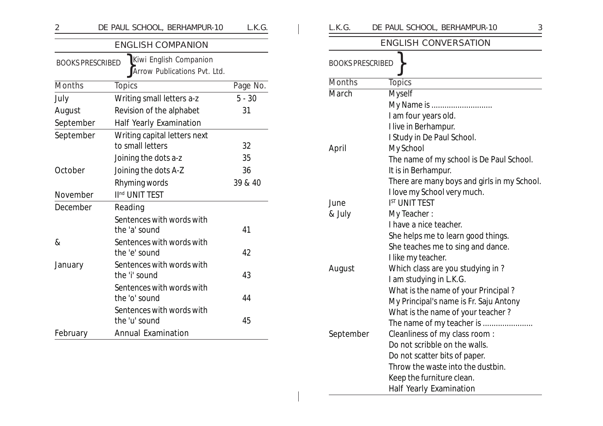| $\overline{c}$          | DE PAUL SCHOOL, BERHAMPUR-10                           | L.K.G.   |
|-------------------------|--------------------------------------------------------|----------|
|                         | <b>ENGLISH COMPANION</b>                               |          |
| <b>BOOKS PRESCRIBED</b> | Kiwi English Companion<br>Arrow Publications Pvt. Ltd. |          |
| <b>Months</b>           | <b>Topics</b>                                          | Page No. |
| July                    | Writing small letters a-z                              | $5 - 30$ |
| August                  | Revision of the alphabet                               | 31       |
| September               | <b>Half Yearly Examination</b>                         |          |
| September               | Writing capital letters next<br>to small letters       | 32       |
|                         | Joining the dots a-z                                   | 35       |
| October                 | Joining the dots A-Z                                   | 36       |
|                         | Rhyming words                                          | 39 & 40  |
| November                | II <sup>nd</sup> UNIT TEST                             |          |
| December                | Reading                                                |          |
|                         | Sentences with words with<br>the 'a' sound             | 41       |
| &                       | Sentences with words with<br>the 'e' sound             | 42       |
| January                 | Sentences with words with<br>the 'i' sound             | 43       |
|                         | Sentences with words with<br>the 'o' sound             | 44       |
|                         | Sentences with words with<br>the 'u' sound             | 45       |
| February                | <b>Annual Examination</b>                              |          |

| L.K.G.                  | DE PAUL SCHOOL, BERHAMPUR-10<br>3           |
|-------------------------|---------------------------------------------|
|                         | <b>ENGLISH CONVERSATION</b>                 |
| <b>BOOKS PRESCRIBED</b> |                                             |
| Months                  | <b>Topics</b>                               |
| March                   | <b>Myself</b>                               |
|                         | My Name is                                  |
|                         | I am four years old.                        |
|                         | I live in Berhampur.                        |
|                         | I Study in De Paul School.                  |
| April                   | My School                                   |
|                         | The name of my school is De Paul School.    |
|                         | It is in Berhampur.                         |
|                         | There are many boys and girls in my School. |
|                         | I love my School very much.                 |
| June                    | <b>IST UNIT TEST</b>                        |
| & July                  | My Teacher:                                 |
|                         | I have a nice teacher.                      |
|                         | She helps me to learn good things.          |
|                         | She teaches me to sing and dance.           |
|                         | I like my teacher.                          |
| August                  | Which class are you studying in ?           |
|                         | I am studying in L.K.G.                     |
|                         | What is the name of your Principal?         |
|                         | My Principal's name is Fr. Saju Antony      |
|                         | What is the name of your teacher?           |
|                         | The name of my teacher is                   |
| September               | Cleanliness of my class room:               |
|                         | Do not scribble on the walls.               |
|                         | Do not scatter bits of paper.               |
|                         | Throw the waste into the dustbin.           |
|                         | Keep the furniture clean.                   |
|                         | <b>Half Yearly Examination</b>              |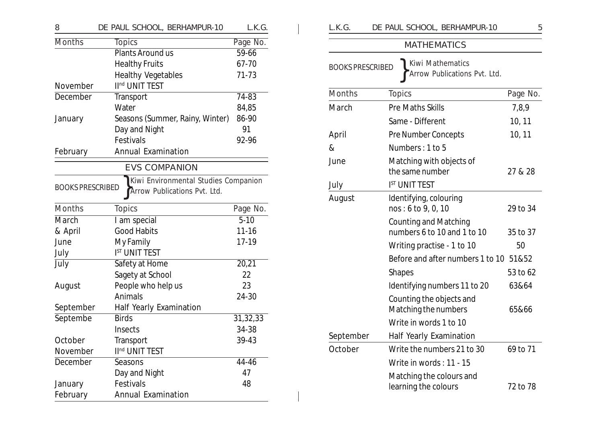| 8                       | DE PAUL SCHOOL, BERHAMPUR-10                                         | L.K.G.    |
|-------------------------|----------------------------------------------------------------------|-----------|
| <b>Months</b>           | <b>Topics</b>                                                        | Page No.  |
|                         | Plants Around us                                                     | 59-66     |
|                         | <b>Healthy Fruits</b>                                                | 67-70     |
|                         | <b>Healthy Vegetables</b>                                            | 71-73     |
| November                | II <sup>nd</sup> UNIT TEST                                           |           |
| December                | Transport                                                            | 74-83     |
|                         | Water                                                                | 84,85     |
| January                 | Seasons (Summer, Rainy, Winter)                                      | 86-90     |
|                         | Day and Night                                                        | 91        |
|                         | Festivals                                                            | 92-96     |
| February                | <b>Annual Examination</b>                                            |           |
|                         | <b>EVS COMPANION</b>                                                 |           |
| <b>BOOKS PRESCRIBED</b> | Kiwi Environmental Studies Companion<br>Arrow Publications Pvt. Ltd. |           |
| <b>Months</b>           | <b>Topics</b>                                                        | Page No.  |
| March                   | I am special                                                         | $5 - 10$  |
| & April                 | <b>Good Habits</b>                                                   | $11 - 16$ |
| June                    | My Family                                                            | 17-19     |
| July                    | <b>IST UNIT TEST</b>                                                 |           |
| July                    | Safety at Home                                                       | 20,21     |
|                         | Sagety at School                                                     | 22        |
| August                  | People who help us                                                   | 23        |
|                         | Animals                                                              | 24-30     |
| September               | Half Yearly Examination                                              |           |
| Septembe                | <b>Birds</b>                                                         | 31,32,33  |
|                         | Insects                                                              | 34-38     |
| October                 | Transport                                                            | 39-43     |
| November                | II <sup>nd</sup> UNIT TEST                                           |           |
| December                | Seasons                                                              | 44-46     |
|                         | Day and Night                                                        | 47        |
| January                 | Festivals                                                            | 48        |
| February                | <b>Annual Examination</b>                                            |           |

| L.K.G.                  | DE PAUL SCHOOL, BERHAMPUR-10                                | 5        |
|-------------------------|-------------------------------------------------------------|----------|
|                         | <b>MATHEMATICS</b>                                          |          |
| <b>BOOKS PRESCRIBED</b> | Kiwi Mathematics<br>Arrow Publications Pvt. Ltd.            |          |
| <b>Months</b>           | <b>Topics</b>                                               | Page No. |
| March                   | <b>Pre Maths Skills</b>                                     | 7,8,9    |
|                         | Same - Different                                            | 10, 11   |
| April                   | Pre Number Concepts                                         | 10, 11   |
| $\&$                    | Numbers: 1 to 5                                             |          |
| June                    | Matching with objects of<br>the same number                 | 27 & 28  |
| July                    | <b>IST UNIT TEST</b>                                        |          |
| August                  | Identifying, colouring<br>nos: 6 to 9, 0, 10                | 29 to 34 |
|                         | <b>Counting and Matching</b><br>numbers 6 to 10 and 1 to 10 | 35 to 37 |
|                         | Writing practise - 1 to 10                                  | 50       |
|                         | Before and after numbers 1 to 10                            | 51&52    |
|                         | <b>Shapes</b>                                               | 53 to 62 |
|                         | Identifying numbers 11 to 20                                | 63&64    |
|                         | Counting the objects and<br>Matching the numbers            | 65&66    |
|                         | Write in words 1 to 10                                      |          |
| September               | Half Yearly Examination                                     |          |
| October                 | Write the numbers 21 to 30                                  | 69 to 71 |
|                         | Write in words: 11 - 15                                     |          |
|                         | Matching the colours and<br>learning the colours            | 72 to 78 |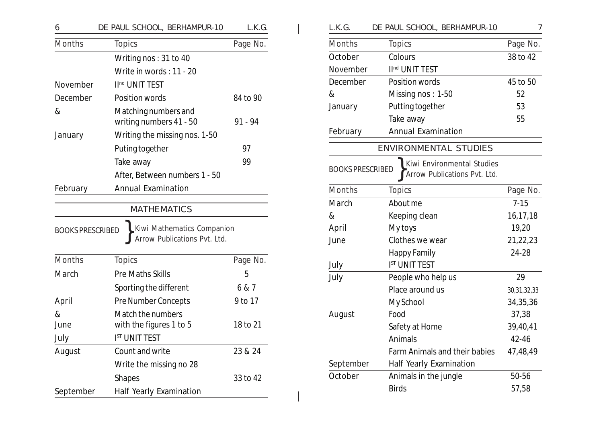| 6                       | DE PAUL SCHOOL, BERHAMPUR-10                                                     | L.K.G.   |
|-------------------------|----------------------------------------------------------------------------------|----------|
| <b>Months</b>           | <b>Topics</b>                                                                    | Page No. |
|                         | Writing nos: 31 to 40                                                            |          |
|                         | Write in words: 11 - 20                                                          |          |
| November                | II <sup>nd</sup> UNIT TEST                                                       |          |
| December                | Position words                                                                   | 84 to 90 |
| &                       | Matching numbers and<br>writing numbers 41 - 50                                  | 91 - 94  |
| January                 | Writing the missing nos. 1-50                                                    |          |
|                         | Puting together                                                                  | 97       |
|                         | Take away                                                                        | 99       |
|                         | After, Between numbers 1 - 50                                                    |          |
| February                | <b>Annual Examination</b>                                                        |          |
| <b>BOOKS PRESCRIBED</b> | <b>MATHEMATICS</b><br>Kiwi Mathematics Companion<br>Arrow Publications Pvt. Ltd. |          |
| Months                  | <b>Topics</b>                                                                    | Page No. |
| March                   | <b>Pre Maths Skills</b>                                                          | 5        |
|                         | Sporting the different                                                           | 6 & 7    |
| April                   | <b>Pre Number Concepts</b>                                                       | 9 to 17  |
| &<br>June<br>July       | Match the numbers<br>with the figures 1 to 5<br>I <sup>ST</sup> UNIT TEST        | 18 to 21 |
| August                  | Count and write                                                                  | 23 & 24  |
|                         | Write the missing no 28                                                          |          |
|                         | <b>Shapes</b>                                                                    | 33 to 42 |
| September               | Half Yearly Examination                                                          |          |

| Months<br><b>Topics</b>                | Page No.                                                                                                                                                    |
|----------------------------------------|-------------------------------------------------------------------------------------------------------------------------------------------------------------|
| October<br>Colours                     | 38 to 42                                                                                                                                                    |
| II <sup>nd</sup> UNIT TEST<br>November |                                                                                                                                                             |
| December<br>Position words             | 45 to 50                                                                                                                                                    |
| Missing nos: 1-50                      | 52                                                                                                                                                          |
| Putting together<br>January            | 53                                                                                                                                                          |
| Take away                              | 55                                                                                                                                                          |
| <b>Annual Examination</b><br>February  |                                                                                                                                                             |
|                                        |                                                                                                                                                             |
| <b>BOOKS PRESCRIBED</b>                |                                                                                                                                                             |
| <b>Months</b><br><b>Topics</b>         | Page No.                                                                                                                                                    |
| About me                               | $7 - 15$                                                                                                                                                    |
| Keeping clean                          | 16,17,18                                                                                                                                                    |
| My toys                                | 19,20                                                                                                                                                       |
| Clothes we wear                        | 21,22,23                                                                                                                                                    |
| <b>Happy Family</b>                    | 24-28                                                                                                                                                       |
| <b>IST UNIT TEST</b>                   |                                                                                                                                                             |
| People who help us                     | 29                                                                                                                                                          |
| Place around us                        | 30, 31, 32, 33                                                                                                                                              |
| My School                              | 34,35,36                                                                                                                                                    |
| Food                                   | 37,38                                                                                                                                                       |
| Safety at Home                         | 39,40,41                                                                                                                                                    |
| Animals                                | 42-46                                                                                                                                                       |
|                                        | 47,48,49                                                                                                                                                    |
| September<br>Half Yearly Examination   |                                                                                                                                                             |
| October<br>Animals in the jungle       | 50-56                                                                                                                                                       |
| <b>Birds</b>                           | 57,58                                                                                                                                                       |
|                                        | DE PAUL SCHOOL, BERHAMPUR-10<br><b>ENVIRONMENTAL STUDIES</b><br>Kiwi Environmental Studies<br>Arrow Publications Pvt. Ltd.<br>Farm Animals and their babies |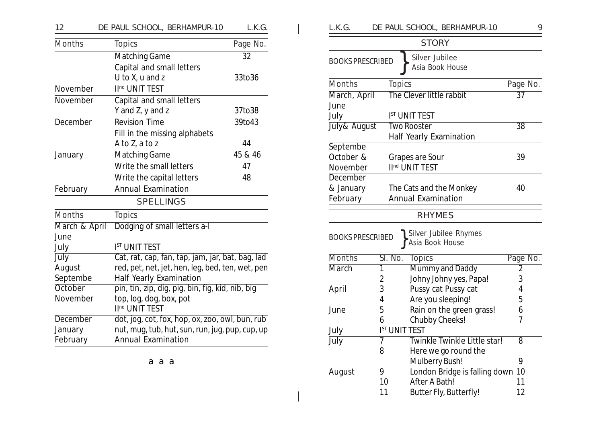| 12              | DE PAUL SCHOOL, BERHAMPUR-10                          | L.K.G.   |  |  |
|-----------------|-------------------------------------------------------|----------|--|--|
| <b>Months</b>   | <b>Topics</b>                                         | Page No. |  |  |
|                 | <b>Matching Game</b>                                  | 32       |  |  |
|                 | Capital and small letters                             |          |  |  |
|                 | U to X, u and z                                       | 33to36   |  |  |
| November        | II <sup>nd</sup> UNIT TEST                            |          |  |  |
| November        | Capital and small letters                             |          |  |  |
|                 | Y and Z, y and z                                      | 37to38   |  |  |
| December        | <b>Revision Time</b>                                  | 39to43   |  |  |
|                 | Fill in the missing alphabets                         |          |  |  |
|                 | A to Z, a to z                                        | 44       |  |  |
| January         | <b>Matching Game</b>                                  | 45 & 46  |  |  |
|                 | Write the small letters                               | 47       |  |  |
|                 | Write the capital letters                             | 48       |  |  |
| February        | <b>Annual Examination</b>                             |          |  |  |
|                 | <b>SPELLINGS</b>                                      |          |  |  |
| Months          | <b>Topics</b>                                         |          |  |  |
| March & April   | Dodging of small letters a-I                          |          |  |  |
| June            |                                                       |          |  |  |
| July            | <b>IST UNIT TEST</b>                                  |          |  |  |
| July            | Cat, rat, cap, fan, tap, jam, jar, bat, bag, lad      |          |  |  |
| August          | red, pet, net, jet, hen, leg, bed, ten, wet, pen      |          |  |  |
| Septembe        | <b>Half Yearly Examination</b>                        |          |  |  |
| <b>October</b>  | pin, tin, zip, dig, pig, bin, fig, kid, nib, big      |          |  |  |
| November        | top, log, dog, box, pot<br>II <sup>nd</sup> UNIT TEST |          |  |  |
| <b>December</b> | dot, jog, cot, fox, hop, ox, zoo, owl, bun, rub       |          |  |  |
| January         | nut, mug, tub, hut, sun, run, jug, pup, cup, up       |          |  |  |
| February        | <b>Annual Examination</b>                             |          |  |  |

aaa

| L.K.G.                      |                      | DE PAUL SCHOOL, BERHAMPUR-10                  | 9               |
|-----------------------------|----------------------|-----------------------------------------------|-----------------|
|                             |                      | <b>STORY</b>                                  |                 |
| <b>BOOKS PRESCRIBED</b>     |                      | Silver Jubilee<br>Asia Book House             |                 |
| <b>Months</b>               | <b>Topics</b>        |                                               | Page No.        |
| March, April                |                      | The Clever little rabbit                      | $\overline{37}$ |
| June                        |                      |                                               |                 |
| July                        |                      | <b>IST UNIT TEST</b>                          |                 |
| July& August                |                      | <b>Two Rooster</b>                            | 38              |
|                             |                      | Half Yearly Examination                       |                 |
| Septembe                    |                      |                                               |                 |
| October &                   |                      | Grapes are Sour<br>II <sup>nd</sup> UNIT TEST | 39              |
| November<br><b>December</b> |                      |                                               |                 |
| & January                   |                      | The Cats and the Monkey                       | 40              |
| February                    |                      | <b>Annual Examination</b>                     |                 |
|                             |                      |                                               |                 |
|                             |                      | <b>RHYMES</b>                                 |                 |
| <b>BOOKS PRESCRIBED</b>     |                      | Silver Jubilee Rhymes<br>Asia Book House      |                 |
| <b>Months</b>               | Sl. No.              | <b>Topics</b>                                 | Page No.        |
| <b>March</b>                | 1                    | Mummy and Daddy                               | 2               |
|                             | 2                    | Johny Johny yes, Papa!                        | 3               |
| April                       | 3                    | Pussy cat Pussy cat                           | 4               |
|                             | 4                    | Are you sleeping!                             | 5               |
| June                        | 5                    | Rain on the green grass!                      | 6               |
|                             | 6                    | <b>Chubby Cheeks!</b>                         | 7               |
| July                        | <b>IST UNIT TEST</b> |                                               |                 |
| <b>July</b>                 | 7                    | Twinkle Twinkle Little star!                  | 8               |
|                             | 8                    | Here we go round the                          |                 |
|                             |                      | Mulberry Bush!                                | 9               |
| August                      | 9                    | London Bridge is falling down                 | 10              |
|                             | 10                   | After A Bath!                                 | 11              |
|                             | 11                   | Butter Fly, Butterfly!                        | 12              |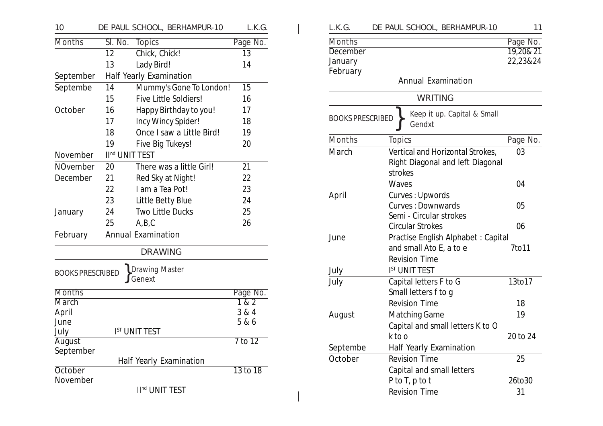| 10                      |                            | DE PAUL SCHOOL, BERHAMPUR-10 | L.K.G.           |
|-------------------------|----------------------------|------------------------------|------------------|
| <b>Months</b>           | Sl. No.                    | <b>Topics</b>                | Page No.         |
|                         | 12                         | Chick, Chick!                | 13               |
|                         | 13                         | Lady Bird!                   | 14               |
| September               |                            | Half Yearly Examination      |                  |
| Septembe                | 14                         | Mummy's Gone To London!      | 15               |
|                         | 15                         | Five Little Soldiers!        | 16               |
| October                 | 16                         | Happy Birthday to you!       | 17               |
|                         | 17                         | Incy Wincy Spider!           | 18               |
|                         | 18                         | Once I saw a Little Bird!    | 19               |
|                         | 19                         | Five Big Tukeys!             | 20               |
| November                | II <sup>nd</sup> UNIT TEST |                              |                  |
| <b>NOvember</b>         | 20                         | There was a little Girl!     | 21               |
| December                | 21                         | Red Sky at Night!            | 22               |
|                         | 22                         | I am a Tea Pot!              | 23               |
|                         | 23                         | Little Betty Blue            | 24               |
| January                 | 24                         | <b>Two Little Ducks</b>      | 25               |
|                         | 25                         | A,B,C                        | 26               |
| February                |                            | <b>Annual Examination</b>    |                  |
|                         |                            | <b>DRAWING</b>               |                  |
| <b>BOOKS PRESCRIBED</b> |                            | Drawing Master<br>Genext     |                  |
| <b>Months</b>           |                            |                              | Page No.         |
| <b>March</b>            |                            |                              | $\overline{182}$ |
| April<br>June           |                            |                              | 3 & 4            |
| July                    |                            | <b>IST UNIT TEST</b>         | 5 & 6            |
| <b>August</b>           |                            |                              | $7$ to 12        |
| September               |                            |                              |                  |
|                         |                            | Half Yearly Examination      |                  |
| October                 |                            |                              | 13 to 18         |
| November                |                            |                              |                  |
|                         |                            | II <sup>nd</sup> UNIT TEST   |                  |

| L.K.G.                                 |               | DE PAUL SCHOOL, BERHAMPUR-10                                         |                      | 11 |
|----------------------------------------|---------------|----------------------------------------------------------------------|----------------------|----|
| Months                                 |               |                                                                      | Page No.             |    |
| <b>December</b><br>January<br>February |               |                                                                      | 19,20&21<br>22,23&24 |    |
|                                        |               | <b>Annual Examination</b>                                            |                      |    |
|                                        |               | <b>WRITING</b>                                                       |                      |    |
| <b>BOOKS PRESCRIBED</b>                |               | Keep it up. Capital & Small<br>Gendxt                                |                      |    |
| <b>Months</b>                          | <b>Topics</b> |                                                                      | Page No.             |    |
| March                                  | strokes       | Vertical and Horizontal Strokes,<br>Right Diagonal and left Diagonal | 03                   |    |
|                                        | Waves         |                                                                      | 04                   |    |
| April                                  |               | Curves: Upwords<br><b>Curves: Downwards</b>                          | 05                   |    |
|                                        |               | Semi - Circular strokes<br><b>Circular Strokes</b>                   | 06                   |    |
| June                                   |               | Practise English Alphabet: Capital                                   |                      |    |
|                                        |               | and small Ato E, a to e                                              | 7to11                |    |
|                                        |               | <b>Revision Time</b>                                                 |                      |    |
| July                                   |               | <b>IST UNIT TEST</b>                                                 |                      |    |
| July                                   |               | Capital letters F to G<br>Small letters f to g                       | 13to17               |    |
|                                        |               | <b>Revision Time</b>                                                 | 18                   |    |
| August                                 |               | <b>Matching Game</b>                                                 | 19                   |    |
|                                        |               | Capital and small letters K to O                                     |                      |    |
|                                        | k to o        |                                                                      | 20 to 24             |    |
| Septembe                               |               | <b>Half Yearly Examination</b>                                       |                      |    |
| October                                |               | <b>Revision Time</b>                                                 | 25                   |    |
|                                        |               | Capital and small letters                                            |                      |    |
|                                        |               | $P$ to $T$ , $p$ to t                                                | 26to30               |    |
|                                        |               | <b>Revision Time</b>                                                 | 31                   |    |
|                                        |               |                                                                      |                      |    |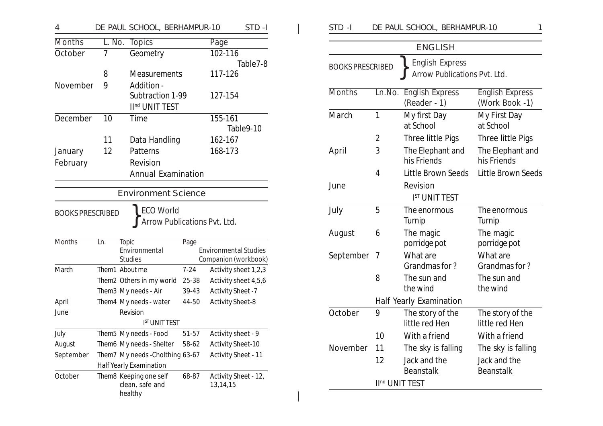| 4                       |        | DE PAUL SCHOOL, BERHAMPUR-10                         |          |                                  | STD-I     |
|-------------------------|--------|------------------------------------------------------|----------|----------------------------------|-----------|
| <b>Months</b>           | L. No. | <b>Topics</b>                                        |          | Page                             |           |
| October                 | 7      | Geometry                                             |          | 102-116                          |           |
|                         |        |                                                      |          |                                  | Table7-8  |
|                         | 8      | <b>Measurements</b>                                  |          | 117-126                          |           |
| November                | 9      | Addition -                                           |          |                                  |           |
|                         |        | Subtraction 1-99                                     |          | 127-154                          |           |
|                         |        | II <sup>nd</sup> UNIT TEST                           |          |                                  |           |
| December                | 10     | Time                                                 |          | 155-161                          |           |
|                         |        |                                                      |          |                                  | Table9-10 |
|                         | 11     | Data Handling                                        |          | 162-167                          |           |
| January                 | 12     | Patterns                                             |          | 168-173                          |           |
| February                |        | Revision                                             |          |                                  |           |
|                         |        | <b>Annual Examination</b>                            |          |                                  |           |
|                         |        | <b>Environment Science</b>                           |          |                                  |           |
|                         |        |                                                      |          |                                  |           |
| <b>BOOKS PRESCRIBED</b> |        | <b>ECO World</b>                                     |          |                                  |           |
|                         |        | Arrow Publications Pvt. Ltd.                         |          |                                  |           |
|                         |        |                                                      |          |                                  |           |
| <b>Months</b>           | Ln.    | <b>Topic</b><br>Environmental                        | Page     | <b>Environmental Studies</b>     |           |
|                         |        | <b>Studies</b>                                       |          | Companion (workbook)             |           |
| March                   |        | Them1 About me                                       | $7 - 24$ | Activity sheet 1,2,3             |           |
|                         |        | Them2 Others in my world                             | 25-38    | Activity sheet 4,5,6             |           |
|                         |        | Them3 My needs - Air                                 | 39-43    | <b>Activity Sheet -7</b>         |           |
| April                   |        | Them4 My needs - water                               | 44-50    | <b>Activity Sheet-8</b>          |           |
| June                    |        | Revision                                             |          |                                  |           |
|                         |        | <b>IST UNIT TEST</b>                                 |          |                                  |           |
| July                    |        | Them5 My needs - Food                                | 51-57    | Activity sheet - 9               |           |
| August                  |        | Them6 My needs - Shelter 58-62                       |          | <b>Activity Sheet-10</b>         |           |
| September               |        | Them7 My needs - Cholthing 63-67                     |          | <b>Activity Sheet - 11</b>       |           |
|                         |        | Half Yearly Examination                              |          |                                  |           |
| October                 |        | Them8 Keeping one self<br>clean, safe and<br>healthy | 68-87    | Activity Sheet - 12,<br>13,14,15 |           |

| STD-I                                                                             | DE PAUL SCHOOL, BERHAMPUR-10<br>1 |                                        |                                          |  |  |
|-----------------------------------------------------------------------------------|-----------------------------------|----------------------------------------|------------------------------------------|--|--|
|                                                                                   |                                   | <b>ENGLISH</b>                         |                                          |  |  |
| <b>English Express</b><br><b>BOOKS PRESCRIBED</b><br>Arrow Publications Pvt. Ltd. |                                   |                                        |                                          |  |  |
| Months                                                                            | Ln.No.                            | <b>English Express</b><br>(Reader - 1) | <b>English Express</b><br>(Work Book -1) |  |  |
| March                                                                             | 1                                 | My first Day<br>at School              | My First Day<br>at School                |  |  |
|                                                                                   | 2                                 | Three little Pigs                      | Three little Pigs                        |  |  |
| April                                                                             | 3                                 | The Elephant and<br>his Friends        | The Elephant and<br>his Friends          |  |  |
|                                                                                   | 4                                 | <b>Little Brown Seeds</b>              | <b>Little Brown Seeds</b>                |  |  |
| June                                                                              |                                   | Revision<br><b>IST UNIT TEST</b>       |                                          |  |  |
| July                                                                              | 5                                 | The enormous<br>Turnip                 | The enormous<br>Turnip                   |  |  |
| August                                                                            | 6                                 | The magic<br>porridge pot              | The magic<br>porridge pot                |  |  |
| September                                                                         | 7                                 | What are<br>Grandmas for?              | What are<br>Grandmas for?                |  |  |
|                                                                                   | 8                                 | The sun and<br>the wind                | The sun and<br>the wind                  |  |  |
|                                                                                   |                                   | <b>Half Yearly Examination</b>         |                                          |  |  |
| October                                                                           | 9                                 | The story of the<br>little red Hen     | The story of the<br>little red Hen       |  |  |
|                                                                                   | 10                                | With a friend                          | With a friend                            |  |  |
| November                                                                          | 11                                | The sky is falling                     | The sky is falling                       |  |  |
|                                                                                   | 12                                | Jack and the<br><b>Beanstalk</b>       | Jack and the<br><b>Beanstalk</b>         |  |  |
| II <sup>nd</sup> UNIT TEST                                                        |                                   |                                        |                                          |  |  |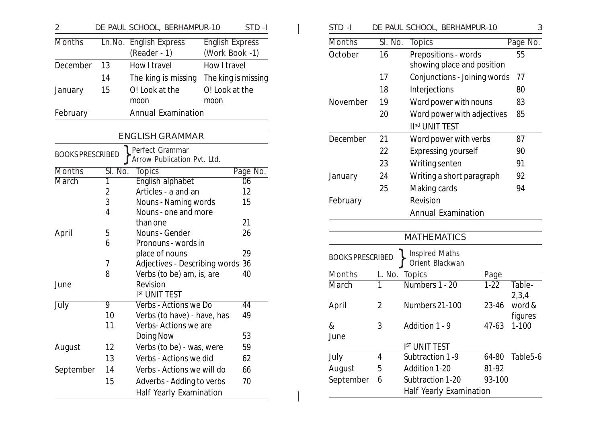| $\overline{2}$          |                | DE PAUL SCHOOL, BERHAMPUR-10                |                        | STD-I               | STD-I                   |                | DE PAUL SCHOOL, BERHAMPUR-10                             |           | 3                    |
|-------------------------|----------------|---------------------------------------------|------------------------|---------------------|-------------------------|----------------|----------------------------------------------------------|-----------|----------------------|
| <b>Months</b>           |                | Ln.No. English Express                      | <b>English Express</b> |                     | <b>Months</b>           | Sl. No.        | <b>Topics</b>                                            |           | Page No.             |
|                         |                | $(Reader - 1)$                              | (Work Book -1)         |                     | October                 | 16             | Prepositions - words                                     |           | 55                   |
| December                | 13             | How I travel                                | How I travel           |                     |                         |                | showing place and position                               |           |                      |
|                         | 14             | The king is missing                         |                        | The king is missing |                         | 17             | Conjunctions - Joining words                             |           | 77                   |
| January                 | 15             | O! Look at the                              | O! Look at the         |                     |                         | 18             | Interjections                                            |           | 80                   |
|                         |                | moon                                        | moon                   |                     | November                | 19             | Word power with nouns                                    |           | 83                   |
| February                |                | <b>Annual Examination</b>                   |                        |                     |                         | 20             | Word power with adjectives<br>II <sup>nd</sup> UNIT TEST |           | 85                   |
|                         |                | <b>ENGLISH GRAMMAR</b>                      |                        |                     | December                | 21             | Word power with verbs                                    |           | 87                   |
| <b>BOOKS PRESCRIBED</b> |                | Perfect Grammar                             |                        |                     |                         | 22             | <b>Expressing yourself</b>                               |           | 90                   |
|                         |                | Arrow Publication Pvt. Ltd.                 |                        |                     |                         | 23             | Writing senten                                           |           | 91                   |
| <b>Months</b>           | Sl. No.        | <b>Topics</b>                               |                        | Page No.            | January                 | 24             | Writing a short paragraph                                |           | 92                   |
| <b>March</b>            |                | English alphabet                            |                        | $\overline{06}$     |                         | 25             | Making cards                                             |           | 94                   |
|                         | 2<br>3         | Articles - a and an<br>Nouns - Naming words |                        | 12<br>15            | February                |                | Revision                                                 |           |                      |
|                         | 4              | Nouns - one and more                        |                        |                     |                         |                | <b>Annual Examination</b>                                |           |                      |
|                         |                | than one                                    |                        | 21                  |                         |                |                                                          |           |                      |
| April                   | 5              | Nouns - Gender                              |                        | 26                  |                         |                |                                                          |           |                      |
|                         | 6              | Pronouns - words in                         |                        |                     |                         |                | <b>MATHEMATICS</b>                                       |           |                      |
|                         |                | place of nouns                              |                        | 29                  | <b>BOOKS PRESCRIBED</b> |                | <b>Inspired Maths</b>                                    |           |                      |
|                         | 7              | Adjectives - Describing words 36            |                        |                     |                         |                | Orient Blackwan                                          |           |                      |
|                         | 8              | Verbs (to be) am, is, are                   |                        | 40                  | <b>Months</b>           |                | L. No. Topics                                            | Page      |                      |
| June                    |                | Revision<br><b>IST UNIT TEST</b>            |                        |                     | March                   | 1              | Numbers 1 - 20                                           | $1-22$    | Table-<br>2,3,4      |
| <b>July</b>             | $\overline{9}$ | Verbs - Actions we Do                       |                        | $\overline{44}$     | April                   | $\overline{2}$ | Numbers 21-100                                           | 23-46     | word &               |
|                         | 10             | Verbs (to have) - have, has                 |                        | 49                  |                         |                |                                                          |           | figures              |
|                         | 11             | Verbs- Actions we are                       |                        |                     | $\&$                    | 3              | Addition 1 - 9                                           | $47 - 63$ | $1 - 100$            |
|                         |                | Doing Now                                   |                        | 53                  | June                    |                |                                                          |           |                      |
| August                  | 12             | Verbs (to be) - was, were                   |                        | 59                  |                         |                | IST UNIT TEST                                            |           |                      |
|                         | 13             | Verbs - Actions we did                      |                        | 62                  | <b>July</b>             | 4              | Subtraction 1-9                                          | $64 - 80$ | Table <sub>5-6</sub> |
| September               | 14             | Verbs - Actions we will do                  |                        | 66                  | August                  | 5              | Addition 1-20                                            | 81-92     |                      |
|                         | 15             | Adverbs - Adding to verbs                   |                        | 70                  | September               | 6              | Subtraction 1-20                                         | 93-100    |                      |
|                         |                | <b>Half Yearly Examination</b>              |                        |                     |                         |                | Half Yearly Examination                                  |           |                      |

| STD-I                   |                | DE PAUL SCHOOL, BERHAMPUR-10                          | 3                    |
|-------------------------|----------------|-------------------------------------------------------|----------------------|
| <b>Months</b>           | Sl. No.        | <b>Topics</b>                                         | Page No.             |
| October                 | 16             | Prepositions - words                                  | 55                   |
|                         |                | showing place and position                            |                      |
|                         | 17             | Conjunctions - Joining words                          | 77                   |
|                         | 18             | Interjections                                         | 80                   |
| November                | 19             | Word power with nouns                                 | 83                   |
|                         | 20             | Word power with adjectives                            | 85                   |
|                         |                | II <sup>nd</sup> UNIT TEST                            |                      |
| December                | 21             | Word power with verbs                                 | 87                   |
|                         | 22             | <b>Expressing yourself</b>                            | 90                   |
|                         | 23             | Writing senten                                        | 91                   |
| January                 | 24             | Writing a short paragraph                             | 92                   |
|                         | 25             | Making cards                                          | 94                   |
| February                |                | Revision                                              |                      |
|                         |                | <b>Annual Examination</b>                             |                      |
|                         |                |                                                       |                      |
|                         |                | <b>MATHEMATICS</b>                                    |                      |
| <b>BOOKS PRESCRIBEI</b> |                | <b>Inspired Maths</b><br>Orient Blackwan              |                      |
| <b>Months</b>           | L. No.         | <b>Topics</b><br>Page                                 |                      |
| March                   | $\overline{1}$ | Numbers 1 - 20<br>$1 - 22$                            | Table-<br>2,3,4      |
| April                   | 2              | Numbers 21-100<br>23-46                               | word &               |
|                         |                |                                                       | figures              |
| &                       | 3              | Addition 1 - 9<br>47-63                               | $1 - 100$            |
| June                    |                |                                                       |                      |
|                         |                | I <sup>ST</sup> UNIT TEST<br>Subtraction 1-9<br>64-80 | Table <sub>5-6</sub> |
| July<br><b>August</b>   | 4<br>5         | Addition 1-20<br>81-92                                |                      |
| September               | 6              | Subtraction 1-20<br>93-100                            |                      |
|                         |                | <b>Half Yearly Examination</b>                        |                      |
|                         |                |                                                       |                      |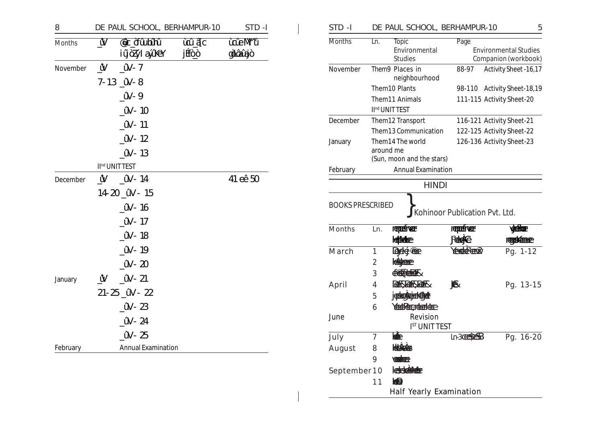| 8        |                         | DE PAUL SCHOOL, BERHAMPUR-10      |                | STD-I              |
|----------|-------------------------|-----------------------------------|----------------|--------------------|
| Months   | $\overline{\mathsf{W}}$ | <b>@c of undin</b><br>iÿòZýlaӳXeY | ùû âc<br>jÉtòò | ùûeM^û<br>gìlâûgjò |
| November | ⊻                       | ÛV-7                              |                |                    |
|          |                         | $7 - 13 \nightharpoonup W - 8$    |                |                    |
|          |                         | ứV-9                              |                |                    |
|          |                         | ûV - 10                           |                |                    |
|          |                         | ûV - 11                           |                |                    |
|          |                         | $\hat{W}$ - 12                    |                |                    |
|          |                         | ûV - 13                           |                |                    |
|          |                         | II <sup>nd</sup> UNIT TEST        |                |                    |
| December | ⊻                       | ûV - 14                           |                | 41 eê 50           |
|          |                         | 14-20 ûV - 15                     |                |                    |
|          |                         | ûV - 16                           |                |                    |
|          |                         | ûV - 17                           |                |                    |
|          |                         | ûV - 18                           |                |                    |
|          |                         | ûV - 19                           |                |                    |
|          |                         | ûV - 20                           |                |                    |
| January  | ⊻ُ                      | ûV - 21                           |                |                    |
|          |                         | $21 - 25$ $\dot{a}V - 22$         |                |                    |
|          |                         | $\hat{N}$ - 23                    |                |                    |
|          |                         | ûV - 24                           |                |                    |
|          |                         | ûV - 25                           |                |                    |
| February |                         | <b>Annual Examination</b>         |                |                    |

| STD-I                                    |                |                                                            | DE PAUL SCHOOL, BERHAMPUR-10                | 5                                                    |
|------------------------------------------|----------------|------------------------------------------------------------|---------------------------------------------|------------------------------------------------------|
| <b>Months</b>                            | Ln.            | <b>Topic</b><br>Environmental<br><b>Studies</b>            | Page                                        | <b>Environmental Studies</b><br>Companion (workbook) |
| November                                 |                | Them9 Places in<br>neighbourhood                           | 88-97                                       | Activity Sheet - 16, 17                              |
|                                          |                | Them10 Plants                                              | 98-110                                      | Activity Sheet-18,19                                 |
|                                          |                | Them11 Animals                                             |                                             | 111-115 Activity Sheet-20                            |
|                                          |                | II <sup>nd</sup> UNIT TEST                                 |                                             |                                                      |
| December                                 |                | Them12 Transport                                           |                                             | 116-121 Activity Sheet-21                            |
|                                          |                | Them13 Communication                                       |                                             | 122-125 Activity Sheet-22                            |
| January                                  |                | Them14 The world<br>around me<br>(Sun, moon and the stars) |                                             | 126-136 Activity Sheet-23                            |
| February                                 |                | <b>Annual Examination</b>                                  |                                             |                                                      |
|                                          |                |                                                            | <b>HINDI</b>                                |                                                      |
| <b>BOOKS PRESCRIBED</b><br><b>Months</b> | Ln.            | represiver                                                 | Kohinoor Publication Pvt. Ltd.<br>repetiver | <b>valign:</b>                                       |
|                                          |                | <b>Idibidee</b>                                            | <b>RHAG</b>                                 | recording                                            |
| March                                    | 1              | <b>Deget Change</b>                                        | <b>YERRA CEDY</b>                           | Pg. $1 - \overline{12}$                              |
|                                          | $\overline{2}$ | <b>HARRICARED</b>                                          |                                             |                                                      |
|                                          | 3              | CREARING                                                   |                                             |                                                      |
| April                                    | 4              | <b>GERIGERIGER</b>                                         | ♠                                           | Pg. 13-15                                            |
|                                          | 5              | jedezkrietéber                                             |                                             |                                                      |
|                                          | 6              | Yestetcretectc                                             |                                             |                                                      |
| June                                     |                | Revision                                                   | <b>IST UNIT TEST</b>                        |                                                      |
| July                                     | 7              | 电                                                          | In3 <b>CESEEB</b>                           | Pg. 16-20                                            |
| August                                   | 8              | Healeder                                                   |                                             |                                                      |
|                                          | 9              | <b>Wakter</b>                                              |                                             |                                                      |
| September 10                             |                | <b>CESSERIES</b>                                           |                                             |                                                      |
|                                          | 11             | <b>KARP</b>                                                |                                             |                                                      |
|                                          |                |                                                            | <b>Half Yearly Examination</b>              |                                                      |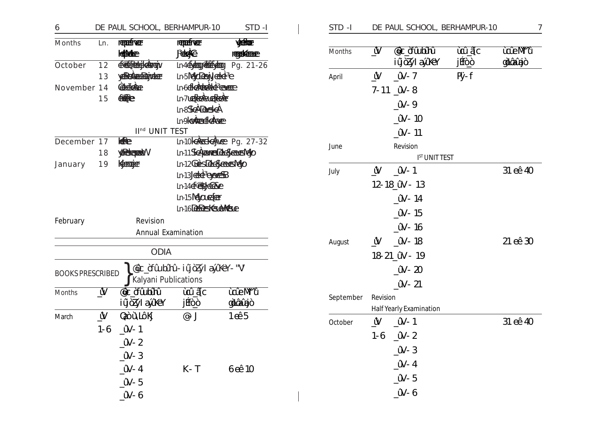| 6                       |          | DE PAUL SCHOOL, BERHAMPUR-10 |                                                 | STD-I            |
|-------------------------|----------|------------------------------|-------------------------------------------------|------------------|
| <b>Months</b>           | Ln.      | reprefixer                   | reprefixer                                      | <b>Reference</b> |
|                         |          | <b>Idibidee</b>              | <b>Red</b>                                      | recording        |
| October                 | 12       | <b>CREEKCHICATORY</b>        | In465 200 Pg. 21-26                             |                  |
|                         | 13       | <b>ABERARDERINGER</b>        | <b>Ln-5MagDeay deteile</b>                      |                  |
| November 14             |          | <b>Concidence</b>            | In6dradeddeceme                                 |                  |
|                         | 15       | <b>REFERENCE</b>             | In7Learchedrete                                 |                  |
|                         |          |                              | In8 <b>ScALexeticA</b>                          |                  |
|                         |          |                              | In9latter Followe                               |                  |
|                         |          | II <sup>nd</sup> UNIT TEST   |                                                 |                  |
| December 17             |          | <b>READER</b>                | In-10 consider Pg. 27-32                        |                  |
|                         | 18       | yRekeradd                    | Ln-11 Schenreschchadenstago                     |                  |
| January                 | 19       | Kerceje                      | In-12Geins Deckerent Ago<br>In-13. Let be earch |                  |
|                         |          |                              | In-14 <del>desdag</del> e                       |                  |
|                         |          |                              | In-15 Negoura fer                               |                  |
|                         |          |                              | In-16 Debestes dillese                          |                  |
| February                |          | Revision                     |                                                 |                  |
|                         |          | <b>Annual Examination</b>    |                                                 |                  |
|                         |          |                              |                                                 |                  |
|                         |          | <b>ODIA</b>                  |                                                 |                  |
| <b>BOOKS PRESCRIBED</b> |          |                              | @c_òfûulaîhû-iûjòZýlayîkéY-"V                   |                  |
|                         |          | Kalyani Publications         |                                                 |                  |
| <b>Months</b>           | Ŵ        | <b>acc of Culting</b>        | ùùâc                                            | ùûeM^û           |
|                         |          | iűöZýlaűKéY                  | jÉôò                                            | gilânîgiò        |
| March                   | <u>Ŵ</u> | Qaòù Nolkj                   | $@$ – $J$                                       | 1@5              |
|                         | $1 - 6$  | ûV - 1                       |                                                 |                  |
|                         |          | _ûV – 2                      |                                                 |                  |
|                         |          | $N-3$                        |                                                 |                  |
|                         |          | $\mathbf{W} - 4$             | $K - T$                                         | 6 cê 10          |
|                         |          | $\hat{W}$ -5                 |                                                 |                  |
|                         |          | $\hat{W}$ -6                 |                                                 |                  |
|                         |          |                              |                                                 |                  |

| Months    | Ŵ        | <b>acc of Culting</b>          | ùoù âc | ùûeM^û    |
|-----------|----------|--------------------------------|--------|-----------|
|           |          | iÿòZýlaӳXeY                    | jftoo  | gìlânûgiò |
| April     | Ŵ        | ûV-7                           | Py-f   |           |
|           |          | $7-11$ $\omega$ -8             |        |           |
|           |          | ûV-9                           |        |           |
|           |          | $\mathsf{\hat{U}}$ V – 10      |        |           |
|           |          | ûV - 11                        |        |           |
| June      |          | Revision                       |        |           |
|           |          | <b>IST UNIT TEST</b>           |        |           |
| July      | Ŵ        | ûV - 1                         |        | 31 eê 40  |
|           |          | 12-18 ûV - 13                  |        |           |
|           |          | $\mathcal{C}N$ – 14            |        |           |
|           |          | $\mathsf{\hat{U}}$ V – 15      |        |           |
|           |          | $\mathsf{\hat{U}}$ V – 16      |        |           |
| August    | Ŵ        | ûV - 18                        |        | 21 eê 30  |
|           |          | 18-21 ûV - 19                  |        |           |
|           |          | ûV - 20                        |        |           |
|           |          | ûV - 21                        |        |           |
| September | Revision |                                |        |           |
|           |          | <b>Half Yearly Examination</b> |        |           |
| October   | Ŵ        | ûV - 1                         |        | 31 eê 40  |
|           |          | $1-6$ $\mu$ V-2                |        |           |
|           |          | $\mathsf{W-}3$                 |        |           |
|           |          | $\mathsf{W}-4$                 |        |           |
|           |          | $\mathsf{W-5}$                 |        |           |
|           |          | $\hat{W}$ -6                   |        |           |
|           |          |                                |        |           |

DE PAUL SCHOOL, BERHAMPUR-10

 $STD - I$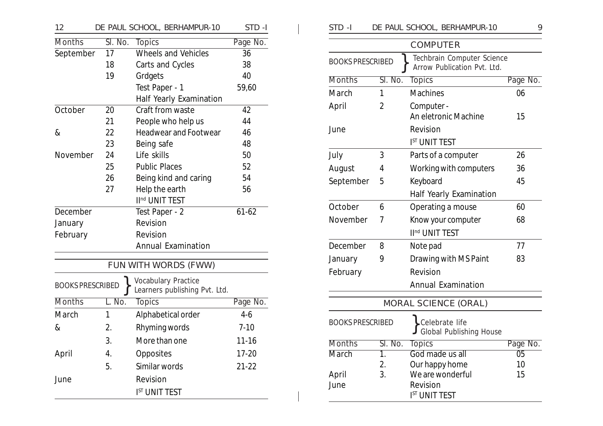| 12                      |         | DE PAUL SCHOOL, BERHAMPUR-10                                | STD-I     |
|-------------------------|---------|-------------------------------------------------------------|-----------|
| <b>Months</b>           | Sl. No. | <b>Topics</b>                                               | Page No.  |
| September               | 17      | <b>Wheels and Vehicles</b>                                  | 36        |
|                         | 18      | Carts and Cycles                                            | 38        |
|                         | 19      | Grdgets                                                     | 40        |
|                         |         | Test Paper - 1                                              | 59,60     |
|                         |         | Half Yearly Examination                                     |           |
| October                 | 20      | Craft from waste                                            | 42        |
|                         | 21      | People who help us                                          | 44        |
| &                       | 22      | <b>Headwear and Footwear</b>                                | 46        |
|                         | 23      | Being safe                                                  | 48        |
| November                | 24      | Life skills                                                 | 50        |
|                         | 25      | <b>Public Places</b>                                        | 52        |
|                         | 26      | Being kind and caring                                       | 54        |
|                         | 27      | Help the earth                                              | 56        |
|                         |         | II <sup>nd</sup> UNIT TEST                                  |           |
| December                |         | Test Paper - 2                                              | $61 - 62$ |
| January                 |         | Revision                                                    |           |
| February                |         | Revision                                                    |           |
|                         |         | <b>Annual Examination</b>                                   |           |
|                         |         | FUN WITH WORDS (FWW)                                        |           |
| <b>BOOKS PRESCRIBED</b> |         | <b>Vocabulary Practice</b><br>Learners publishing Pvt. Ltd. |           |
| <b>Months</b>           | L. No.  | <b>Topics</b>                                               | Page No.  |
| March                   | 1       | Alphabetical order                                          | $4-6$     |
| &                       | 2.      | Rhyming words                                               | $7 - 10$  |
|                         | 3.      | More than one                                               | $11 - 16$ |
| April                   | 4.      | Opposites                                                   | $17 - 20$ |
|                         | 5.      | Similar words                                               | 21-22     |
| June                    |         | Revision                                                    |           |
|                         |         | <b>IST UNIT TEST</b>                                        |           |

| STD -I                  |         | DE PAUL SCHOOL, BERHAMPUR-10                              | 9               |  |  |
|-------------------------|---------|-----------------------------------------------------------|-----------------|--|--|
|                         |         | <b>COMPUTER</b>                                           |                 |  |  |
| <b>BOOKS PRESCRIBED</b> |         | Techbrain Computer Science<br>Arrow Publication Pvt. Ltd. |                 |  |  |
| <b>Months</b>           | Sl. No. | <b>Topics</b>                                             | Page No.        |  |  |
| March                   | 1       | <b>Machines</b>                                           | 06              |  |  |
| April                   | 2       | Computer -<br>An eletronic Machine<br>15                  |                 |  |  |
| June                    |         | Revision<br><b>IST UNIT TEST</b>                          |                 |  |  |
| July                    | 3       | Parts of a computer                                       | 26              |  |  |
| August                  | 4       | Working with computers                                    | 36              |  |  |
| September               | 5       | 45<br>Keyboard                                            |                 |  |  |
|                         |         | Half Yearly Examination                                   |                 |  |  |
| October                 | 6       | Operating a mouse                                         | 60              |  |  |
| November                | 7       | Know your computer                                        | 68              |  |  |
|                         |         | II <sup>nd</sup> UNIT TEST                                |                 |  |  |
| December                | 8       | Note pad                                                  | 77              |  |  |
| January                 | 9       | Drawing with MS Paint                                     | 83              |  |  |
| February                |         | Revision                                                  |                 |  |  |
|                         |         | <b>Annual Examination</b>                                 |                 |  |  |
|                         |         | MORAL SCIENCE (ORAL)                                      |                 |  |  |
| <b>BOOKS PRESCRIBED</b> |         | Celebrate life<br><b>Global Publishing House</b>          |                 |  |  |
| <b>Months</b>           | Sl. No. | <b>Topics</b>                                             | Page No.        |  |  |
| <b>March</b>            | 1.      | God made us all                                           | $\overline{05}$ |  |  |
|                         | 2.      | Our happy home                                            | 10              |  |  |
| April<br>June           | 3.      | We are wonderful<br>Revision                              | 15              |  |  |
|                         |         | <b>IST UNIT TEST</b>                                      |                 |  |  |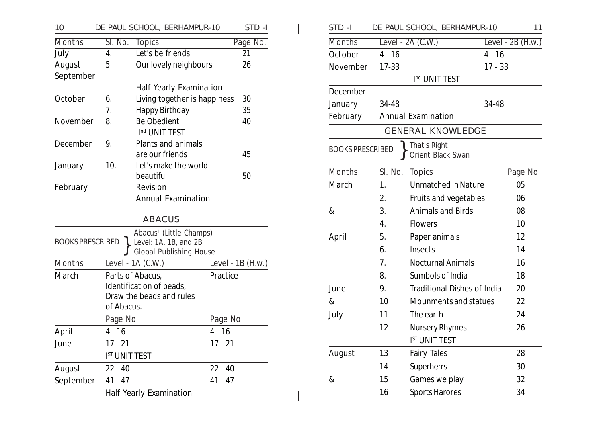| 10                      |                      |                                              | DE PAUL SCHOOL, BERHAMPUR-10                                                                   |           | STD-I              |
|-------------------------|----------------------|----------------------------------------------|------------------------------------------------------------------------------------------------|-----------|--------------------|
| <b>Months</b>           | Sl. No.              | <b>Topics</b>                                |                                                                                                |           | Page No.           |
| July                    | 4.                   | Let's be friends                             |                                                                                                |           | 21                 |
| August                  | 5                    |                                              | Our lovely neighbours                                                                          |           | 26                 |
| September               |                      |                                              |                                                                                                |           |                    |
|                         |                      |                                              | Half Yearly Examination                                                                        |           |                    |
| October                 | 6.                   |                                              | Living together is happiness                                                                   |           | 30                 |
|                         | 7.                   | Happy Birthday                               |                                                                                                |           | 35                 |
| November                | 8.                   | <b>Be Obedient</b>                           |                                                                                                |           | 40                 |
|                         |                      | II <sup>nd</sup> UNIT TEST                   |                                                                                                |           |                    |
| December                | 9.                   |                                              | Plants and animals                                                                             |           |                    |
|                         |                      | are our friends                              |                                                                                                |           | 45                 |
| January                 | 10.                  | Let's make the world                         |                                                                                                |           |                    |
|                         |                      | beautiful                                    |                                                                                                |           | 50                 |
| February                | Revision             |                                              |                                                                                                |           |                    |
|                         |                      |                                              | <b>Annual Examination</b>                                                                      |           |                    |
|                         |                      | <b>ABACUS</b>                                |                                                                                                |           |                    |
| <b>BOOKS PRESCRIBED</b> |                      |                                              | Abacus <sup>+</sup> (Little Champs)<br>Level: 1A, 1B, and 2B<br><b>Global Publishing House</b> |           |                    |
| <b>Months</b>           |                      | Level - $1A$ (C.W.)                          |                                                                                                |           | Level - $1B(H.w.)$ |
| March                   | of Abacus.           | Parts of Abacus,<br>Identification of beads, | Draw the beads and rules                                                                       | Practice  |                    |
|                         | Page No.             |                                              |                                                                                                | Page No   |                    |
| April                   | $4 - 16$             |                                              |                                                                                                | $4 - 16$  |                    |
| June                    | $17 - 21$            |                                              |                                                                                                | $17 - 21$ |                    |
|                         | <b>IST UNIT TEST</b> |                                              |                                                                                                |           |                    |
| August                  | $22 - 40$            |                                              |                                                                                                | $22 - 40$ |                    |
| September               | $41 - 47$            |                                              |                                                                                                | $41 - 47$ |                    |
|                         |                      | Half Yearly Examination                      |                                                                                                |           |                    |

| STD-I                   |                          | DE PAUL SCHOOL, BERHAMPUR-10       | 11                 |  |  |  |
|-------------------------|--------------------------|------------------------------------|--------------------|--|--|--|
| <b>Months</b>           |                          | Level - $2A$ (C.W.)                | Level - $2B(H.w.)$ |  |  |  |
| October                 | $4 - 16$                 | $4 - 16$                           |                    |  |  |  |
| November                | $17 - 33$                | $17 - 33$                          |                    |  |  |  |
|                         |                          | II <sup>nd</sup> UNIT TEST         |                    |  |  |  |
| December                |                          |                                    |                    |  |  |  |
| January                 | 34-48                    | 34-48                              |                    |  |  |  |
| February                |                          | <b>Annual Examination</b>          |                    |  |  |  |
|                         | <b>GENERAL KNOWLEDGE</b> |                                    |                    |  |  |  |
| <b>BOOKS PRESCRIBED</b> |                          | That's Right<br>Orient Black Swan  |                    |  |  |  |
| <b>Months</b>           | Sl. No.                  | <b>Topics</b>                      | Page No.           |  |  |  |
| March                   | 1.                       | <b>Unmatched in Nature</b>         | 05                 |  |  |  |
|                         | 2.                       | Fruits and vegetables              | 06                 |  |  |  |
| &                       | 3.                       | <b>Animals and Birds</b>           | 08                 |  |  |  |
|                         | 4.                       | <b>Flowers</b>                     | 10                 |  |  |  |
| April                   | 5.                       | Paper animals                      | 12                 |  |  |  |
|                         | 6.                       | Insects                            | 14                 |  |  |  |
|                         | 7.                       | <b>Nocturnal Animals</b>           | 16                 |  |  |  |
|                         | 8.                       | Sumbols of India                   | 18                 |  |  |  |
| June                    | 9.                       | <b>Traditional Dishes of India</b> | 20                 |  |  |  |
| &                       | 10                       | Mounments and statues              | 22                 |  |  |  |
| July                    | 11                       | The earth                          | 24                 |  |  |  |
|                         | 12                       | <b>Nursery Rhymes</b>              | 26                 |  |  |  |
|                         |                          | I <sup>st</sup> UNIT TEST          |                    |  |  |  |
| <b>August</b>           | 13                       | <b>Fairy Tales</b>                 | 28                 |  |  |  |
|                         | 14                       | Superherrs                         | 30                 |  |  |  |
| &                       | 15                       | Games we play                      | 32                 |  |  |  |
|                         | 16                       | <b>Sports Harores</b>              | 34                 |  |  |  |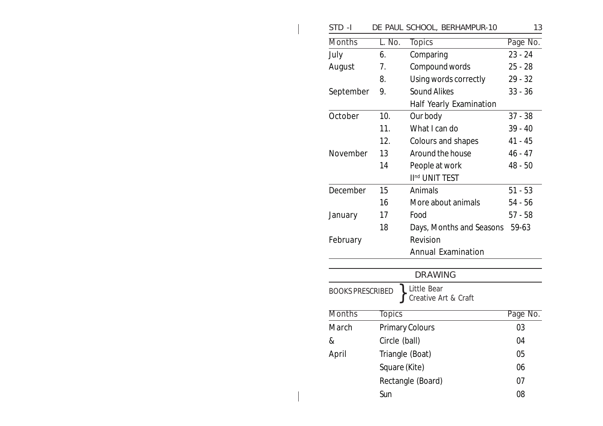| STD-I                   |               | DE PAUL SCHOOL, BERHAMPUR-10        | 13        |
|-------------------------|---------------|-------------------------------------|-----------|
| <b>Months</b>           | L. No.        | <b>Topics</b>                       | Page No.  |
| July                    | 6.            | Comparing                           | $23 - 24$ |
| August                  | 7.            | Compound words                      | $25 - 28$ |
|                         | 8.            | Using words correctly               | $29 - 32$ |
| September               | 9.            | <b>Sound Alikes</b>                 | $33 - 36$ |
|                         |               | Half Yearly Examination             |           |
| October                 | 10.           | Our body                            | $37 - 38$ |
|                         | 11.           | What I can do                       | $39 - 40$ |
|                         | 12.           | Colours and shapes                  | 41 - 45   |
| November                | 13            | Around the house                    | $46 - 47$ |
|                         | 14            | People at work                      | $48 - 50$ |
|                         |               | II <sup>nd</sup> UNIT TEST          |           |
| December                | 15            | Animals                             | $51 - 53$ |
|                         | 16            | More about animals                  | $54 - 56$ |
| January                 | 17            | Food                                | $57 - 58$ |
|                         | 18            | Days, Months and Seasons            | 59-63     |
| February                |               | Revision                            |           |
|                         |               | <b>Annual Examination</b>           |           |
|                         |               |                                     |           |
|                         |               | <b>DRAWING</b>                      |           |
| <b>BOOKS PRESCRIBED</b> |               | Little Bear<br>Creative Art & Craft |           |
| <b>Months</b>           | <b>Topics</b> |                                     | Page No.  |
| March                   |               | <b>Primary Colours</b>              | 03        |
| &                       | Circle (ball) |                                     | 04        |
| April                   |               | Triangle (Boat)                     | 05        |
|                         | Square (Kite) |                                     | 06        |
|                         |               | Rectangle (Board)                   | 07        |
|                         | Sun           |                                     | 08        |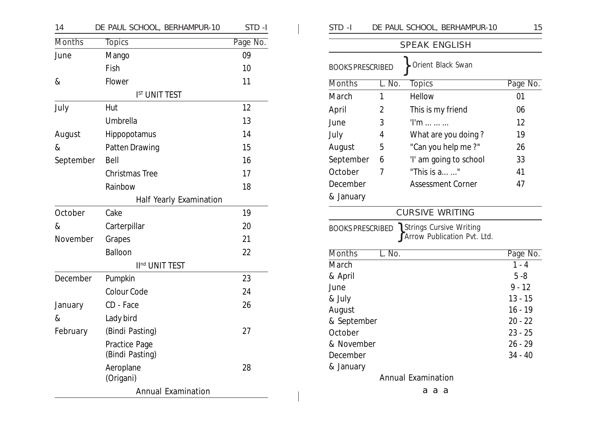| 14            | DE PAUL SCHOOL, BERHAMPUR-10 | STD-I    | STD-I                   |                | DE PAUL SCHOOL, BERHAMPUR-10                      | 15                     |
|---------------|------------------------------|----------|-------------------------|----------------|---------------------------------------------------|------------------------|
| <b>Months</b> | <b>Topics</b>                | Page No. |                         |                | <b>SPEAK ENGLISH</b>                              |                        |
| June          | Mango                        | 09       |                         |                |                                                   |                        |
|               | Fish                         | 10       | <b>BOOKS PRESCRIBED</b> |                | Orient Black Swan                                 |                        |
| $\&$          | Flower                       | 11       | <b>Months</b>           | L. No.         | <b>Topics</b>                                     | Page No.               |
|               | <b>IST UNIT TEST</b>         |          | March                   | $\mathbf{1}$   | Hellow                                            | 01                     |
| July          | Hut                          | 12       | April                   | 2              | This is my friend                                 | 06                     |
|               | Umbrella                     | 13       | June                    | 3              | $Tm$                                              | 12                     |
| August        | Hippopotamus                 | 14       | July                    | 4              | What are you doing?                               | 19                     |
| $\&$          | Patten Drawing               | 15       | August                  | 5              | "Can you help me?"                                | 26                     |
| September     | Bell                         | 16       | September               | 6              | 'I' am going to school                            | 33                     |
|               | Christmas Tree               | 17       | October                 | $\overline{7}$ | "This is a "                                      | 41                     |
|               | Rainbow                      | 18       | December                |                | <b>Assessment Corner</b>                          | 47                     |
|               | Half Yearly Examination      |          | & January               |                |                                                   |                        |
| October       | Cake                         | 19       |                         |                | <b>CURSIVE WRITING</b>                            |                        |
| $\&$          | Carterpillar                 | 20       |                         |                | <b>BOOKS PRESCRIBED \ Strings Cursive Writing</b> |                        |
| November      | Grapes                       | 21       |                         |                | Arrow Publication Pvt. Ltd.                       |                        |
|               | Balloon                      | 22       | <b>Months</b>           | L. No.         |                                                   | Page No.               |
|               | II <sup>nd</sup> UNIT TEST   |          | March                   |                |                                                   | $1 - 4$                |
| December      | Pumpkin                      | 23       | & April                 |                |                                                   | $5 - 8$                |
|               | Colour Code                  | 24       | June                    |                |                                                   | $9 - 12$               |
| January       | CD - Face                    | 26       | & July                  |                |                                                   | $13 - 15$              |
| $\&$          | Lady bird                    |          | August<br>& September   |                |                                                   | $16 - 19$<br>$20 - 22$ |
| February      | (Bindi Pasting)              | 27       | October                 |                |                                                   | $23 - 25$              |
|               | Practice Page                |          | & November              |                |                                                   | $26 - 29$              |
|               | (Bindi Pasting)              |          | December                |                |                                                   | $34 - 40$              |
|               | Aeroplane                    | 28       | & January               |                |                                                   |                        |
|               | (Origani)                    |          |                         |                | <b>Annual Examination</b>                         |                        |
|               | <b>Annual Examination</b>    |          |                         |                | a a a                                             |                        |

| STD -I                  |        | DE PAUL SCHOOL, BERHAMPUR-10                                                       | 15        |
|-------------------------|--------|------------------------------------------------------------------------------------|-----------|
|                         |        | <b>SPEAK ENGLISH</b>                                                               |           |
| <b>BOOKS PRESCRIBED</b> |        | Orient Black Swan                                                                  |           |
| <b>Months</b>           | L. No. | <b>Topics</b>                                                                      | Page No.  |
| March                   | 1      | Hellow                                                                             | 01        |
| April                   | 2      | This is my friend                                                                  | 06        |
| June                    | 3      | $Tm$                                                                               | 12        |
| July                    | 4      | What are you doing?                                                                | 19        |
| August                  | 5      | "Can you help me?"                                                                 | 26        |
| September               | 6      | 'I' am going to school                                                             | 33        |
| October                 | 7      | "This is $a_{\dots}$ "                                                             | 41        |
| December                |        | <b>Assessment Corner</b>                                                           | 47        |
| & January               |        |                                                                                    |           |
|                         |        | <b>CURSIVE WRITING</b>                                                             |           |
|                         |        | <b>BOOKS PRESCRIBED \ Strings Cursive Writing</b><br>f Arrow Publication Pvt. Ltd. |           |
| <b>Months</b>           | L. No. |                                                                                    | Page No.  |
| March                   |        |                                                                                    | $1 - 4$   |
| & April                 |        |                                                                                    | $5 - 8$   |
| June                    |        |                                                                                    | $9 - 12$  |
| & July                  |        |                                                                                    | $13 - 15$ |
| August                  |        |                                                                                    | $16 - 19$ |
| & September             |        |                                                                                    | $20 - 22$ |
| October                 |        |                                                                                    | $23 - 25$ |
| & November              |        |                                                                                    | $26 - 29$ |
| December                |        |                                                                                    | $34 - 40$ |
| & January               |        |                                                                                    |           |
|                         |        | <b>Annual Examination</b>                                                          |           |
|                         |        | a<br>a<br>а                                                                        |           |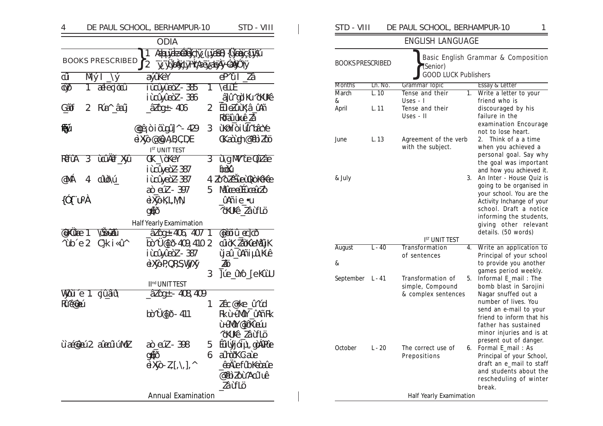| 4                             |                           |                                  | DE PAUL SCHOOL, BERHAMPUR-10                                          |                | STD - VIII                         |  |
|-------------------------------|---------------------------|----------------------------------|-----------------------------------------------------------------------|----------------|------------------------------------|--|
|                               |                           |                                  | <b>ODIA</b>                                                           |                |                                    |  |
|                               |                           | <b>BOOKS PRESCRIBED</b>          | Appydaddycty (pass) {Uasycipti<br>1<br>y yuzydy Yae yaeyy QAO ty<br>2 |                |                                    |  |
| $\overline{\vec{\mathbf{u}}}$ |                           | $M\circ I \rightharpoonup \circ$ | avûkeY                                                                |                | $\overline{d}$ ûl $\overline{Z}$ â |  |
| <b>QQ</b>                     |                           | 1 aeleojõoû                      | <u>iùayûeòZ-385</u>                                                   | 7              | ЧŒ                                 |  |
|                               |                           |                                  | iùaûyûeòZ-386                                                         |                | <u>â]</u> û^gòlKu^òKUKê            |  |
| Gâf                           | 2                         | Ría^_âaîj                        | $\frac{\partial 7}{\partial 4}$ - 406                                 | $\overline{2}$ | ÊûeZûùK¦â_ûAñ                      |  |
|                               |                           |                                  |                                                                       |                | Rfäukê Za                          |  |
| ÊЙ                            |                           |                                  | @gâoiõtgû]^-429                                                       | 3              | ùKômi di Liûn bâche                |  |
|                               |                           |                                  | <b>dXo@@ABCDE</b>                                                     |                | GKandup@YebiZoo                    |  |
|                               |                           |                                  | <b>IST UNIT TEST</b>                                                  |                |                                    |  |
| REGIA                         | $\overline{3}$            | <b>Licular Xia</b>               | GK ASKEY                                                              | 3              | <i><u><b>ùgM/ùe022</b></u></i> ae  |  |
|                               |                           |                                  | iùaîyeòZ-387                                                          |                | book                               |  |
| @MÁ                           | 4                         | albVí                            | iùayeàZ-387                                                           |                | 4 ZOOZEŠieùDoKoKee                 |  |
|                               |                           |                                  | <u>aò aiZ - 397</u>                                                   | 5              | Micealicaico                       |  |
| $\{\hat{O}(\hat{C})\}\$       |                           |                                  | <b>GXOKLMN</b>                                                        |                | <u>û</u> Añie_•u                   |  |
|                               |                           |                                  | <b>GLO</b>                                                            |                | <b>Yokkê Zâùflö</b>                |  |
|                               |                           |                                  | <b>Half Yearly Examimation</b>                                        |                |                                    |  |
| <b>Titlie</b> 1               |                           | <b>BEZEL</b>                     | <u>âZòg+</u> -406, 407 1                                              |                | <u> என்ப் சூடு</u>                 |  |
| $\hat{\text{ub}}$ e 2         |                           | C}k i «û^                        | bờ Ü@[ð-409, 410 2                                                    |                | cűöK_ZäXűeMäÿK                     |  |
|                               |                           |                                  | iùaûyûeòZ-387                                                         |                | ÿaî_ûAñiµîWeê                      |  |
|                               |                           |                                  | eXjoP,QRSWyXy                                                         |                | ZÖ                                 |  |
|                               |                           |                                  |                                                                       | 3              | ]ứe_ửYô_[eKûU                      |  |
|                               |                           |                                  | II <sup>nd</sup> UNIT TEST                                            |                |                                    |  |
|                               |                           | Wjaire 1. gi <u>û</u> aîûn       | $2200+ -408,409$                                                      |                |                                    |  |
| Ricari                        |                           |                                  |                                                                       | 1              | Zêc@ke_û^úd                        |  |
|                               |                           |                                  | bò^Ü@[ð-411                                                           |                | Rkù-ûMûY_ûAñRk                     |  |
|                               |                           |                                  |                                                                       |                | ù ứMCN @] ở Kî Giú                 |  |
|                               |                           |                                  |                                                                       |                | <b>Yokkê_Zâùflö</b>                |  |
|                               |                           | ùa@ai2 aadulMZ                   | æ`@@ 178                                                              |                | 5 Êü Úyjói µ\gòÁPCe                |  |
|                               |                           |                                  | <b>GLO</b>                                                            | 6              | ahorXGae<br>êrleftbledae           |  |
|                               |                           |                                  | $dX$ $-Z$ [\], ^                                                      |                |                                    |  |
|                               |                           |                                  |                                                                       |                | @`@`j`Zo`u`Aaû uê<br>Zâùflö        |  |
|                               |                           |                                  |                                                                       |                |                                    |  |
|                               | <b>Annual Examination</b> |                                  |                                                                       |                |                                    |  |

|                         |          | <b>ENGLISH LANGUAGE</b>                                      |                                                                                                                                                                                                                                          |
|-------------------------|----------|--------------------------------------------------------------|------------------------------------------------------------------------------------------------------------------------------------------------------------------------------------------------------------------------------------------|
| <b>BOOKS PRESCRIBED</b> |          | (Senior)<br><b>GOOD LUCK Publishers</b>                      | Basic English Grammar & Composition                                                                                                                                                                                                      |
| <b>Months</b>           | Ln. No.  | Grammar Topic                                                | Essay & Letter                                                                                                                                                                                                                           |
| March                   | L.10     | Tense and their                                              | Write a letter to your<br>1.                                                                                                                                                                                                             |
| &<br>April              | L. 11    | Uses - I<br>Tense and their<br>Uses - II                     | friend who is<br>discouraged by his<br>failure in the<br>examination Encourage<br>not to lose heart.                                                                                                                                     |
| June                    | L.13     | Agreement of the verb<br>with the subject.                   | Think of a a time<br>2.<br>when you achieved a<br>personal goal. Say why<br>the goal was important<br>and how you achieved it.                                                                                                           |
| & July                  |          | IST UNIT TEST                                                | An Inter - House Ouiz is<br>3.<br>going to be organised in<br>your school. You are the<br>Activity Inchange of your<br>school. Draft a notice<br>informing the students,<br>giving other relevant<br>details. (50 words)                 |
| <b>August</b>           | $L - 40$ | Transformation                                               | Write an application to<br>4.                                                                                                                                                                                                            |
| &                       |          | of sentences                                                 | Principal of your school<br>to provide you another<br>games period weekly.                                                                                                                                                               |
| September               | L - 41   | Transformation of<br>simple, Compound<br>& complex sentences | Informal E_mail: The<br>5.<br>bomb blast in Sarojini<br>Nagar snuffed out a<br>number of lives. You<br>send an e-mail to your<br>friend to inform that his<br>father has sustained<br>minor injuries and is at<br>present out of danger. |
| October                 | $L - 20$ | The correct use of<br>Prepositions                           | Formal E_mail: As<br>6.<br>Principal of your School,<br>draft an e_mail to staff<br>and students about the<br>rescheduling of winter<br>break.                                                                                           |
|                         |          | <b>Half Yearly Examimation</b>                               |                                                                                                                                                                                                                                          |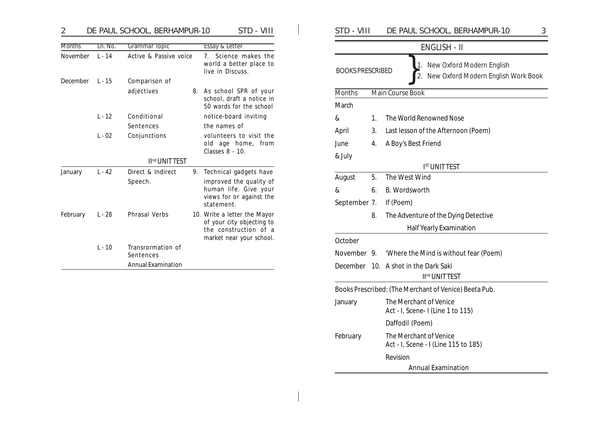| $\overline{2}$ |          | DE PAUL SCHOOL, BERHAMPUR-10   |    | STD - VIII                                                          | STD - VIII              |    | 3<br>DE PAUL SCHOOL, BERHAMPUR-10                                |
|----------------|----------|--------------------------------|----|---------------------------------------------------------------------|-------------------------|----|------------------------------------------------------------------|
| <b>Months</b>  | Ln. No.  | <b>Grammar Topic</b>           |    | <b>Essay &amp; Letter</b>                                           |                         |    | ENGLISH - II                                                     |
| November       | $L - 14$ | Active & Passive voice         |    | 7. Science makes the<br>world a better place to<br>live in Discuss. | <b>BOOKS PRESCRIBED</b> |    | New Oxford Modern English<br>New Oxford Modern English Work Book |
| December       | $L - 15$ | Comparison of                  |    |                                                                     |                         |    |                                                                  |
|                |          | adjectives                     | 8. | As school SPR of your                                               | Months                  |    | Main Course Book                                                 |
|                |          |                                |    | school, draft a notice in<br>50 words for the school                | March                   |    |                                                                  |
|                | $L - 12$ | Conditional                    |    | notice-board inviting                                               | &                       |    | The World Renowned Nose                                          |
|                |          | Sentences                      |    | the names of                                                        | April                   | 3. | Last lesson of the Afternoon (Poem)                              |
|                | $L - 02$ | Conjunctions                   |    | volunteers to visit the<br>old age home, from                       | June                    | 4. | A Boy's Best Friend                                              |
|                |          |                                |    | Classes 8 - 10.                                                     |                         |    |                                                                  |
|                |          | II <sup>nd</sup> UNIT TEST     |    |                                                                     | & July                  |    |                                                                  |
| January        | $L - 42$ | Direct & Indirect              | 9. | Technical gadgets have                                              |                         |    | <b>IST UNIT TEST</b>                                             |
|                | Speech.  |                                |    | improved the quality of                                             | August                  | 5. | The West Wind                                                    |
|                |          |                                |    | human life. Give your<br>views for or against the<br>statement.     | &                       | 6. | B. Wordsworth                                                    |
|                |          |                                |    |                                                                     | September 7.            |    | If (Poem)                                                        |
| February       | $L - 28$ | <b>Phrasal Verbs</b>           |    | 10. Write a letter the Mayor                                        |                         | 8. | The Adventure of the Dying Detective                             |
|                |          |                                |    | of your city objecting to<br>the construction of a                  |                         |    | <b>Half Yearly Examination</b>                                   |
|                |          |                                |    | market near your school.                                            | October                 |    |                                                                  |
|                | $L - 10$ | Transrormation of<br>Sentences |    |                                                                     | November 9.             |    | 'Where the Mind is without fear (Poem)                           |
|                |          | <b>Annual Examination</b>      |    |                                                                     |                         |    | December 10. A shot in the Dark Saki                             |

|                         |                     | 110222010021, 221111111011011                                                |  |  |
|-------------------------|---------------------|------------------------------------------------------------------------------|--|--|
|                         |                     | <b>ENGLISH - II</b>                                                          |  |  |
| <b>BOOKS PRESCRIBED</b> |                     | New Oxford Modern English<br>1.<br>New Oxford Modern English Work Book<br>2. |  |  |
| <b>Months</b>           |                     | <b>Main Course Book</b>                                                      |  |  |
| March                   |                     |                                                                              |  |  |
| &                       | 1.                  | The World Renowned Nose                                                      |  |  |
| April                   | 3.                  | Last lesson of the Afternoon (Poem)                                          |  |  |
| June                    | 4.                  | A Boy's Best Friend                                                          |  |  |
| & July                  |                     |                                                                              |  |  |
|                         |                     | <b>IST UNIT TEST</b>                                                         |  |  |
| August                  | 5.                  | The West Wind                                                                |  |  |
| &                       | 6.<br>B. Wordsworth |                                                                              |  |  |
| September 7.            |                     | If (Poem)                                                                    |  |  |
|                         | 8.                  | The Adventure of the Dying Detective                                         |  |  |
|                         |                     | <b>Half Yearly Examination</b>                                               |  |  |
| October                 |                     |                                                                              |  |  |
| November 9.             |                     | 'Where the Mind is without fear (Poem)                                       |  |  |
|                         |                     | December 10. A shot in the Dark Saki                                         |  |  |
|                         |                     | II <sup>nd</sup> UNIT TEST                                                   |  |  |
|                         |                     | Books Prescribed: (The Merchant of Venice) Beeta Pub.                        |  |  |
| January                 |                     | The Merchant of Venice<br>Act - I, Scene- I (Line 1 to 115)                  |  |  |
|                         |                     | Daffodil (Poem)                                                              |  |  |
| February                |                     | The Merchant of Venice<br>Act - I, Scene - I (Line 115 to 185)               |  |  |
|                         |                     | Revision                                                                     |  |  |
|                         |                     | <b>Annual Examination</b>                                                    |  |  |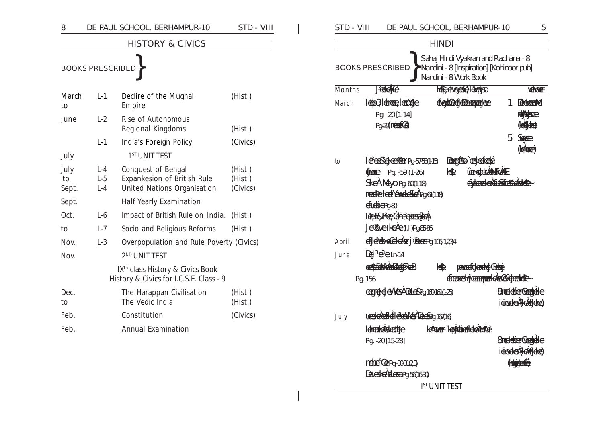| 8                   |                         | DE PAUL SCHOOL, BERHAMPUR-10                                                            | STD - VIII                     |
|---------------------|-------------------------|-----------------------------------------------------------------------------------------|--------------------------------|
|                     |                         | <b>HISTORY &amp; CIVICS</b>                                                             |                                |
|                     | <b>BOOKS PRESCRIBED</b> |                                                                                         |                                |
| March<br>to         | $L-1$                   | Declire of the Mughal<br>Empire                                                         | (Hist.)                        |
| June                | $L-2$                   | Rise of Autonomous<br>Regional Kingdoms                                                 | (Hist.)                        |
|                     | $L-1$                   | India's Foreign Policy                                                                  | (Civics)                       |
| July                |                         | 1 <sup>ST</sup> UNIT TEST                                                               |                                |
| July<br>to<br>Sept. | L-4<br>$L-5$<br>$L - 4$ | Conquest of Bengal<br>Expankesion of British Rule<br>United Nations Organisation        | (Hist.)<br>(Hist.)<br>(Civics) |
| Sept.               |                         | <b>Half Yearly Examination</b>                                                          |                                |
| Oct.                | $L-6$                   | Impact of British Rule on India.                                                        | (Hist.)                        |
| to                  | $L-7$                   | Socio and Religious Reforms                                                             | (Hist.)                        |
| Nov.                | $L-3$                   | Overpopulation and Rule Poverty (Civics)                                                |                                |
| Nov.                |                         | 2 <sup>ND</sup> UNIT TEST                                                               |                                |
|                     |                         | IX <sup>th</sup> class History & Civics Book<br>History & Civics for I.C.S.E. Class - 9 |                                |
| Dec.<br>to          |                         | The Harappan Civilisation<br>The Vedic India                                            | (Hist.)<br>(Hist.)             |
| Feb.                |                         | Constitution                                                                            | (Civics)                       |
| Feb.                |                         | <b>Annual Examination</b>                                                               |                                |

 $\overline{\phantom{a}}$ 

| STD - VIII          |                                                                                                                                                                                                                                                                                                   | DE PAUL SCHOOL, BERHAMPUR-10                                                                                              | 5                                               |
|---------------------|---------------------------------------------------------------------------------------------------------------------------------------------------------------------------------------------------------------------------------------------------------------------------------------------------|---------------------------------------------------------------------------------------------------------------------------|-------------------------------------------------|
|                     |                                                                                                                                                                                                                                                                                                   | <b>HINDI</b>                                                                                                              |                                                 |
|                     | <b>BOOKS PRESCRIBED</b>                                                                                                                                                                                                                                                                           | Sahaj Hindi Vyakran and Rachana - 8<br>Nandini - 8 [Inspiration] [Kohinoor pub]<br>Nandini - 8 Work Book                  |                                                 |
| <b>Months</b>       | <b><i>Jekelice</i></b>                                                                                                                                                                                                                                                                            | HS-Efecto-Degres                                                                                                          | <b>YERRIET</b>                                  |
| March               | <b>Help3 Idmeep Ieoniche</b><br>Pg. -20 [1-14]<br>Pg-29 (netest@)                                                                                                                                                                                                                                 | died befahren ste                                                                                                         | 1<br><b>CHANCES AC</b><br>relations<br>(ende)   |
|                     |                                                                                                                                                                                                                                                                                                   |                                                                                                                           | 5<br>Sepen<br><b>(dace)</b>                     |
| to<br>April<br>June | Here Selecter Pg. 57-58(1-15)<br><b>FREED</b><br>Pg. -59 (1-26)<br>SkeAMeyo Pg. -60(1-18)<br>nected confexed core (1-18)<br>eftebien <sub>30</sub><br><b>Le RFe Li Fransıldı</b><br>Le exerked e (I, II) Pg. 85-86<br>ECHALES ECHORGET @REEPO. 106, 1234<br>De Pereln-14<br>CHANGE CAB<br>Pg. 156 | Degle crette<br><b>LEBRECHSANTISTE</b><br>圈<br><b>CHOCKALLERCHAND</b><br>圈<br>pexcerCulation Getai<br>Canstrammere actual |                                                 |
|                     | <b>CEUTELE CIVES DELESPO 160-161 (1-25)</b>                                                                                                                                                                                                                                                       |                                                                                                                           | <b>StrektberGretpHe</b><br>idendeel (Cabildee)  |
| July                | usscheffele et Westabeng-167(1-6)<br>Idrack dekant (d)                                                                                                                                                                                                                                            | Icinca-Kantiefcketter                                                                                                     |                                                 |
|                     | Pg. -20 [15-28]                                                                                                                                                                                                                                                                                   |                                                                                                                           | <b>Strektier Greek die</b><br>idendes (Getties) |
|                     | meberCePg-30-31(2,3)<br>Decided carer 56(1630)                                                                                                                                                                                                                                                    |                                                                                                                           | (OpenE)                                         |
|                     |                                                                                                                                                                                                                                                                                                   | <b>IST UNIT TEST</b>                                                                                                      |                                                 |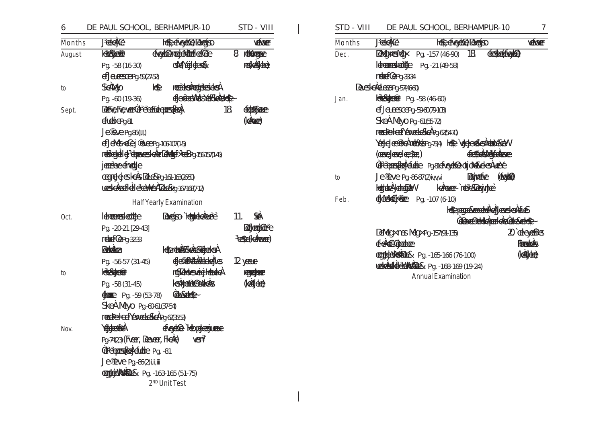### DE PAUL SCHOOL, BERHAMPUR-10 STD - VIII 6 **Jetek**le HSe cheydole Dogiso **VERONEE Months HRENBET** diedder wir Musica Ore 8 reterance August residente **CHATGHCAGES** Pg. -58 (16-30) ef beesserg. 59(27-52) Schlap  $\mathbb{R}$ **REEDERRETHESIGER**  $\mathsf{to}$ ER POLICE VARIANCE Pg. -60 (19-36) **REFERENCE CHECKER CA** 18 CRANE Sept. efebiePa81 **(doce)** Le enepg. 86 (I, II,) ef Lates edej @eepg-106-107(1-5) ndeserele elephoneesteder Educative Boy-156-157(1-45) jessee froute **CETTE HE'S EXERC** 761-163(26-50) UESCREFFEI | CENTER DECRY-167-168(7-12) Half Yearly Examination **SA** Idmanuster Yeb Deverse Hennacement  $11.$ Oct. **Reference Control** Pg. -20-21 [29-43] **ESE(CARKER)** nebert CePa-32-33 **Rocketter HenthARdcardutes** discribed dels 12 years Pg. -56-57 (31-45) **RECORDED** rosobbeseigHeadeA **RESERVED** to ksynthie Bette **KAEdice** Pg. -58 (31-45)  $\frac{4}{2}$  Pg. -59 (53-78) **Concerto** SkeAMeyo Pg. 60-61 (37-54) medeeled Texteled a hq. 62(3553) Yesterned chedde Hepederjuane Nov. Pg-74(23) (FLEET, DEELEET, FIGAE) **VEST** Correspondent Pg. -81 Je<sup>®</sup>eve Pg. -86(2) i, ii, iii **EXPORTER Pg. -163-165 (51-75)**

2<sup>ND</sup> Unit Test

| STD - VIII |                                                               | DE PAUL SCHOOL, BERHAMPUR-10                |                                 |              | 7              |
|------------|---------------------------------------------------------------|---------------------------------------------|---------------------------------|--------------|----------------|
| Months     | <b>Jetek@</b>                                                 | HS-ETOOD-DOCKS                              |                                 |              | <b>YEKKER</b>  |
| Dec.       |                                                               | <b>Devetores dec</b> Pg. -157 (46-90) 18    |                                 | CHC(Coto)    |                |
|            |                                                               | dramskolde Pg. -21 (49-58)                  |                                 |              |                |
|            | nderfærg-33-34                                                |                                             |                                 |              |                |
|            | <b>Decident CEP</b> 9-57(4660)                                |                                             |                                 |              |                |
| Jan.       | <b>RESERVED:</b> Pg. -58 (46-60)                              |                                             |                                 |              |                |
|            | ef buresca Pg. - 59-60 (79-103)                               |                                             |                                 |              |                |
|            | SkeAMeyo Pg.-61(55-72)                                        |                                             |                                 |              |                |
|            |                                                               | nected efféxeted cPg.62(5470)               |                                 |              |                |
|            |                                                               | Yeele@behat%eng.754) Historiedestationed    |                                 |              |                |
|            | (CENCLEAR) CENTER)                                            |                                             | <b>CHAMPACKE</b>                |              |                |
|            |                                                               | GEBRUES GATCHIE POSIERGEGAGE CIJOAS GEGALES |                                 |              |                |
| to         | $J$ e ${}^{\circ}$ e $\sim$ e $\sim$ Pg. -86-87(2) $i$ v,v,vi |                                             | <b>Regiresse</b>                | <b>(100)</b> |                |
|            | Hetabel chetabl                                               | keilanger- het en aanjonge                  |                                 |              |                |
| Feb.       | Education Pg. - 107 (6-10)                                    |                                             |                                 |              |                |
|            |                                                               |                                             | He par member of the set of the |              |                |
|            |                                                               |                                             | CONCRETER ACTION ACTION         |              |                |
|            |                                                               | DeMegxmesMegxPg.-157(91-135)                |                                 |              | 1 degens       |
|            | FRIGGIERE                                                     |                                             |                                 |              | <b>FORGHOS</b> |
|            |                                                               | <b>CETERIORS</b> Pg. -165-166 (76-100)      |                                 |              | <b>KABAR</b>   |
|            |                                                               | <b>URGERICULARER</b> Pg. - 168-169 (19-24)  |                                 |              |                |
|            |                                                               | Annual Examination                          |                                 |              |                |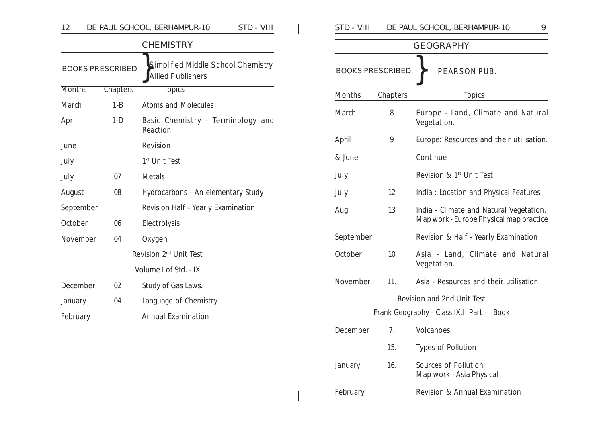| 12            |                         | DE PAUL SCHOOL, BERHAMPUR-10<br>STD - VIII                     | STD - VIII    |                         | DE PAUL SCHOOL, BERHAMPUR-10<br>9                |
|---------------|-------------------------|----------------------------------------------------------------|---------------|-------------------------|--------------------------------------------------|
|               |                         | <b>CHEMISTRY</b>                                               |               |                         | <b>GEOGRAPHY</b>                                 |
|               | <b>BOOKS PRESCRIBED</b> | Simplified Middle School Chemistry<br><b>Allied Publishers</b> |               | <b>BOOKS PRESCRIBED</b> | PEARSON PUB.                                     |
| <b>Months</b> | <b>Chapters</b>         | <b>Topics</b>                                                  | <b>Months</b> | <b>Chapters</b>         | <b>Topics</b>                                    |
| March         | $1 - B$                 | Atoms and Molecules                                            |               |                         |                                                  |
| April         | $1-D$                   | Basic Chemistry - Terminology and<br>Reaction                  | March         | 8                       | Europe - Land, Climate and Natura<br>Vegetation. |
| June          |                         | Revision                                                       | April         | 9                       | Europe: Resources and their utilisation          |
| July          |                         | 1 <sup>st</sup> Unit Test                                      | & June        |                         | Continue                                         |
| July          | 07                      | Metals                                                         | July          |                         | Revision & 1 <sup>st</sup> Unit Test             |
| August        | 08                      | Hydrocarbons - An elementary Study                             | July          | 12                      | India: Location and Physical Features            |
| September     |                         | Revision Half - Yearly Examination                             | Aug.          | 13                      | India - Climate and Natural Vegetation.          |
| October       | 06                      | Electrolysis                                                   |               |                         | Map work - Europe Physical map practice          |
| November      | 04                      | Oxygen                                                         | September     |                         | Revision & Half - Yearly Examination             |
|               |                         | Revision 2 <sup>nd</sup> Unit Test                             | October       | 10                      | Asia - Land, Climate and Natura                  |
|               |                         | Volume I of Std. - IX                                          |               |                         | Vegetation.                                      |
| December      | 02                      | Study of Gas Laws.                                             | November      | 11.                     | Asia - Resources and their utilisation.          |
| January       | 04                      | Language of Chemistry                                          |               |                         | Revision and 2nd Unit Test                       |
| February      |                         | <b>Annual Examination</b>                                      |               |                         | Frank Geography - Class IXth Part - I Book       |
|               |                         |                                                                | December      | 7.                      | Volcanoes                                        |
|               |                         |                                                                |               | 15.                     | Types of Pollution                               |

| STD - VIII    | DE PAUL SCHOOL, BERHAMPUR-10<br>9       |                                                                                    |  |  |  |  |
|---------------|-----------------------------------------|------------------------------------------------------------------------------------|--|--|--|--|
|               |                                         | <b>GEOGRAPHY</b>                                                                   |  |  |  |  |
|               | <b>BOOKS PRESCRIBED</b><br>PEARSON PUB. |                                                                                    |  |  |  |  |
| <b>Months</b> | <b>Chapters</b>                         | <b>Topics</b>                                                                      |  |  |  |  |
| March         | 8                                       | Europe - Land, Climate and Natural<br>Vegetation.                                  |  |  |  |  |
| April         | 9                                       | Europe: Resources and their utilisation.                                           |  |  |  |  |
| & June        |                                         | Continue                                                                           |  |  |  |  |
| July          |                                         | Revision & 1 <sup>st</sup> Unit Test                                               |  |  |  |  |
| July          | 12                                      | India: Location and Physical Features                                              |  |  |  |  |
| Aug.          | 13                                      | India - Climate and Natural Vegetation.<br>Map work - Europe Physical map practice |  |  |  |  |
| September     |                                         | Revision & Half - Yearly Examination                                               |  |  |  |  |
| October       | 10                                      | Asia - Land, Climate and Natural<br>Vegetation.                                    |  |  |  |  |
| November      | 11.                                     | Asia - Resources and their utilisation.                                            |  |  |  |  |
|               |                                         | <b>Revision and 2nd Unit Test</b>                                                  |  |  |  |  |
|               |                                         | Frank Geography - Class IXth Part - I Book                                         |  |  |  |  |
| December      | 7.                                      | Volcanoes                                                                          |  |  |  |  |
|               | 15.                                     | Types of Pollution                                                                 |  |  |  |  |
| January       | 16.                                     | Sources of Pollution<br>Map work - Asia Physical                                   |  |  |  |  |
| February      |                                         | Revision & Annual Examination                                                      |  |  |  |  |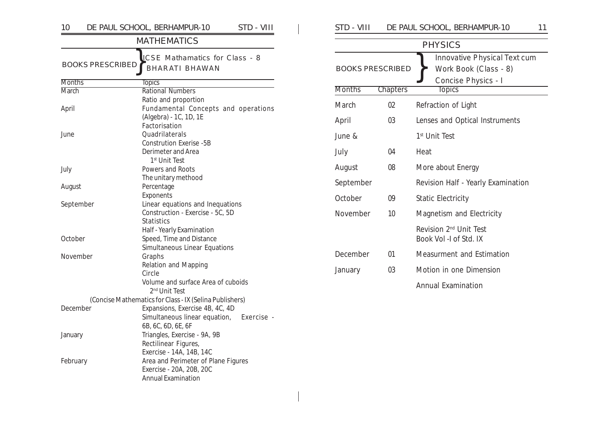| 10                      | DE PAUL SCHOOL, BERHAMPUR-10<br>STD - VIII              | <b>STD</b>  |
|-------------------------|---------------------------------------------------------|-------------|
|                         | <b>MATHEMATICS</b>                                      |             |
|                         | ICSE Mathamatics for Class - 8                          |             |
| <b>BOOKS PRESCRIBED</b> | <b>BHARATI BHAWAN</b>                                   | <b>BOC</b>  |
| <b>Months</b>           | <b>Topics</b>                                           |             |
| <b>March</b>            | <b>Rational Numbers</b>                                 | Mon         |
|                         | Ratio and proportion                                    | Maro        |
| April                   | Fundamental Concepts and operations                     |             |
|                         | (Algebra) - 1C, 1D, 1E                                  | April       |
|                         | Factorisation                                           |             |
| June                    | Quadrilaterals                                          | June        |
|                         | <b>Constrution Exerise -5B</b>                          |             |
|                         | Derimeter and Area                                      | July        |
|                         | 1 <sup>st</sup> Unit Test                               |             |
| July                    | Powers and Roots                                        | Augu        |
|                         | The unitary methood                                     | Sept        |
| August                  | Percentage                                              |             |
|                         | Exponents                                               | Octo        |
| September               | Linear equations and Inequations                        |             |
|                         | Construction - Exercise - 5C, 5D                        | <b>Nove</b> |
|                         | <b>Statistics</b>                                       |             |
|                         | Half - Yearly Examination                               |             |
| October                 | Speed, Time and Distance                                |             |
|                         | Simultaneous Linear Equations                           | Dece        |
| November                | Graphs                                                  |             |
|                         | Relation and Mapping                                    | Janua       |
|                         | Circle<br>Volume and surface Area of cuboids            |             |
|                         | 2 <sup>nd</sup> Unit Test                               |             |
|                         | (Concise Mathematics for Class - IX (Selina Publishers) |             |
| December                | Expansions, Exercise 4B, 4C, 4D                         |             |
|                         | Simultaneous linear equation,<br>Exercise -             |             |
|                         | 6B, 6C, 6D, 6E, 6F                                      |             |
| January                 | Triangles, Exercise - 9A, 9B                            |             |
|                         | Rectilinear Figures,                                    |             |
|                         | Exercise - 14A, 14B, 14C                                |             |
| February                | Area and Perimeter of Plane Figures                     |             |
|                         | Exercise - 20A, 20B, 20C                                |             |
|                         | <b>Annual Examination</b>                               |             |

| STD - VIII              |          | DE PAUL SCHOOL, BERHAMPUR-10<br>11                                           |
|-------------------------|----------|------------------------------------------------------------------------------|
|                         |          | <b>PHYSICS</b>                                                               |
| <b>BOOKS PRESCRIBED</b> |          | Innovative Physical Text cum<br>Work Book (Class - 8)<br>Concise Physics - I |
| <b>Months</b>           | Chapters | <b>Topics</b>                                                                |
| March                   | 02       | Refraction of Light                                                          |
| April                   | 03       | Lenses and Optical Instruments                                               |
| June &                  |          | 1 <sup>st</sup> Unit Test                                                    |
| July                    | 04       | Heat                                                                         |
| August                  | 08       | More about Energy                                                            |
| September               |          | Revision Half - Yearly Examination                                           |
| <b>October</b>          | 09       | <b>Static Electricity</b>                                                    |
| November                | 10       | Magnetism and Electricity                                                    |
|                         |          | Revision 2 <sup>nd</sup> Unit Test<br>Book Vol -I of Std. IX                 |
| December                | 01       | Measurment and Estimation                                                    |
| January                 | 03       | Motion in one Dimension                                                      |
|                         |          | Annual Examination                                                           |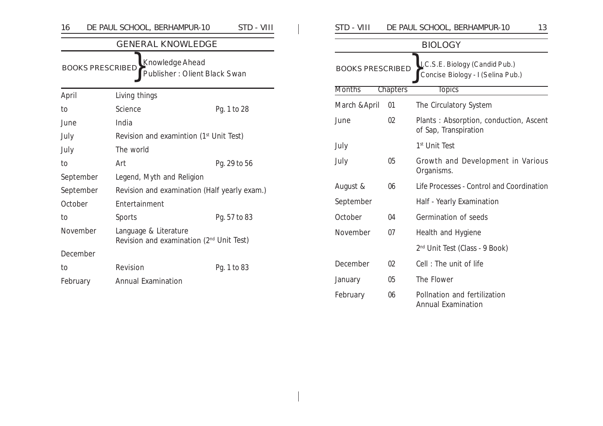| 16                                                                              | DE PAUL SCHOOL, BERHAMPUR-10                 | STD - VIII   |  |  |  |  |  |
|---------------------------------------------------------------------------------|----------------------------------------------|--------------|--|--|--|--|--|
|                                                                                 | <b>GENERAL KNOWLEDGE</b>                     |              |  |  |  |  |  |
| Knowledge Ahead<br><b>BOOKS PRESCRIBED</b><br>Publisher: Olient Black Swan      |                                              |              |  |  |  |  |  |
| April                                                                           | Living things                                |              |  |  |  |  |  |
| to                                                                              | Science                                      | Pg. 1 to 28  |  |  |  |  |  |
| June                                                                            | India                                        |              |  |  |  |  |  |
| July                                                                            | Revision and examintion $(1st$ Unit Test)    |              |  |  |  |  |  |
| July                                                                            | The world                                    |              |  |  |  |  |  |
| to                                                                              | Art                                          | Pg. 29 to 56 |  |  |  |  |  |
| September                                                                       | Legend, Myth and Religion                    |              |  |  |  |  |  |
| September                                                                       | Revision and examination (Half yearly exam.) |              |  |  |  |  |  |
| October                                                                         | Entertainment                                |              |  |  |  |  |  |
| to                                                                              | Sports                                       | Pg. 57 to 83 |  |  |  |  |  |
| November<br>Language & Literature<br>Revision and examination $(2nd$ Unit Test) |                                              |              |  |  |  |  |  |
| December                                                                        |                                              |              |  |  |  |  |  |
| to                                                                              | Revision                                     | Pg. 1 to 83  |  |  |  |  |  |
| February                                                                        | <b>Annual Examination</b>                    |              |  |  |  |  |  |

| STD - VIII              |                 | DE PAUL SCHOOL, BERHAMPUR-10<br>13                                  |
|-------------------------|-----------------|---------------------------------------------------------------------|
|                         |                 | <b>BIOLOGY</b>                                                      |
| <b>BOOKS PRESCRIBED</b> |                 | I.C.S.E. Biology (Candid Pub.)<br>Concise Biology - I (Selina Pub.) |
| <b>Months</b>           | <b>Chapters</b> | <b>Topics</b>                                                       |
| March & April           | 01              | The Circulatory System                                              |
| June                    | 02              | Plants: Absorption, conduction, Ascent<br>of Sap, Transpiration     |
| July                    |                 | 1 <sup>st</sup> Unit Test                                           |
| July                    | 05              | Growth and Development in Various<br>Organisms.                     |
| August &                | 06              | Life Processes - Control and Coordination                           |
| September               |                 | Half - Yearly Examination                                           |
| October                 | 04              | Germination of seeds                                                |
| November                | 07              | Health and Hygiene                                                  |
|                         |                 | 2 <sup>nd</sup> Unit Test (Class - 9 Book)                          |
| December                | 02              | Cell: The unit of life                                              |
| January                 | 05              | The Flower                                                          |
| February                | 06              | Pollnation and fertilization<br>Annual Examination                  |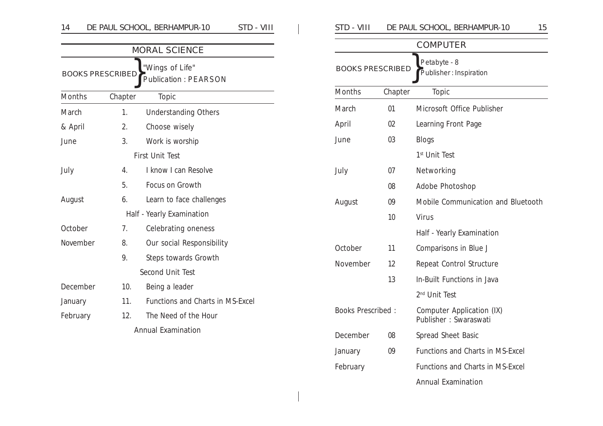|                           |                                                                           | <b>MORAL SCIENCE</b>             |  |  |  |
|---------------------------|---------------------------------------------------------------------------|----------------------------------|--|--|--|
|                           | "Wings of Life"<br><b>BOOKS PRESCRIBED</b><br><b>Publication: PEARSON</b> |                                  |  |  |  |
| Months                    | Chapter                                                                   | <b>Topic</b>                     |  |  |  |
| March                     | 1.                                                                        | <b>Understanding Others</b>      |  |  |  |
| & April                   | 2.                                                                        | Choose wisely                    |  |  |  |
| June                      | 3.                                                                        | Work is worship                  |  |  |  |
|                           |                                                                           | <b>First Unit Test</b>           |  |  |  |
| July                      | 4.                                                                        | I know I can Resolve             |  |  |  |
|                           | 5.                                                                        | Focus on Growth                  |  |  |  |
| August                    | 6.                                                                        | Learn to face challenges         |  |  |  |
|                           |                                                                           | Half - Yearly Examination        |  |  |  |
| October                   | 7 <sub>1</sub>                                                            | Celebrating oneness              |  |  |  |
| November                  | 8.                                                                        | Our social Responsibility        |  |  |  |
|                           | 9.                                                                        | Steps towards Growth             |  |  |  |
|                           |                                                                           | <b>Second Unit Test</b>          |  |  |  |
| December                  | 10.                                                                       | Being a leader                   |  |  |  |
| January                   | 11.                                                                       | Functions and Charts in MS-Excel |  |  |  |
| February                  | 12.                                                                       | The Need of the Hour             |  |  |  |
| <b>Annual Examination</b> |                                                                           |                                  |  |  |  |

| STD - VIII<br>DE PAUL SCHOOL, BERHAMPUR-10<br>14 |         |                                                |  | STD - VIII               |         | DE PAUL SCHOOL, BERHAMPUR-10<br>15     |
|--------------------------------------------------|---------|------------------------------------------------|--|--------------------------|---------|----------------------------------------|
|                                                  |         | <b>MORAL SCIENCE</b>                           |  |                          |         | <b>COMPUTER</b>                        |
| <b>BOOKS PRESCRIBED</b>                          |         | "Wings of Life"<br><b>Publication: PEARSON</b> |  | <b>BOOKS PRESCRIBED</b>  |         | Petabyte - 8<br>Publisher: Inspiration |
| Months                                           | Chapter | Topic                                          |  | Months                   | Chapter | Topic                                  |
| March                                            | 1.      | <b>Understanding Others</b>                    |  | March                    | 01      | Microsoft Office Publisher             |
| & April                                          | 2.      | Choose wisely                                  |  | April                    | 02      | Learning Front Page                    |
| June                                             | 3.      | Work is worship                                |  | June                     | 03      | <b>Blogs</b>                           |
|                                                  |         | <b>First Unit Test</b>                         |  |                          |         | 1 <sup>st</sup> Unit Test              |
| July                                             | 4.      | I know I can Resolve                           |  | July                     | 07      | Networking                             |
|                                                  | 5.      | Focus on Growth                                |  |                          | 08      | Adobe Photoshop                        |
| August                                           | 6.      | Learn to face challenges                       |  | August                   | 09      | Mobile Communication and Bluetooth     |
|                                                  |         | Half - Yearly Examination                      |  |                          | 10      | Virus                                  |
| October                                          | 7.      | Celebrating oneness                            |  |                          |         | Half - Yearly Examination              |
| November                                         | 8.      | Our social Responsibility                      |  | October                  | 11      | Comparisons in Blue J                  |
|                                                  | 9.      | Steps towards Growth                           |  | November                 | 12      | Repeat Control Structure               |
|                                                  |         | <b>Second Unit Test</b>                        |  |                          | 13      | In-Built Functions in Java             |
| December                                         | 10.     | Being a leader                                 |  |                          |         | 2 <sup>nd</sup> Unit Test              |
| January                                          | 11.     | Functions and Charts in MS-Excel               |  | <b>Books Prescribed:</b> |         | Computer Application (IX)              |
| February                                         | 12.     | The Need of the Hour                           |  |                          |         | Publisher: Swaraswati                  |
|                                                  |         | Annual Examination                             |  | December                 | 08      | Spread Sheet Basic                     |
|                                                  |         |                                                |  | January                  | 09      | Functions and Charts in MS-Excel       |
|                                                  |         |                                                |  | February                 |         | Functions and Charts in MS-Excel       |
|                                                  |         |                                                |  |                          |         | <b>Annual Examination</b>              |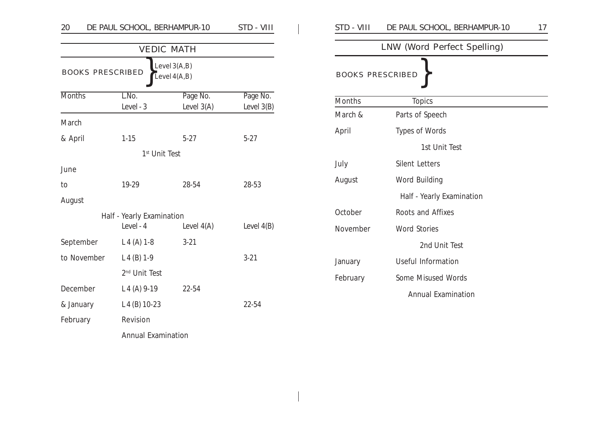| DE PAUL SCHOOL, BERHAMPUR-10<br>STD - VIII<br>20 |                           |                                  |                          |  | STD - VIII              | DE PAUL SCHOOL, BERHAMPUR-10 | 17 |
|--------------------------------------------------|---------------------------|----------------------------------|--------------------------|--|-------------------------|------------------------------|----|
| <b>VEDIC MATH</b>                                |                           |                                  |                          |  |                         | LNW (Word Perfect Spelling)  |    |
| <b>BOOKS PRESCRIBED</b>                          |                           | Level $3(A,B)$<br>Level $4(A,B)$ |                          |  | <b>BOOKS PRESCRIBED</b> |                              |    |
| <b>Months</b>                                    | L.No.<br>Level - 3        | Page No.<br>Level $3(A)$         | Page No.<br>Level $3(B)$ |  | Months                  | <b>Topics</b>                |    |
| March                                            |                           |                                  |                          |  | March &                 | Parts of Speech              |    |
|                                                  |                           | $5-27$                           |                          |  | April                   | Types of Words               |    |
| & April                                          | $1 - 15$                  |                                  | $5-27$                   |  | 1st Unit Test           |                              |    |
| 1 <sup>st</sup> Unit Test<br>June                |                           |                                  |                          |  | July                    | <b>Silent Letters</b>        |    |
| to                                               | 19-29                     | 28-54                            | 28-53                    |  | August                  | Word Building                |    |
| August                                           |                           |                                  |                          |  |                         | Half - Yearly Examination    |    |
| Half - Yearly Examination                        |                           |                                  |                          |  | October                 | Roots and Affixes            |    |
|                                                  | Level - 4                 | Level $4(A)$                     | Level $4(B)$             |  | November                | <b>Word Stories</b>          |    |
| September                                        | $L 4 (A) 1-8$             | $3 - 21$                         |                          |  |                         | 2nd Unit Test                |    |
| to November                                      | $L 4 (B) 1-9$             |                                  | $3-21$                   |  | January                 | Useful Information           |    |
|                                                  | 2 <sup>nd</sup> Unit Test |                                  |                          |  | February                | Some Misused Words           |    |
| December                                         | L 4 (A) 9-19              | 22-54                            |                          |  |                         | <b>Annual Examination</b>    |    |
| & January                                        | $L 4 (B) 10-23$           |                                  | 22-54                    |  |                         |                              |    |
| February                                         | Revision                  |                                  |                          |  |                         |                              |    |

Annual Examination

|                               | SID - VIII<br>DE PAUL SCHOOL, BERHAMPUR-10 |  |  |  |  |  |
|-------------------------------|--------------------------------------------|--|--|--|--|--|
|                               | LNW (Word Perfect Spelling)                |  |  |  |  |  |
|                               | <b>BOOKS PRESCRIBED</b>                    |  |  |  |  |  |
| <b>Months</b>                 | <b>Topics</b>                              |  |  |  |  |  |
| March &<br>Parts of Speech    |                                            |  |  |  |  |  |
| April                         | Types of Words                             |  |  |  |  |  |
|                               | 1st Unit Test                              |  |  |  |  |  |
| <b>Silent Letters</b><br>July |                                            |  |  |  |  |  |
| Word Building<br>August       |                                            |  |  |  |  |  |
|                               | Half - Yearly Examination                  |  |  |  |  |  |
| October                       | Roots and Affixes                          |  |  |  |  |  |
| November                      | <b>Word Stories</b>                        |  |  |  |  |  |
|                               | 2nd Unit Test                              |  |  |  |  |  |
| January                       | Useful Information                         |  |  |  |  |  |
| February                      | Some Misused Words                         |  |  |  |  |  |
|                               | <b>Annual Examination</b>                  |  |  |  |  |  |
|                               |                                            |  |  |  |  |  |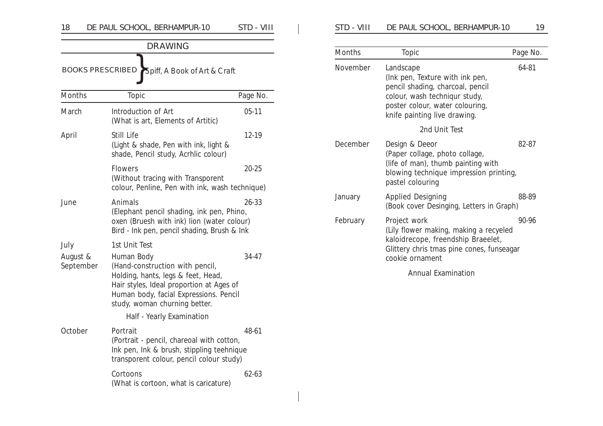| 18                    | DE PAUL SCHOOL, BERHAMPUR-10                                                                                                                                                                               | STD - VIII |
|-----------------------|------------------------------------------------------------------------------------------------------------------------------------------------------------------------------------------------------------|------------|
|                       | <b>DRAWING</b>                                                                                                                                                                                             |            |
|                       | <b>BOOKS PRESCRIBED</b><br>Spiff, A Book of Art & Craft                                                                                                                                                    |            |
| <b>Months</b>         | Topic                                                                                                                                                                                                      | Page No.   |
| March                 | Introduction of Art<br>(What is art, Elements of Artitic)                                                                                                                                                  | 05-11      |
| April                 | Still Life<br>(Light & shade, Pen with ink, light &<br>shade, Pencil study, Acrhlic colour)                                                                                                                | 12-19      |
|                       | <b>Flowers</b><br>(Without tracing with Transporent<br>colour, Penline, Pen with ink, wash technique)                                                                                                      | $20 - 25$  |
| June                  | Animals<br>(Elephant pencil shading, ink pen, Phino,<br>oxen (Bruesh with ink) lion (water colour)<br>Bird - Ink pen, pencil shading, Brush & Ink                                                          | $26 - 33$  |
| July                  | 1st Unit Test                                                                                                                                                                                              |            |
| August &<br>September | Human Body<br>(Hand-construction with pencil,<br>Holding, hants, legs & feet, Head,<br>Hair styles, Ideal proportion at Ages of<br>Human body, facial Expressions. Pencil<br>study, woman churning better. | 34-47      |
|                       | Half - Yearly Examination                                                                                                                                                                                  |            |
| October               | Portrait<br>(Portrait - pencil, chareoal with cotton,<br>Ink pen, Ink & brush, stippling teehnique<br>transporent colour, pencil colour study)                                                             | 48-61      |
|                       | Cortoons<br>(What is cortoon, what is caricature)                                                                                                                                                          | $62 - 63$  |

 $\overline{1}$  $\overline{\phantom{a}}$ 

| STD - VIII | DE PAUL SCHOOL, BERHAMPUR-10 | 19 |
|------------|------------------------------|----|
|------------|------------------------------|----|

| <b>Months</b> | <b>Topic</b>                                                                                                                                                                         | Page No. |
|---------------|--------------------------------------------------------------------------------------------------------------------------------------------------------------------------------------|----------|
| November      | Landscape<br>(Ink pen, Texture with ink pen,<br>pencil shading, charcoal, pencil<br>colour, wash techniqur study,<br>poster colour, water colouring,<br>knife painting live drawing. | 64-81    |
|               | 2nd Unit Test                                                                                                                                                                        |          |
| December      | Design & Deeor<br>(Paper collage, photo collage,<br>(life of man), thumb painting with<br>blowing technique impression printing,<br>pastel colouring                                 | 82-87    |
| January       | <b>Applied Designing</b><br>(Book cover Desinging, Letters in Graph)                                                                                                                 | 88-89    |
| February      | Project work<br>(Lily flower making, making a recyeled<br>kaloidrecope, freendship Braeelet,<br>Glittery chris tmas pine cones, funseagar<br>cookie ornament                         | 90-96    |

Annual Examination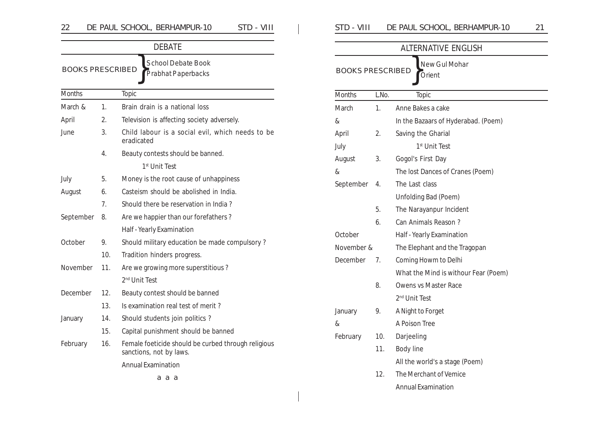| VIII<br>DE PAUL SCHOOL, BERHAMPUR-10<br>$T$ D -<br>$\cap$<br>∠∠ | DE PAUL SCHOOL, BERHAMPUR-10<br>STD | $\bigcap$ |
|-----------------------------------------------------------------|-------------------------------------|-----------|
|-----------------------------------------------------------------|-------------------------------------|-----------|

|                                                         |     | <b>DEBATE</b>                                                                  |
|---------------------------------------------------------|-----|--------------------------------------------------------------------------------|
| <b>BOOKS PRESCRIBED</b>                                 |     | School Debate Book<br>Prabhat Paperbacks                                       |
| <b>Months</b>                                           |     | Topic                                                                          |
| March &                                                 | 1.  | Brain drain is a national loss                                                 |
| April                                                   | 2.  | Television is affecting society adversely.                                     |
| June<br>3.                                              |     | Child labour is a social evil, which needs to be<br>eradicated                 |
|                                                         | 4.  | Beauty contests should be banned.                                              |
|                                                         |     | 1 <sup>st</sup> Unit Test                                                      |
| July                                                    | 5.  | Money is the root cause of unhappiness                                         |
| August<br>6.                                            |     | Casteism should be abolished in India.                                         |
|                                                         | 7.  | Should there be reservation in India?                                          |
| September<br>8.<br>Are we happier than our forefathers? |     |                                                                                |
|                                                         |     | Half - Yearly Examination                                                      |
| October                                                 | 9.  | Should military education be made compulsory?                                  |
|                                                         | 10. | Tradition hinders progress.                                                    |
| November                                                | 11. | Are we growing more superstitious?                                             |
|                                                         |     | 2 <sup>nd</sup> Unit Test                                                      |
| December                                                | 12. | Beauty contest should be banned                                                |
|                                                         | 13. | Is examination real test of merit?                                             |
| January                                                 | 14. | Should students join politics?                                                 |
|                                                         | 15. | Capital punishment should be banned                                            |
| February                                                | 16. | Female foeticide should be curbed through religious<br>sanctions, not by laws. |
|                                                         |     | <b>Annual Examination</b>                                                      |
|                                                         |     | ааа                                                                            |

| STD - VIII<br>DE PAUL SCHOOL, BERHAMPUR-10 |
|--------------------------------------------|
|--------------------------------------------|

|                         |                                     | <b>ALTERNATIVE ENGLISH</b>           |  |
|-------------------------|-------------------------------------|--------------------------------------|--|
| <b>BOOKS PRESCRIBED</b> |                                     | New Gul Mohar                        |  |
|                         |                                     | Orient                               |  |
| <b>Months</b>           | L.No.                               | Topic                                |  |
| March                   | 1.                                  | Anne Bakes a cake                    |  |
| &                       | In the Bazaars of Hyderabad. (Poem) |                                      |  |
| April                   | 2.                                  | Saving the Gharial                   |  |
| July                    |                                     | 1 <sup>st</sup> Unit Test            |  |
| August                  | 3.                                  | Gogol's First Day                    |  |
| &                       |                                     | The lost Dances of Cranes (Poem)     |  |
| September               | 4.                                  | The Last class                       |  |
|                         |                                     | Unfolding Bad (Poem)                 |  |
|                         | 5.                                  | The Narayanpur Incident              |  |
|                         | 6.                                  | Can Animals Reason?                  |  |
| October                 |                                     | Half - Yearly Examination            |  |
| November &              |                                     | The Elephant and the Tragopan        |  |
| December                | 7.                                  | Coming Howm to Delhi                 |  |
|                         |                                     | What the Mind is withour Fear (Poem) |  |
|                         | 8.                                  | Owens vs Master Race                 |  |
|                         |                                     | 2 <sup>nd</sup> Unit Test            |  |
| January                 | 9.                                  | A Night to Forget                    |  |
| &                       |                                     | A Poison Tree                        |  |
| February                | 10.                                 | Darjeeling                           |  |
|                         | 11.                                 | <b>Body line</b>                     |  |
|                         |                                     | All the world's a stage (Poem)       |  |
|                         | 12.                                 | The Merchant of Vemice               |  |
|                         |                                     | <b>Annual Examination</b>            |  |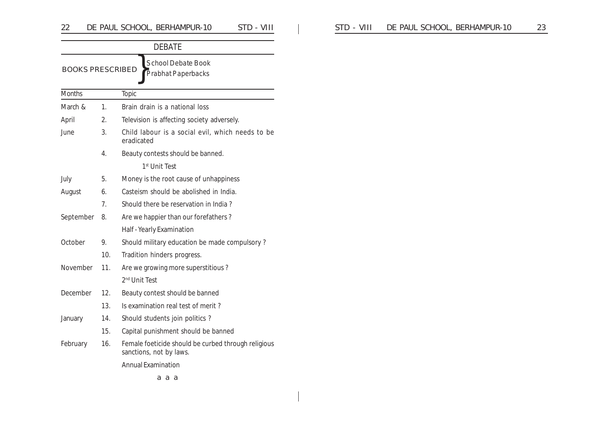|                         |                 | <b>DEBATE</b>                                                                  |
|-------------------------|-----------------|--------------------------------------------------------------------------------|
| <b>BOOKS PRESCRIBED</b> |                 | <b>School Debate Book</b><br>Prabhat Paperbacks                                |
| <b>Months</b>           |                 | Topic                                                                          |
| March &                 | 1.              | Brain drain is a national loss                                                 |
| April                   | 2.              | Television is affecting society adversely.                                     |
| June                    | 3.              | Child labour is a social evil, which needs to be<br>eradicated                 |
|                         | 4.              | Beauty contests should be banned.                                              |
|                         |                 | 1 <sup>st</sup> Unit Test                                                      |
| July                    | 5.              | Money is the root cause of unhappiness                                         |
| August                  | 6.              | Casteism should be abolished in India.                                         |
|                         | 7 <sub>1</sub>  | Should there be reservation in India?                                          |
| September               | 8.              | Are we happier than our forefathers?                                           |
|                         |                 | Half - Yearly Examination                                                      |
| October                 | 9.              | Should military education be made compulsory?                                  |
|                         | 10 <sub>1</sub> | Tradition hinders progress.                                                    |
| November                | 11.             | Are we growing more superstitious?                                             |
|                         |                 | 2 <sup>nd</sup> Unit Test                                                      |
| December                | 12.             | Beauty contest should be banned                                                |
|                         | 13.             | Is examination real test of merit?                                             |
| January                 | 14.             | Should students join politics?                                                 |
|                         | 15.             | Capital punishment should be banned                                            |
| February                | 16.             | Female foeticide should be curbed through religious<br>sanctions, not by laws. |
|                         |                 | <b>Annual Examination</b>                                                      |
|                         |                 | ааа                                                                            |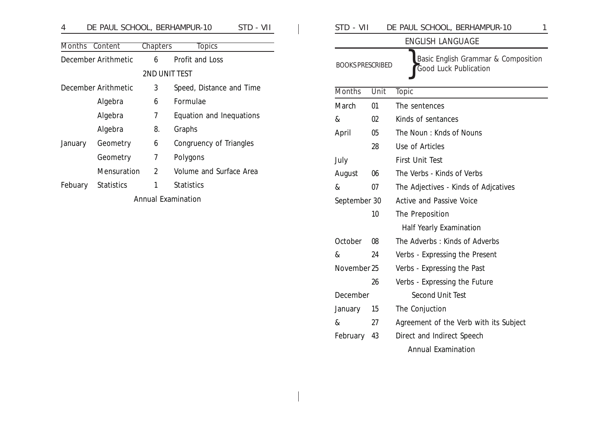## 4 DE PAUL SCHOOL, BERHAMPUR-10 STD - VII

| Months  | Content             | <b>Chapters</b>           | <b>Topics</b>            |
|---------|---------------------|---------------------------|--------------------------|
|         | December Arithmetic | 6                         | Profit and Loss          |
|         |                     | <b>2ND UNIT TEST</b>      |                          |
|         | December Arithmetic | 3                         | Speed, Distance and Time |
|         | Algebra             | 6                         | Formulae                 |
|         | Algebra             | 7                         | Equation and Inequations |
|         | Algebra             | 8.                        | Graphs                   |
| January | Geometry            | 6                         | Congruency of Triangles  |
|         | Geometry            | 7                         | Polygons                 |
|         | Mensuration         | $\overline{2}$            | Volume and Surface Area  |
| Febuary | <b>Statistics</b>   | 1                         | Statistics               |
|         |                     | <b>Annual Examination</b> |                          |

| STD - VII               |      | DE PAUL SCHOOL, BERHAMPUR-10<br>1                            |  |  |  |  |
|-------------------------|------|--------------------------------------------------------------|--|--|--|--|
|                         |      | <b>ENGLISH LANGUAGE</b>                                      |  |  |  |  |
| <b>BOOKS PRESCRIBED</b> |      | Basic English Grammar & Composition<br>Good Luck Publication |  |  |  |  |
| <b>Months</b>           | Unit | Topic                                                        |  |  |  |  |
| March                   | 01   | The sentences                                                |  |  |  |  |
| &                       | 02   | Kinds of sentances                                           |  |  |  |  |
| April                   | 05   | The Noun: Knds of Nouns                                      |  |  |  |  |
|                         | 28   | Use of Articles                                              |  |  |  |  |
| July                    |      | <b>First Unit Test</b>                                       |  |  |  |  |
| August                  | 06   | The Verbs - Kinds of Verbs                                   |  |  |  |  |
| &                       | 07   | The Adjectives - Kinds of Adjcatives                         |  |  |  |  |
| September 30<br>10      |      | <b>Active and Passive Voice</b>                              |  |  |  |  |
|                         |      | The Preposition                                              |  |  |  |  |
|                         |      | <b>Half Yearly Examination</b>                               |  |  |  |  |
| October                 | 08   | The Adverbs: Kinds of Adverbs                                |  |  |  |  |
| &                       | 24   | Verbs - Expressing the Present                               |  |  |  |  |
| November 25             |      | Verbs - Expressing the Past                                  |  |  |  |  |
|                         | 26   | Verbs - Expressing the Future                                |  |  |  |  |
| December                |      | <b>Second Unit Test</b>                                      |  |  |  |  |
| January                 | 15   | The Conjuction                                               |  |  |  |  |
| &                       | 27   | Agreement of the Verb with its Subject                       |  |  |  |  |
| February                | 43   | Direct and Indirect Speech                                   |  |  |  |  |
|                         |      | <b>Annual Examination</b>                                    |  |  |  |  |
|                         |      |                                                              |  |  |  |  |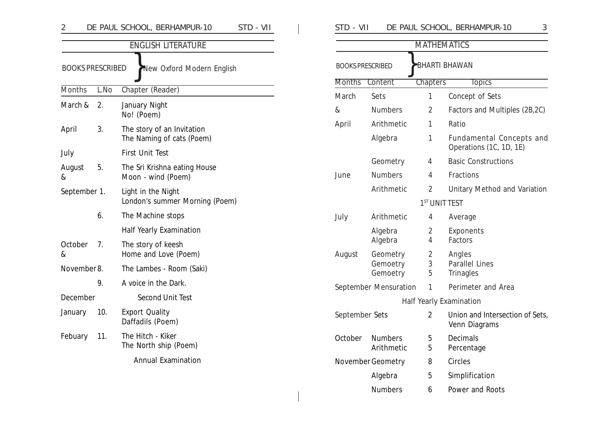| 2                       |      | DE PAUL SCHOOL, BERHAMPUR-10<br>STD - VII  | STD - VII          |                              |                     | DE PAUL SCHOOL, BERHAMPUR-10<br>3               |  |  |
|-------------------------|------|--------------------------------------------|--------------------|------------------------------|---------------------|-------------------------------------------------|--|--|
|                         |      | <b>ENGLISH LITERATURE</b>                  | <b>MATHEMATICS</b> |                              |                     |                                                 |  |  |
| <b>BOOKS PRESCRIBED</b> |      | New Oxford Modern English                  |                    | <b>BOOKS PRESCRIBED</b>      |                     | <b>BHARTI BHAWAN</b>                            |  |  |
| Months                  | L.No | Chapter (Reader)                           | <b>Months</b>      | Content                      | <b>Chapters</b>     | <b>Topics</b>                                   |  |  |
|                         |      |                                            | March              | Sets                         | 1                   | Concept of Sets                                 |  |  |
| March $& 2.$            |      | January Night<br>No! (Poem)                | $\&$               | <b>Numbers</b>               | 2                   | Factors and Multiples (2B,2C)                   |  |  |
| April                   | 3.   | The story of an Invitation                 | April              | Arithmetic                   | 1                   | Ratio                                           |  |  |
|                         |      | The Naming of cats (Poem)                  |                    | Algebra                      | 1                   | Fundamental Concepts and                        |  |  |
| July                    |      | First Unit Test                            |                    |                              |                     | Operations (1C, 1D, 1E)                         |  |  |
| August                  | 5.   | The Sri Krishna eating House               |                    | Geometry                     | 4                   | <b>Basic Constructions</b>                      |  |  |
| &                       |      | Moon - wind (Poem)                         | June               | <b>Numbers</b>               | 4                   | Fractions                                       |  |  |
| September 1.            |      | Light in the Night                         |                    | Arithmetic                   | $\overline{2}$      | Unitary Method and Variation                    |  |  |
|                         |      | London's summer Morning (Poem)             |                    |                              |                     | 1 <sup>ST</sup> UNIT TEST                       |  |  |
|                         | 6.   | The Machine stops                          | July               | Arithmetic                   | 4                   | Average                                         |  |  |
|                         |      | <b>Half Yearly Examination</b>             |                    | Algebra                      | 2                   | Exponents                                       |  |  |
| October                 | 7.   | The story of keesh                         |                    | Algebra                      | 4                   | Factors                                         |  |  |
| &                       |      | Home and Love (Poem)                       | August             | Geometry<br>Gemoetry         | $\overline{2}$<br>3 | Angles<br>Parallel Lines                        |  |  |
| November 8.             |      | The Lambes - Room (Saki)                   |                    | Gemoetry                     | 5                   | Trinagles                                       |  |  |
|                         | 9.   | A voice in the Dark.                       |                    | September Mensuration        | 1                   | Perimeter and Area                              |  |  |
| December                |      | <b>Second Unit Test</b>                    |                    |                              |                     | Half Yearly Examination                         |  |  |
| January                 | 10.  | <b>Export Quality</b><br>Daffadils (Poem)  | September Sets     |                              | $\overline{2}$      | Union and Intersection of Sets<br>Venn Diagrams |  |  |
| Febuary                 | 11.  | The Hitch - Kiker<br>The North ship (Poem) | October            | <b>Numbers</b><br>Arithmetic | 5<br>5              | Decimals<br>Percentage                          |  |  |
|                         |      | <b>Annual Examination</b>                  |                    | November Geometry            | 8                   | Circles                                         |  |  |
|                         |      |                                            |                    | Algebra                      | 5                   | Simplification                                  |  |  |

| SID - VII<br>DE PAUL SCHOOL, BERHAMPUR-10 |  |
|-------------------------------------------|--|
|-------------------------------------------|--|

|                                                 |                                  | <b>MATHEMATICS</b>        |                                                     |  |  |  |  |
|-------------------------------------------------|----------------------------------|---------------------------|-----------------------------------------------------|--|--|--|--|
| <b>BHARTI BHAWAN</b><br><b>BOOKS PRESCRIBED</b> |                                  |                           |                                                     |  |  |  |  |
| <b>Months</b>                                   | Content                          | <b>Chapters</b>           | <b>Topics</b>                                       |  |  |  |  |
| March                                           | Sets                             | 1                         | Concept of Sets                                     |  |  |  |  |
| &                                               | <b>Numbers</b>                   | 2                         | Factors and Multiples (2B,2C)                       |  |  |  |  |
| April                                           | Arithmetic                       | 1                         | Ratio                                               |  |  |  |  |
|                                                 | Algebra                          | 1                         | Fundamental Concepts and<br>Operations (1C, 1D, 1E) |  |  |  |  |
|                                                 | Geometry                         | 4                         | <b>Basic Constructions</b>                          |  |  |  |  |
| June                                            | <b>Numbers</b>                   | 4                         | Fractions                                           |  |  |  |  |
|                                                 | Arithmetic                       | $\overline{2}$            | Unitary Method and Variation                        |  |  |  |  |
|                                                 |                                  | 1 <sup>ST</sup> UNIT TEST |                                                     |  |  |  |  |
| July                                            | Arithmetic                       | 4                         | Average                                             |  |  |  |  |
|                                                 | Algebra<br>Algebra               | 2<br>4                    | Exponents<br>Factors                                |  |  |  |  |
| August                                          | Geometry<br>Gemoetry<br>Gemoetry | 2<br>3<br>5               | Angles<br><b>Parallel Lines</b><br>Trinagles        |  |  |  |  |
|                                                 | September Mensuration            | 1                         | Perimeter and Area                                  |  |  |  |  |
|                                                 |                                  |                           | Half Yearly Examination                             |  |  |  |  |
| September Sets                                  |                                  | 2                         | Union and Intersection of Sets,<br>Venn Diagrams    |  |  |  |  |
| October                                         | <b>Numbers</b><br>Arithmetic     | 5<br>5                    | Decimals<br>Percentage                              |  |  |  |  |
|                                                 | November Geometry                | 8                         | Circles                                             |  |  |  |  |
|                                                 | Algebra                          | 5                         | Simplification                                      |  |  |  |  |
|                                                 | Numbers                          | 6                         | Power and Roots                                     |  |  |  |  |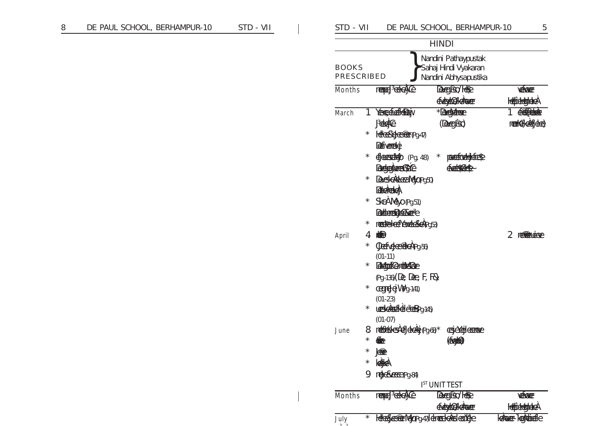| DE PAUL SCHOOL, BERHAMPUR-10 | STD - VII | STD - VII                  |                                                  |                                                                                                                                                                                | DE PAUL SCHOOL, BERHAMPUR-10                                          | 5                                      |
|------------------------------|-----------|----------------------------|--------------------------------------------------|--------------------------------------------------------------------------------------------------------------------------------------------------------------------------------|-----------------------------------------------------------------------|----------------------------------------|
|                              |           |                            |                                                  |                                                                                                                                                                                | <b>HINDI</b>                                                          |                                        |
|                              |           | <b>BOOKS</b><br>PRESCRIBED |                                                  |                                                                                                                                                                                | Nandini Pathaypustak<br>Sahaj Hindi Vyakaran<br>Nandini Abhysapustika |                                        |
|                              |           | Months                     |                                                  | mape FedetiCe                                                                                                                                                                  | December 1889<br><b>EdodOddaver</b>                                   | <b>YEKKER</b><br><b>HelpeldgylckeA</b> |
|                              |           | March                      | $\star$                                          | Yesepfectebery<br><b>JUGIC</b><br>Hereselecter pg. 47)                                                                                                                         | * December<br>$(A \cup B)$                                            | 1 GROFFENDER<br>merk(cafethe)          |
|                              |           |                            | $^\star$<br>$\star$                              | <b>Refiverence</b><br>Education (Pg. 48)<br>Deckermus Sic<br>Description (250)                                                                                                 | <b>CONTECORDERED</b><br>$\star$<br>Contracto                          |                                        |
|                              |           |                            | $^{\star}$<br>$^{\star}$                         | <b>Eddenberg</b><br>SkeAMeyo(Pg.51)<br><b>Beduunbakere</b><br>medeleffexenceleageg53)                                                                                          |                                                                       |                                        |
|                              |           | April                      | 4<br>$^\star$<br>$^\star$<br>$\star$<br>$^\star$ | <b>KB</b><br>OlerTelettedPg-56)<br>$(01-11)$<br><b>Chaptic entitiene</b><br>(Pg.-136) (De, Dee, F, Rs)<br>cegred = MPg-141)<br>$(01-23)$<br>ussels felection 145)<br>$(01-07)$ |                                                                       | 2 neredendere                          |
|                              |           | June                       | $^\star$<br>$\star$<br>9                         | 8 mettedesteldetging 68 <sup>*</sup><br><del>⊕</del><br><u>ææ</u><br>keike<br>nedexceedPg.84)                                                                                  | cejckejlcome<br><b>(for 6)</b><br><b>IST UNIT TEST</b>                |                                        |
|                              |           | <b>Months</b>              |                                                  | mereFeleyCe                                                                                                                                                                    | December 1899<br>didatold donce                                       | <b>YEKKER</b><br><b>Idéjábbalokbal</b> |
|                              |           | July                       | $\star$                                          | Heelderentgapg-47/Idmeetdesterated                                                                                                                                             |                                                                       | kance-kentrieffe                       |